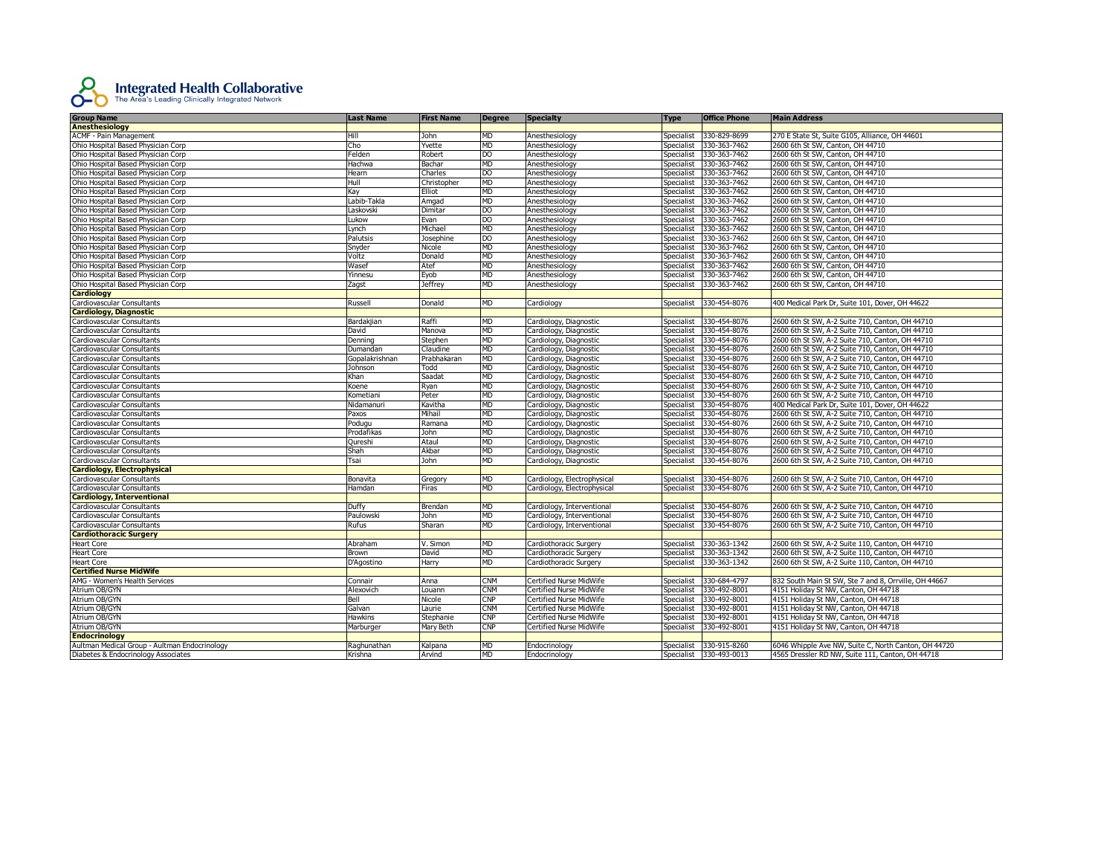

| <b>Group Name</b>                             | Last Name                                                                                                                                                                    | <b>First Name</b> | Degree         | <b>Specialty</b>               | <b>Type</b>       | <b>Office Phone</b>     | <b>Main Address</b>                                   |
|-----------------------------------------------|------------------------------------------------------------------------------------------------------------------------------------------------------------------------------|-------------------|----------------|--------------------------------|-------------------|-------------------------|-------------------------------------------------------|
| <b>Anesthesiology</b>                         |                                                                                                                                                                              |                   |                |                                |                   |                         |                                                       |
| <b>ACMF - Pain Management</b>                 | Hill                                                                                                                                                                         | John              | MD             | Anesthesiology                 | Specialist        | 330-829-8699            | 270 E State St, Suite G105, Alliance, OH 44601        |
| Ohio Hospital Based Physician Corp            | Cho                                                                                                                                                                          | Yvette            | MD             | Anesthesiology                 | Specialist        | 330-363-7462            | 2600 6th St SW, Canton, OH 44710                      |
| Ohio Hospital Based Physician Corp            | Felden                                                                                                                                                                       | Robert            | DO             | Anesthesiology                 | Specialist        | 330-363-7462            | 2600 6th St SW, Canton, OH 44710                      |
| Ohio Hospital Based Physician Corp            | Hachwa                                                                                                                                                                       | Bachar            | MD             | Anesthesiology                 | Specialist        | 330-363-7462            | 2600 6th St SW, Canton, OH 44710                      |
| Ohio Hospital Based Physician Corp            | Hearn                                                                                                                                                                        | Charles           | D <sub>O</sub> | Anesthesiology                 | Specialist        | 330-363-7462            | 2600 6th St SW, Canton, OH 44710                      |
| Ohio Hospital Based Physician Corp            | Hull                                                                                                                                                                         | Christopher       | <b>MD</b>      | Anesthesiology                 | <b>Specialist</b> | 330-363-7462            | 2600 6th St SW, Canton, OH 44710                      |
| Ohio Hospital Based Physician Corp            | Kay                                                                                                                                                                          | Elliot            | MD             | Anesthesiology                 | Specialist        | 330-363-7462            | 2600 6th St SW, Canton, OH 44710                      |
| Ohio Hospital Based Physician Corp            | Labib-Takla                                                                                                                                                                  | Amgad             | <b>MD</b>      | Anesthesiology                 | Specialist        | 330-363-7462            | 2600 6th St SW, Canton, OH 44710                      |
| Ohio Hospital Based Physician Corp            | Laskovski                                                                                                                                                                    | Dimitar           | D <sub>O</sub> | Anesthesiology                 | Specialist        | 330-363-7462            | 2600 6th St SW, Canton, OH 44710                      |
| Ohio Hospital Based Physician Corp            | Lukow                                                                                                                                                                        | Evan              | <b>DO</b>      | Anesthesiology                 | Specialist        | 330-363-7462            | 2600 6th St SW, Canton, OH 44710                      |
| Ohio Hospital Based Physician Corp            | Lynch                                                                                                                                                                        | Michael           | MD             | Anesthesiology                 | Specialist        | 330-363-7462            | 2600 6th St SW, Canton, OH 44710                      |
| Ohio Hospital Based Physician Corp            | Palutsis                                                                                                                                                                     | Josephine         | DO             | Anesthesiology                 | Specialist        | 330-363-7462            | 2600 6th St SW, Canton, OH 44710                      |
| Ohio Hospital Based Physician Corp            | Snyder                                                                                                                                                                       | Nicole            | MD             | Anesthesiology                 | Specialist        | 330-363-7462            | 2600 6th St SW, Canton, OH 44710                      |
| Ohio Hospital Based Physician Corp            | Voltz                                                                                                                                                                        | Donald            | <b>MD</b>      | Anesthesiology                 | Specialist        | 330-363-7462            | 2600 6th St SW, Canton, OH 44710                      |
| Ohio Hospital Based Physician Corp            | Wasef                                                                                                                                                                        | Atef              | <b>MD</b>      | Anesthesiology                 | Specialist        | 330-363-7462            | 2600 6th St SW, Canton, OH 44710                      |
| Ohio Hospital Based Physician Corp            | Yinnesu                                                                                                                                                                      | Eyob              | MD             | Anesthesiology                 | Specialist        | 330-363-7462            | 2600 6th St SW, Canton, OH 44710                      |
| Ohio Hospital Based Physician Corp            | Zagst                                                                                                                                                                        | <b>Jeffrey</b>    | <b>MD</b>      | Anesthesiology                 | Specialist        | 330-363-7462            | 2600 6th St SW, Canton, OH 44710                      |
| <b>Cardiology</b>                             |                                                                                                                                                                              |                   |                |                                |                   |                         |                                                       |
| Cardiovascular Consultants                    | Russell                                                                                                                                                                      | Donald            | <b>MD</b>      | Cardiology                     | Specialist        | 330-454-8076            | 400 Medical Park Dr, Suite 101, Dover, OH 44622       |
| <b>Cardiology, Diagnostic</b>                 |                                                                                                                                                                              |                   |                |                                |                   |                         |                                                       |
| Cardiovascular Consultants                    | Bardakjian                                                                                                                                                                   | Raffi             | <b>MD</b>      | Cardiology, Diagnostic         | Specialist        | 330-454-8076            | 2600 6th St SW, A-2 Suite 710, Canton, OH 44710       |
| Cardiovascular Consultants                    | David                                                                                                                                                                        | Manova            | MD             | Cardiology, Diagnostic         | Specialist        | 330-454-8076            | 2600 6th St SW, A-2 Suite 710, Canton, OH 44710       |
| Cardiovascular Consultants                    | Denning                                                                                                                                                                      | Stephen           | MD             | Cardiology, Diagnostic         | Specialist        | 330-454-8076            | 2600 6th St SW, A-2 Suite 710, Canton, OH 44710       |
| Cardiovascular Consultants                    | Dumandan                                                                                                                                                                     | Claudine          | MD             | Cardiology, Diagnostic         | Specialist        | 330-454-8076            | 2600 6th St SW, A-2 Suite 710, Canton, OH 44710       |
| Cardiovascular Consultants                    | Gopalakrishnan                                                                                                                                                               | Prabhakaran       | <b>MD</b>      | Cardiology, Diagnostic         | Specialist        | 330-454-8076            | 2600 6th St SW, A-2 Suite 710, Canton, OH 44710       |
| Cardiovascular Consultants                    | Johnson                                                                                                                                                                      | Todd              | <b>MD</b>      | Cardiology, Diagnostic         | Specialist        | 330-454-8076            | 2600 6th St SW, A-2 Suite 710, Canton, OH 44710       |
| Cardiovascular Consultants                    | <han< td=""><td>Saadat</td><td>MD</td><td>Cardiology, Diagnostic</td><td>Specialist</td><td>330-454-8076</td><td>2600 6th St SW, A-2 Suite 710, Canton, OH 44710</td></han<> | Saadat            | MD             | Cardiology, Diagnostic         | Specialist        | 330-454-8076            | 2600 6th St SW, A-2 Suite 710, Canton, OH 44710       |
| Cardiovascular Consultants                    | Koene                                                                                                                                                                        | Ryan              | <b>MD</b>      | Cardiology, Diagnostic         | Specialist        | 330-454-8076            | 2600 6th St SW, A-2 Suite 710, Canton, OH 44710       |
| Cardiovascular Consultants                    | <b>Kometiani</b>                                                                                                                                                             | Peter             | <b>MD</b>      | Cardiology, Diagnostic         | Specialist        | 330-454-8076            | 2600 6th St SW, A-2 Suite 710, Canton, OH 44710       |
| Cardiovascular Consultants                    | Nidamanuri                                                                                                                                                                   | Kavitha           | MD             | Cardiology, Diagnostic         | Specialist        | 330-454-8076            | 400 Medical Park Dr, Suite 101, Dover, OH 44622       |
| Cardiovascular Consultants                    | Paxos                                                                                                                                                                        | Mihail            | <b>MD</b>      | Cardiology, Diagnostic         | Specialist        | 330-454-8076            | 2600 6th St SW, A-2 Suite 710, Canton, OH 44710       |
| Cardiovascular Consultants                    | Podugu                                                                                                                                                                       | Ramana            | <b>MD</b>      | Cardiology, Diagnostic         | Specialist        | 330-454-8076            | 2600 6th St SW, A-2 Suite 710, Canton, OH 44710       |
| Cardiovascular Consultants                    | Prodafikas                                                                                                                                                                   | John              | MD             | Cardiology, Diagnostic         | Specialist        | 330-454-8076            | 2600 6th St SW, A-2 Suite 710, Canton, OH 44710       |
| Cardiovascular Consultants                    | Qureshi                                                                                                                                                                      | Ataul             | <b>MD</b>      | Cardiology, Diagnostic         | Specialist        | 330-454-8076            | 2600 6th St SW, A-2 Suite 710, Canton, OH 44710       |
| Cardiovascular Consultants                    | Shah                                                                                                                                                                         | Akbar             | MD             | Cardiology, Diagnostic         | Specialist        | 330-454-8076            | 2600 6th St SW, A-2 Suite 710, Canton, OH 44710       |
| Cardiovascular Consultants                    | Tsai                                                                                                                                                                         | John              | MD             | Cardiology, Diagnostic         | Specialist        | 330-454-8076            | 2600 6th St SW, A-2 Suite 710, Canton, OH 44710       |
| <b>Cardiology, Electrophysical</b>            |                                                                                                                                                                              |                   |                |                                |                   |                         |                                                       |
| Cardiovascular Consultants                    | Bonavita                                                                                                                                                                     | Gregory           | <b>MD</b>      | Cardiology, Electrophysical    | Specialist        | 330-454-8076            | 2600 6th St SW, A-2 Suite 710, Canton, OH 44710       |
| Cardiovascular Consultants                    | Hamdan                                                                                                                                                                       | Firas             | MD             | Cardiology, Electrophysical    | Specialist        | 330-454-8076            | 2600 6th St SW, A-2 Suite 710, Canton, OH 44710       |
| <b>Cardiology, Interventional</b>             |                                                                                                                                                                              |                   |                |                                |                   |                         |                                                       |
| Cardiovascular Consultants                    | Duffy                                                                                                                                                                        | Brendan           | MD             | Cardiology, Interventional     | Specialist        | 330-454-8076            | 2600 6th St SW, A-2 Suite 710, Canton, OH 44710       |
| Cardiovascular Consultants                    | Paulowski                                                                                                                                                                    | John              | <b>MD</b>      | Cardiology, Interventional     | Specialist        | 330-454-8076            | 2600 6th St SW, A-2 Suite 710, Canton, OH 44710       |
| Cardiovascular Consultants                    | Rufus                                                                                                                                                                        | Sharan            | MD             | Cardiology, Interventional     | Specialist        | 330-454-8076            | 2600 6th St SW, A-2 Suite 710, Canton, OH 44710       |
| <b>Cardiothoracic Surgery</b>                 |                                                                                                                                                                              |                   |                |                                |                   |                         |                                                       |
| <b>Heart Core</b>                             | Abraham                                                                                                                                                                      | V. Simon          | <b>MD</b>      | Cardiothoracic Surgery         | Specialist        | 330-363-1342            | 2600 6th St SW, A-2 Suite 110, Canton, OH 44710       |
| <b>Heart Core</b>                             | Brown                                                                                                                                                                        | David             | <b>MD</b>      | Cardiothoracic Surgery         | Specialist        | 330-363-1342            | 2600 6th St SW, A-2 Suite 110, Canton, OH 44710       |
| <b>Heart Core</b>                             | D'Agostino                                                                                                                                                                   | Harry             | <b>MD</b>      | Cardiothoracic Surgery         | Specialist        | 330-363-1342            | 2600 6th St SW, A-2 Suite 110, Canton, OH 44710       |
| <b>Certified Nurse MidWife</b>                |                                                                                                                                                                              |                   |                |                                |                   |                         |                                                       |
| AMG - Women's Health Services                 | Connair                                                                                                                                                                      | Anna              | <b>CNM</b>     | <b>Certified Nurse MidWife</b> | Specialist        | 330-684-4797            | 832 South Main St SW, Ste 7 and 8, Orrville, OH 44667 |
| Atrium OB/GYN                                 | Alexovich                                                                                                                                                                    | Louann            | CNM            | Certified Nurse MidWife        | <b>Specialist</b> | 330-492-8001            | 4151 Holiday St NW, Canton, OH 44718                  |
| Atrium OB/GYN                                 | Bell                                                                                                                                                                         | Nicole            | <b>CNP</b>     | Certified Nurse MidWife        | Specialist        | 330-492-8001            | 4151 Holiday St NW, Canton, OH 44718                  |
| Atrium OB/GYN                                 | Galvan                                                                                                                                                                       | aurie             | CNM            | Certified Nurse MidWife        | Specialist        | 330-492-8001            | 4151 Holiday St NW, Canton, OH 44718                  |
| Atrium OB/GYN                                 | Hawkins                                                                                                                                                                      | Stephanie         | <b>CNP</b>     | Certified Nurse MidWife        | Specialist        | 330-492-8001            | 4151 Holiday St NW, Canton, OH 44718                  |
| Atrium OB/GYN                                 | Marburger                                                                                                                                                                    | Mary Beth         | <b>CNP</b>     | Certified Nurse MidWife        | Specialist        | 330-492-8001            | 4151 Holiday St NW, Canton, OH 44718                  |
| <b>Endocrinology</b>                          |                                                                                                                                                                              |                   |                |                                |                   |                         |                                                       |
| Aultman Medical Group - Aultman Endocrinology | Raghunathan                                                                                                                                                                  | Kalpana           | <b>MD</b>      | Endocrinology                  | Specialist        | 330-915-8260            | 6046 Whipple Ave NW, Suite C, North Canton, OH 44720  |
| Diabetes & Endocrinology Associates           | Krishna                                                                                                                                                                      | Arvind            | <b>MD</b>      | Endocrinology                  |                   | Specialist 330-493-0013 | 4565 Dressler RD NW, Suite 111, Canton, OH 44718      |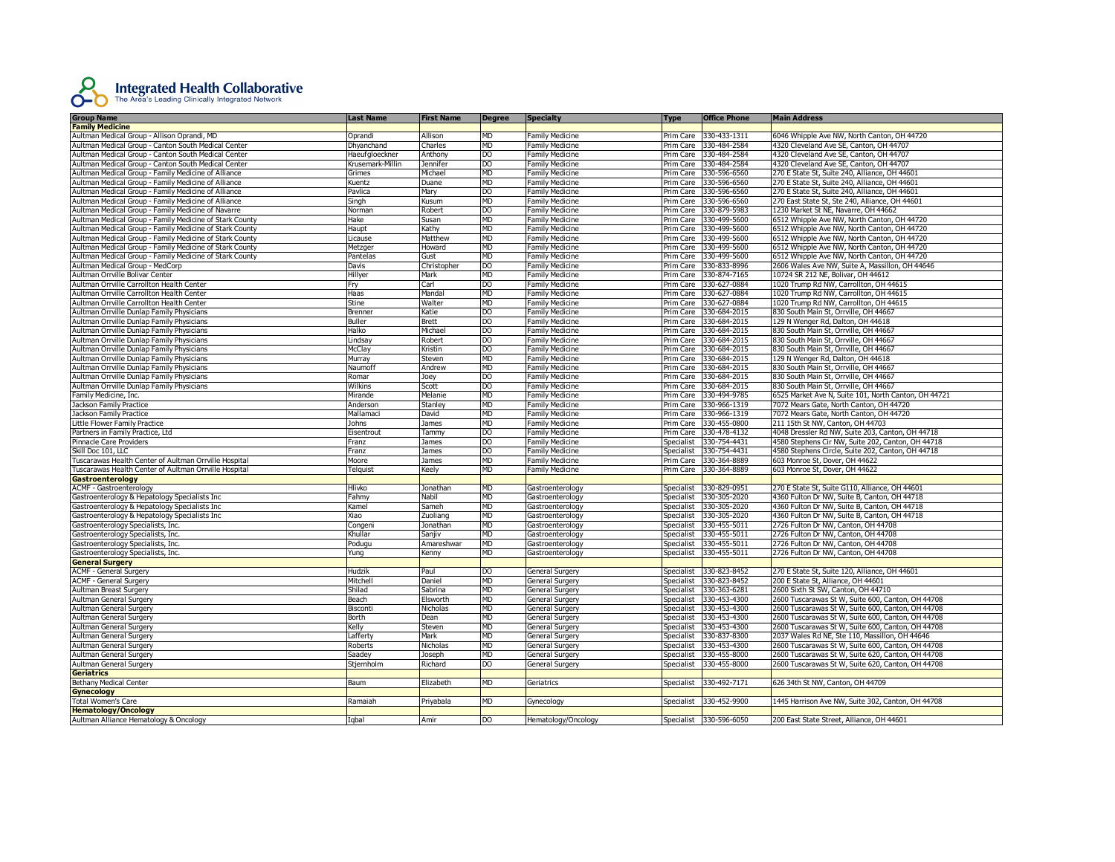

| <b>Family Medicine</b><br>Aultman Medical Group - Allison Oprandi, MD<br>Oprandi<br>Allison<br><b>MD</b><br><b>Family Medicine</b><br>Prim Care<br>330-433-1311<br>6046 Whipple Ave NW, North Canton, OH 44720<br><b>MD</b><br>330-484-2584<br>Aultman Medical Group - Canton South Medical Center<br>Dhvanchand<br>Charles<br>Family Medicine<br>Prim Care<br>4320 Cleveland Ave SE, Canton, OH 44707<br>Aultman Medical Group - Canton South Medical Center<br>Haeufgloeckner<br><sub>DO</sub><br><b>Family Medicine</b><br>Prim Care 330-484-2584<br>4320 Cleveland Ave SE, Canton, OH 44707<br>Anthony<br>Aultman Medical Group - Canton South Medical Center<br>Krusemark-Millin<br>Jennifer<br>D <sub>O</sub><br><b>Family Medicine</b><br>Prim Care<br>330-484-2584<br>4320 Cleveland Ave SE, Canton, OH 44707<br>Aultman Medical Group - Family Medicine of Alliance<br>Michael<br><b>MD</b><br><b>Family Medicine</b><br>330-596-6560<br>270 E State St, Suite 240, Alliance, OH 44601<br>Grimes<br>Prim Care<br>Aultman Medical Group - Family Medicine of Alliance<br><b>Kuentz</b><br>Duane<br><b>MD</b><br><b>Family Medicine</b><br>Prim Care<br>330-596-6560<br>270 E State St, Suite 240, Alliance, OH 44601<br>Aultman Medical Group - Family Medicine of Alliance<br>Pavlica<br>Mary<br>DO<br>Family Medicine<br>330-596-6560<br>270 E State St, Suite 240, Alliance, OH 44601<br>Prim Care<br>Aultman Medical Group - Family Medicine of Alliance<br>Singh<br>Kusum<br><b>MD</b><br><b>Family Medicine</b><br>Prim Care<br>330-596-6560<br>270 East State St, Ste 240, Alliance, OH 44601<br>Aultman Medical Group - Family Medicine of Navarre<br>DO<br>330-879-5983<br>1230 Market St NE, Navarre, OH 44662<br>Norman<br>Robert<br>Family Medicine<br>Prim Care<br><b>MD</b><br>330-499-5600<br>6512 Whipple Ave NW, North Canton, OH 44720<br>Aultman Medical Group - Family Medicine of Stark County<br>Hake<br>Susan<br><b>Family Medicine</b><br>Prim Care<br>MD<br>Aultman Medical Group - Family Medicine of Stark County<br><b>Family Medicine</b><br>Prim Care<br>330-499-5600<br>6512 Whipple Ave NW, North Canton, OH 44720<br>Haupt<br>Kathy<br><b>MD</b><br>Aultman Medical Group - Family Medicine of Stark County<br>Licause<br>Matthew<br>Family Medicine<br>Prim Care<br>330-499-5600<br>6512 Whipple Ave NW, North Canton, OH 44720<br><b>MD</b><br>Aultman Medical Group - Family Medicine of Stark County<br>Howard<br><b>Family Medicine</b><br>Prim Care<br>330-499-5600<br>6512 Whipple Ave NW, North Canton, OH 44720<br>Metzger<br>Aultman Medical Group - Family Medicine of Stark County<br>Pantelas<br>Gust<br><b>MD</b><br>Family Medicine<br>Prim Care<br>330-499-5600<br>6512 Whipple Ave NW, North Canton, OH 44720<br>g<br>330-833-8996<br>Aultman Medical Group - MedCorp<br>Davis<br>Christopher<br>Family Medicine<br>Prim Care<br>2606 Wales Ave NW, Suite A, Massillon, OH 44646<br><b>MD</b><br>Aultman Orrville Bolivar Center<br>Hillyer<br>Mark<br><b>Family Medicine</b><br>Prim Care<br>330-874-7165<br>10724 SR 212 NE, Bolivar, OH 44612<br>DO.<br>330-627-0884<br>1020 Trump Rd NW, Carrollton, OH 44615<br>Aultman Orrville Carrollton Health Center<br>Carl<br>Family Medicine<br>Prim Care<br>Fry<br>Aultman Orrville Carrollton Health Center<br>Haas<br>Mandal<br>MD<br><b>Family Medicine</b><br>Prim Care<br>330-627-0884<br>1020 Trump Rd NW, Carrollton, OH 44615<br><b>MD</b><br>Aultman Orrville Carrollton Health Center<br>Stine<br>Walter<br><b>Family Medicine</b><br>Prim Care<br>330-627-0884<br>1020 Trump Rd NW, Carrollton, OH 44615<br>D <sub>O</sub><br>Katie<br>Family Medicine<br>Prim Care<br>330-684-2015<br>830 South Main St, Orrville, OH 44667<br>Aultman Orrville Dunlap Family Physicians<br>Brenner<br><b>Buller</b><br>Brett<br>DO<br><b>Family Medicine</b><br>Prim Care<br>330-684-2015<br>129 N Wenger Rd, Dalton, OH 44618<br>Aultman Orrville Dunlap Family Physicians<br>Michael<br>330-684-2015<br>Aultman Orrville Dunlap Family Physicians<br>Halko<br>DO<br><b>Family Medicine</b><br>Prim Care<br>830 South Main St, Orrville, OH 44667<br>Robert<br>D <sub>O</sub><br><b>Family Medicine</b><br>330-684-2015<br>830 South Main St, Orrville, OH 44667<br>Aultman Orrville Dunlap Family Physicians<br>Lindsay<br>Prim Care<br>McClay<br><b>DO</b><br><b>Family Medicine</b><br>330-684-2015<br>830 South Main St, Orrville, OH 44667<br>Aultman Orrville Dunlap Family Physicians<br>Kristin<br>Prim Care<br>MD<br>330-684-2015<br>129 N Wenger Rd, Dalton, OH 44618<br>Aultman Orrville Dunlap Family Physicians<br>Murray<br>Steven<br><b>Family Medicine</b><br>Prim Care<br>MD<br><b>Family Medicine</b><br>Prim Care<br>330-684-2015<br>830 South Main St, Orrville, OH 44667<br>Aultman Orrville Dunlap Family Physicians<br>Naumoff<br>Andrew<br>D <sub>O</sub><br>330-684-2015<br>830 South Main St, Orrville, OH 44667<br>Aultman Orrville Dunlap Family Physicians<br>Romar<br>Joey<br><b>Family Medicine</b><br>Prim Care<br>D <sub>O</sub><br>Wilkins<br>Scott<br><b>Family Medicine</b><br>Prim Care<br>330-684-2015<br>830 South Main St, Orrville, OH 44667<br>Aultman Orrville Dunlap Family Physicians<br>Family Medicine, Inc.<br>Melanie<br><b>MD</b><br>Family Medicine<br>330-494-9785<br>6525 Market Ave N, Suite 101, North Canton, OH 44721<br>Mirande<br>Prim Care<br><b>MD</b><br>Jackson Family Practice<br>Anderson<br>Stanley<br><b>Family Medicine</b><br>Prim Care<br>330-966-1319<br>7072 Mears Gate, North Canton, OH 44720<br><b>MD</b><br>Family Medicine<br>330-966-1319<br>7072 Mears Gate, North Canton, OH 44720<br>Jackson Family Practice<br>Mallamaci<br>David<br>Prim Care<br><b>MD</b><br>Little Flower Family Practice<br>Johns<br>James<br><b>Family Medicine</b><br>Prim Care<br>330-455-0800<br>211 15th St NW, Canton, OH 44703<br>Partners in Family Practice, Ltd<br>DO<br><b>Family Medicine</b><br>Prim Care<br>330-478-4132<br>4048 Dressler Rd NW, Suite 203, Canton, OH 44718<br>Eisentrout<br>Tammy<br>Pinnacle Care Providers<br>Franz<br>James<br><b>DO</b><br>Family Medicine<br>Specialist<br>330-754-4431<br>4580 Stephens Cir NW, Suite 202, Canton, OH 44718<br>330-754-4431<br>Skill Doc 101, LLC<br>g<br><b>Family Medicine</b><br>4580 Stephens Circle, Suite 202, Canton, OH 44718<br>Franz<br>James<br>Specialist<br>Tuscarawas Health Center of Aultman Orrville Hospital<br>Moore<br>James<br><b>MD</b><br><b>Family Medicine</b><br>Prim Care<br>330-364-8889<br>603 Monroe St, Dover, OH 44622<br>Tuscarawas Health Center of Aultman Orrville Hospital<br><b>Family Medicine</b><br>330-364-8889<br>603 Monroe St, Dover, OH 44622<br>Telquist<br>Keely<br>MD<br>Prim Care<br>Gastroenterology<br><b>ACMF - Gastroenterology</b><br><b>MD</b><br>330-829-0951<br>Hlivko<br>Jonathan<br>Gastroenterology<br>Specialist<br>270 E State St, Suite G110, Alliance, OH 44601<br>Gastroenterology & Hepatology Specialists Inc<br>Fahmy<br>Nabil<br><b>MD</b><br>Gastroenterology<br>Specialist<br>330-305-2020<br>4360 Fulton Dr NW, Suite B, Canton, OH 44718<br><b>MD</b><br>Specialist<br>330-305-2020<br>4360 Fulton Dr NW, Suite B, Canton, OH 44718<br>Gastroenterology & Hepatology Specialists Inc<br>Kamel<br>Sameh<br>Gastroenterology<br>Gastroenterology & Hepatology Specialists Inc<br>Kiao<br>Zuoliang<br><b>MD</b><br>Specialist<br>330-305-2020<br>4360 Fulton Dr NW, Suite B, Canton, OH 44718<br>Gastroenterology<br><b>MD</b><br>Congeni<br>Jonathan<br>330-455-5011<br>2726 Fulton Dr NW, Canton, OH 44708<br>Gastroenterology Specialists, Inc.<br>Gastroenterology<br>Specialist<br>Gastroenterology Specialists, Inc.<br>Khullar<br>Sanjiv<br>MD<br>330-455-5011<br>2726 Fulton Dr NW, Canton, OH 44708<br>Gastroenterology<br>Specialist<br>MD<br>330-455-5011<br>Gastroenterology Specialists, Inc.<br>Podugu<br>Amareshwar<br>Gastroenterology<br>Specialist<br>2726 Fulton Dr NW, Canton, OH 44708<br>Gastroenterology Specialists, Inc.<br>MD<br>Gastroenterology<br><b>Specialist</b><br>330-455-5011<br>2726 Fulton Dr NW, Canton, OH 44708<br>Yung<br>Kenny<br><b>General Surgery</b><br>330-823-8452<br><b>ACMF - General Surgery</b><br>Hudzik<br>Paul<br>DO<br>Specialist<br>270 E State St, Suite 120, Alliance, OH 44601<br>General Surgery<br><b>ACMF - General Surgery</b><br>Mitchell<br>Daniel<br><b>MD</b><br>General Surgery<br>Specialist<br>330-823-8452<br>200 E State St, Alliance, OH 44601<br>Shilad<br><b>MD</b><br>330-363-6281<br>2600 Sixth St SW, Canton, OH 44710<br>Aultman Breast Surgery<br>Sabrina<br>General Surgery<br><b>Specialist</b><br><b>MD</b><br>330-453-4300<br>2600 Tuscarawas St W, Suite 600, Canton, OH 44708<br>Aultman General Surgery<br>Beach<br>Elsworth<br><b>General Surgery</b><br>Specialist<br>330-453-4300<br>Aultman General Surgery<br>Biscont<br>Nicholas<br>MD<br>General Surgery<br>Specialist<br>2600 Tuscarawas St W, Suite 600, Canton, OH 44708<br><b>MD</b><br>330-453-4300<br>2600 Tuscarawas St W, Suite 600, Canton, OH 44708<br>Aultman General Surgery<br>Borth<br>Dean<br>General Surgery<br>Specialist<br>Kelly<br>MD<br>Steven<br>General Surgery<br>330-453-4300<br>2600 Tuscarawas St W, Suite 600, Canton, OH 44708<br>Aultman General Surgery<br>Specialist<br><b>Aultman General Surgery</b><br>Lafferty<br>Mark<br>MD<br><b>General Surgery</b><br>Specialist<br>330-837-8300<br>2037 Wales Rd NE, Ste 110, Massillon, OH 44646<br>MD<br>Nicholas<br>General Surgery<br>Specialist<br>330-453-4300<br>2600 Tuscarawas St W, Suite 600, Canton, OH 44708<br>Aultman General Surgery<br>Roberts<br>Aultman General Surgery<br>Saadey<br>loseph<br><b>MD</b><br><b>General Surgery</b><br>Specialist<br>330-455-8000<br>2600 Tuscarawas St W, Suite 620, Canton, OH 44708<br>D <sub>O</sub><br>330-455-8000<br>Aultman General Surgery<br>Richard<br>General Surgery<br>Specialist<br>2600 Tuscarawas St W, Suite 620, Canton, OH 44708<br>Stjernholm<br><b>Geriatrics</b><br>330-492-7171<br><b>Bethany Medical Center</b><br>Elizabeth<br>626 34th St NW, Canton, OH 44709<br>Baum<br><b>MD</b><br>Geriatrics<br>Specialist<br><b>Gynecology</b><br><b>Total Women's Care</b><br>Ramaiah<br>Priyabala<br><b>MD</b><br>Gynecology<br>Specialist<br>330-452-9900<br>1445 Harrison Ave NW, Suite 302, Canton, OH 44708<br><b>Hematology/Oncology</b><br>Aultman Alliance Hematology & Oncology<br><b>DO</b><br>Specialist 330-596-6050<br>200 East State Street, Alliance, OH 44601<br>Iqbal<br>Amir<br>Hematology/Oncology | <b>Group Name</b> | <b>Last Name</b> | <b>First Name</b> | <b>Degree</b> | <b>Specialty</b> | <b>Type</b> | <b>Office Phone</b> | <b>Main Address</b> |
|----------------------------------------------------------------------------------------------------------------------------------------------------------------------------------------------------------------------------------------------------------------------------------------------------------------------------------------------------------------------------------------------------------------------------------------------------------------------------------------------------------------------------------------------------------------------------------------------------------------------------------------------------------------------------------------------------------------------------------------------------------------------------------------------------------------------------------------------------------------------------------------------------------------------------------------------------------------------------------------------------------------------------------------------------------------------------------------------------------------------------------------------------------------------------------------------------------------------------------------------------------------------------------------------------------------------------------------------------------------------------------------------------------------------------------------------------------------------------------------------------------------------------------------------------------------------------------------------------------------------------------------------------------------------------------------------------------------------------------------------------------------------------------------------------------------------------------------------------------------------------------------------------------------------------------------------------------------------------------------------------------------------------------------------------------------------------------------------------------------------------------------------------------------------------------------------------------------------------------------------------------------------------------------------------------------------------------------------------------------------------------------------------------------------------------------------------------------------------------------------------------------------------------------------------------------------------------------------------------------------------------------------------------------------------------------------------------------------------------------------------------------------------------------------------------------------------------------------------------------------------------------------------------------------------------------------------------------------------------------------------------------------------------------------------------------------------------------------------------------------------------------------------------------------------------------------------------------------------------------------------------------------------------------------------------------------------------------------------------------------------------------------------------------------------------------------------------------------------------------------------------------------------------------------------------------------------------------------------------------------------------------------------------------------------------------------------------------------------------------------------------------------------------------------------------------------------------------------------------------------------------------------------------------------------------------------------------------------------------------------------------------------------------------------------------------------------------------------------------------------------------------------------------------------------------------------------------------------------------------------------------------------------------------------------------------------------------------------------------------------------------------------------------------------------------------------------------------------------------------------------------------------------------------------------------------------------------------------------------------------------------------------------------------------------------------------------------------------------------------------------------------------------------------------------------------------------------------------------------------------------------------------------------------------------------------------------------------------------------------------------------------------------------------------------------------------------------------------------------------------------------------------------------------------------------------------------------------------------------------------------------------------------------------------------------------------------------------------------------------------------------------------------------------------------------------------------------------------------------------------------------------------------------------------------------------------------------------------------------------------------------------------------------------------------------------------------------------------------------------------------------------------------------------------------------------------------------------------------------------------------------------------------------------------------------------------------------------------------------------------------------------------------------------------------------------------------------------------------------------------------------------------------------------------------------------------------------------------------------------------------------------------------------------------------------------------------------------------------------------------------------------------------------------------------------------------------------------------------------------------------------------------------------------------------------------------------------------------------------------------------------------------------------------------------------------------------------------------------------------------------------------------------------------------------------------------------------------------------------------------------------------------------------------------------------------------------------------------------------------------------------------------------------------------------------------------------------------------------------------------------------------------------------------------------------------------------------------------------------------------------------------------------------------------------------------------------------------------------------------------------------------------------------------------------------------------------------------------------------------------------------------------------------------------------------------------------------------------------------------------------------------------------------------------------------------------------------------------------------------------------------------------------------------------------------------------------------------------------------------------------------------------------------------------------------------------------------------------------------------------------------------------------------------------------------------------------------------------------------------------------------------------------------------------------------------------------------------------------------------------------------------------------------------------------------------------------------------------------------------------------------------------------------------------------------------------------------------------------------------------------------------------------------------------------------------------------------------------------------------------------------------------------------------------------------------------------------------------------------------------------------------------------------------------------------------------------------------------------------------------------------------------------------------------------------------------------------------------------------------------------------------------------------------------------------------------------------------------------------------------------------------------------------------------------------------------------------------------------------------------------------------------------------------------------------------------------------------------------------------------------------------------------------------------------------------------------------------------------------------------------------------------------------------------------------------------------------------------------------------------------------------------------------------------------------------------------------------------------------------------------------------------------------------------------------------------------------------------------------------------------------------------------------------------------------------------------------------------------------------------------------------------------------------------------------------------------------------------------------------------------------------------------------------------------------------------------------------------------------------------------------------------------------------------------------------------------------------------------------------------------------------------------------------------------------------------------------------------------------------------------------------------------------------------------------------------------------------------------------------------------|-------------------|------------------|-------------------|---------------|------------------|-------------|---------------------|---------------------|
|                                                                                                                                                                                                                                                                                                                                                                                                                                                                                                                                                                                                                                                                                                                                                                                                                                                                                                                                                                                                                                                                                                                                                                                                                                                                                                                                                                                                                                                                                                                                                                                                                                                                                                                                                                                                                                                                                                                                                                                                                                                                                                                                                                                                                                                                                                                                                                                                                                                                                                                                                                                                                                                                                                                                                                                                                                                                                                                                                                                                                                                                                                                                                                                                                                                                                                                                                                                                                                                                                                                                                                                                                                                                                                                                                                                                                                                                                                                                                                                                                                                                                                                                                                                                                                                                                                                                                                                                                                                                                                                                                                                                                                                                                                                                                                                                                                                                                                                                                                                                                                                                                                                                                                                                                                                                                                                                                                                                                                                                                                                                                                                                                                                                                                                                                                                                                                                                                                                                                                                                                                                                                                                                                                                                                                                                                                                                                                                                                                                                                                                                                                                                                                                                                                                                                                                                                                                                                                                                                                                                                                                                                                                                                                                                                                                                                                                                                                                                                                                                                                                                                                                                                                                                                                                                                                                                                                                                                                                                                                                                                                                                                                                                                                                                                                                                                                                                                                                                                                                                                                                                                                                                                                                                                                                                                                                                                                                                                                                                                                                                                                                                                                                                                                                                                                                                                                                                                                                                                                                                                                                                                                                                                                                                                                                                                                                                                                                                                                                                                                                                                                                                                                                                                                                                                                                                                                                                                                                                                                                                                                                                                                                                                            |                   |                  |                   |               |                  |             |                     |                     |
|                                                                                                                                                                                                                                                                                                                                                                                                                                                                                                                                                                                                                                                                                                                                                                                                                                                                                                                                                                                                                                                                                                                                                                                                                                                                                                                                                                                                                                                                                                                                                                                                                                                                                                                                                                                                                                                                                                                                                                                                                                                                                                                                                                                                                                                                                                                                                                                                                                                                                                                                                                                                                                                                                                                                                                                                                                                                                                                                                                                                                                                                                                                                                                                                                                                                                                                                                                                                                                                                                                                                                                                                                                                                                                                                                                                                                                                                                                                                                                                                                                                                                                                                                                                                                                                                                                                                                                                                                                                                                                                                                                                                                                                                                                                                                                                                                                                                                                                                                                                                                                                                                                                                                                                                                                                                                                                                                                                                                                                                                                                                                                                                                                                                                                                                                                                                                                                                                                                                                                                                                                                                                                                                                                                                                                                                                                                                                                                                                                                                                                                                                                                                                                                                                                                                                                                                                                                                                                                                                                                                                                                                                                                                                                                                                                                                                                                                                                                                                                                                                                                                                                                                                                                                                                                                                                                                                                                                                                                                                                                                                                                                                                                                                                                                                                                                                                                                                                                                                                                                                                                                                                                                                                                                                                                                                                                                                                                                                                                                                                                                                                                                                                                                                                                                                                                                                                                                                                                                                                                                                                                                                                                                                                                                                                                                                                                                                                                                                                                                                                                                                                                                                                                                                                                                                                                                                                                                                                                                                                                                                                                                                                                                                            |                   |                  |                   |               |                  |             |                     |                     |
|                                                                                                                                                                                                                                                                                                                                                                                                                                                                                                                                                                                                                                                                                                                                                                                                                                                                                                                                                                                                                                                                                                                                                                                                                                                                                                                                                                                                                                                                                                                                                                                                                                                                                                                                                                                                                                                                                                                                                                                                                                                                                                                                                                                                                                                                                                                                                                                                                                                                                                                                                                                                                                                                                                                                                                                                                                                                                                                                                                                                                                                                                                                                                                                                                                                                                                                                                                                                                                                                                                                                                                                                                                                                                                                                                                                                                                                                                                                                                                                                                                                                                                                                                                                                                                                                                                                                                                                                                                                                                                                                                                                                                                                                                                                                                                                                                                                                                                                                                                                                                                                                                                                                                                                                                                                                                                                                                                                                                                                                                                                                                                                                                                                                                                                                                                                                                                                                                                                                                                                                                                                                                                                                                                                                                                                                                                                                                                                                                                                                                                                                                                                                                                                                                                                                                                                                                                                                                                                                                                                                                                                                                                                                                                                                                                                                                                                                                                                                                                                                                                                                                                                                                                                                                                                                                                                                                                                                                                                                                                                                                                                                                                                                                                                                                                                                                                                                                                                                                                                                                                                                                                                                                                                                                                                                                                                                                                                                                                                                                                                                                                                                                                                                                                                                                                                                                                                                                                                                                                                                                                                                                                                                                                                                                                                                                                                                                                                                                                                                                                                                                                                                                                                                                                                                                                                                                                                                                                                                                                                                                                                                                                                                                            |                   |                  |                   |               |                  |             |                     |                     |
|                                                                                                                                                                                                                                                                                                                                                                                                                                                                                                                                                                                                                                                                                                                                                                                                                                                                                                                                                                                                                                                                                                                                                                                                                                                                                                                                                                                                                                                                                                                                                                                                                                                                                                                                                                                                                                                                                                                                                                                                                                                                                                                                                                                                                                                                                                                                                                                                                                                                                                                                                                                                                                                                                                                                                                                                                                                                                                                                                                                                                                                                                                                                                                                                                                                                                                                                                                                                                                                                                                                                                                                                                                                                                                                                                                                                                                                                                                                                                                                                                                                                                                                                                                                                                                                                                                                                                                                                                                                                                                                                                                                                                                                                                                                                                                                                                                                                                                                                                                                                                                                                                                                                                                                                                                                                                                                                                                                                                                                                                                                                                                                                                                                                                                                                                                                                                                                                                                                                                                                                                                                                                                                                                                                                                                                                                                                                                                                                                                                                                                                                                                                                                                                                                                                                                                                                                                                                                                                                                                                                                                                                                                                                                                                                                                                                                                                                                                                                                                                                                                                                                                                                                                                                                                                                                                                                                                                                                                                                                                                                                                                                                                                                                                                                                                                                                                                                                                                                                                                                                                                                                                                                                                                                                                                                                                                                                                                                                                                                                                                                                                                                                                                                                                                                                                                                                                                                                                                                                                                                                                                                                                                                                                                                                                                                                                                                                                                                                                                                                                                                                                                                                                                                                                                                                                                                                                                                                                                                                                                                                                                                                                                                                            |                   |                  |                   |               |                  |             |                     |                     |
|                                                                                                                                                                                                                                                                                                                                                                                                                                                                                                                                                                                                                                                                                                                                                                                                                                                                                                                                                                                                                                                                                                                                                                                                                                                                                                                                                                                                                                                                                                                                                                                                                                                                                                                                                                                                                                                                                                                                                                                                                                                                                                                                                                                                                                                                                                                                                                                                                                                                                                                                                                                                                                                                                                                                                                                                                                                                                                                                                                                                                                                                                                                                                                                                                                                                                                                                                                                                                                                                                                                                                                                                                                                                                                                                                                                                                                                                                                                                                                                                                                                                                                                                                                                                                                                                                                                                                                                                                                                                                                                                                                                                                                                                                                                                                                                                                                                                                                                                                                                                                                                                                                                                                                                                                                                                                                                                                                                                                                                                                                                                                                                                                                                                                                                                                                                                                                                                                                                                                                                                                                                                                                                                                                                                                                                                                                                                                                                                                                                                                                                                                                                                                                                                                                                                                                                                                                                                                                                                                                                                                                                                                                                                                                                                                                                                                                                                                                                                                                                                                                                                                                                                                                                                                                                                                                                                                                                                                                                                                                                                                                                                                                                                                                                                                                                                                                                                                                                                                                                                                                                                                                                                                                                                                                                                                                                                                                                                                                                                                                                                                                                                                                                                                                                                                                                                                                                                                                                                                                                                                                                                                                                                                                                                                                                                                                                                                                                                                                                                                                                                                                                                                                                                                                                                                                                                                                                                                                                                                                                                                                                                                                                                                            |                   |                  |                   |               |                  |             |                     |                     |
|                                                                                                                                                                                                                                                                                                                                                                                                                                                                                                                                                                                                                                                                                                                                                                                                                                                                                                                                                                                                                                                                                                                                                                                                                                                                                                                                                                                                                                                                                                                                                                                                                                                                                                                                                                                                                                                                                                                                                                                                                                                                                                                                                                                                                                                                                                                                                                                                                                                                                                                                                                                                                                                                                                                                                                                                                                                                                                                                                                                                                                                                                                                                                                                                                                                                                                                                                                                                                                                                                                                                                                                                                                                                                                                                                                                                                                                                                                                                                                                                                                                                                                                                                                                                                                                                                                                                                                                                                                                                                                                                                                                                                                                                                                                                                                                                                                                                                                                                                                                                                                                                                                                                                                                                                                                                                                                                                                                                                                                                                                                                                                                                                                                                                                                                                                                                                                                                                                                                                                                                                                                                                                                                                                                                                                                                                                                                                                                                                                                                                                                                                                                                                                                                                                                                                                                                                                                                                                                                                                                                                                                                                                                                                                                                                                                                                                                                                                                                                                                                                                                                                                                                                                                                                                                                                                                                                                                                                                                                                                                                                                                                                                                                                                                                                                                                                                                                                                                                                                                                                                                                                                                                                                                                                                                                                                                                                                                                                                                                                                                                                                                                                                                                                                                                                                                                                                                                                                                                                                                                                                                                                                                                                                                                                                                                                                                                                                                                                                                                                                                                                                                                                                                                                                                                                                                                                                                                                                                                                                                                                                                                                                                                                            |                   |                  |                   |               |                  |             |                     |                     |
|                                                                                                                                                                                                                                                                                                                                                                                                                                                                                                                                                                                                                                                                                                                                                                                                                                                                                                                                                                                                                                                                                                                                                                                                                                                                                                                                                                                                                                                                                                                                                                                                                                                                                                                                                                                                                                                                                                                                                                                                                                                                                                                                                                                                                                                                                                                                                                                                                                                                                                                                                                                                                                                                                                                                                                                                                                                                                                                                                                                                                                                                                                                                                                                                                                                                                                                                                                                                                                                                                                                                                                                                                                                                                                                                                                                                                                                                                                                                                                                                                                                                                                                                                                                                                                                                                                                                                                                                                                                                                                                                                                                                                                                                                                                                                                                                                                                                                                                                                                                                                                                                                                                                                                                                                                                                                                                                                                                                                                                                                                                                                                                                                                                                                                                                                                                                                                                                                                                                                                                                                                                                                                                                                                                                                                                                                                                                                                                                                                                                                                                                                                                                                                                                                                                                                                                                                                                                                                                                                                                                                                                                                                                                                                                                                                                                                                                                                                                                                                                                                                                                                                                                                                                                                                                                                                                                                                                                                                                                                                                                                                                                                                                                                                                                                                                                                                                                                                                                                                                                                                                                                                                                                                                                                                                                                                                                                                                                                                                                                                                                                                                                                                                                                                                                                                                                                                                                                                                                                                                                                                                                                                                                                                                                                                                                                                                                                                                                                                                                                                                                                                                                                                                                                                                                                                                                                                                                                                                                                                                                                                                                                                                                                            |                   |                  |                   |               |                  |             |                     |                     |
|                                                                                                                                                                                                                                                                                                                                                                                                                                                                                                                                                                                                                                                                                                                                                                                                                                                                                                                                                                                                                                                                                                                                                                                                                                                                                                                                                                                                                                                                                                                                                                                                                                                                                                                                                                                                                                                                                                                                                                                                                                                                                                                                                                                                                                                                                                                                                                                                                                                                                                                                                                                                                                                                                                                                                                                                                                                                                                                                                                                                                                                                                                                                                                                                                                                                                                                                                                                                                                                                                                                                                                                                                                                                                                                                                                                                                                                                                                                                                                                                                                                                                                                                                                                                                                                                                                                                                                                                                                                                                                                                                                                                                                                                                                                                                                                                                                                                                                                                                                                                                                                                                                                                                                                                                                                                                                                                                                                                                                                                                                                                                                                                                                                                                                                                                                                                                                                                                                                                                                                                                                                                                                                                                                                                                                                                                                                                                                                                                                                                                                                                                                                                                                                                                                                                                                                                                                                                                                                                                                                                                                                                                                                                                                                                                                                                                                                                                                                                                                                                                                                                                                                                                                                                                                                                                                                                                                                                                                                                                                                                                                                                                                                                                                                                                                                                                                                                                                                                                                                                                                                                                                                                                                                                                                                                                                                                                                                                                                                                                                                                                                                                                                                                                                                                                                                                                                                                                                                                                                                                                                                                                                                                                                                                                                                                                                                                                                                                                                                                                                                                                                                                                                                                                                                                                                                                                                                                                                                                                                                                                                                                                                                                                            |                   |                  |                   |               |                  |             |                     |                     |
|                                                                                                                                                                                                                                                                                                                                                                                                                                                                                                                                                                                                                                                                                                                                                                                                                                                                                                                                                                                                                                                                                                                                                                                                                                                                                                                                                                                                                                                                                                                                                                                                                                                                                                                                                                                                                                                                                                                                                                                                                                                                                                                                                                                                                                                                                                                                                                                                                                                                                                                                                                                                                                                                                                                                                                                                                                                                                                                                                                                                                                                                                                                                                                                                                                                                                                                                                                                                                                                                                                                                                                                                                                                                                                                                                                                                                                                                                                                                                                                                                                                                                                                                                                                                                                                                                                                                                                                                                                                                                                                                                                                                                                                                                                                                                                                                                                                                                                                                                                                                                                                                                                                                                                                                                                                                                                                                                                                                                                                                                                                                                                                                                                                                                                                                                                                                                                                                                                                                                                                                                                                                                                                                                                                                                                                                                                                                                                                                                                                                                                                                                                                                                                                                                                                                                                                                                                                                                                                                                                                                                                                                                                                                                                                                                                                                                                                                                                                                                                                                                                                                                                                                                                                                                                                                                                                                                                                                                                                                                                                                                                                                                                                                                                                                                                                                                                                                                                                                                                                                                                                                                                                                                                                                                                                                                                                                                                                                                                                                                                                                                                                                                                                                                                                                                                                                                                                                                                                                                                                                                                                                                                                                                                                                                                                                                                                                                                                                                                                                                                                                                                                                                                                                                                                                                                                                                                                                                                                                                                                                                                                                                                                                                            |                   |                  |                   |               |                  |             |                     |                     |
|                                                                                                                                                                                                                                                                                                                                                                                                                                                                                                                                                                                                                                                                                                                                                                                                                                                                                                                                                                                                                                                                                                                                                                                                                                                                                                                                                                                                                                                                                                                                                                                                                                                                                                                                                                                                                                                                                                                                                                                                                                                                                                                                                                                                                                                                                                                                                                                                                                                                                                                                                                                                                                                                                                                                                                                                                                                                                                                                                                                                                                                                                                                                                                                                                                                                                                                                                                                                                                                                                                                                                                                                                                                                                                                                                                                                                                                                                                                                                                                                                                                                                                                                                                                                                                                                                                                                                                                                                                                                                                                                                                                                                                                                                                                                                                                                                                                                                                                                                                                                                                                                                                                                                                                                                                                                                                                                                                                                                                                                                                                                                                                                                                                                                                                                                                                                                                                                                                                                                                                                                                                                                                                                                                                                                                                                                                                                                                                                                                                                                                                                                                                                                                                                                                                                                                                                                                                                                                                                                                                                                                                                                                                                                                                                                                                                                                                                                                                                                                                                                                                                                                                                                                                                                                                                                                                                                                                                                                                                                                                                                                                                                                                                                                                                                                                                                                                                                                                                                                                                                                                                                                                                                                                                                                                                                                                                                                                                                                                                                                                                                                                                                                                                                                                                                                                                                                                                                                                                                                                                                                                                                                                                                                                                                                                                                                                                                                                                                                                                                                                                                                                                                                                                                                                                                                                                                                                                                                                                                                                                                                                                                                                                                            |                   |                  |                   |               |                  |             |                     |                     |
|                                                                                                                                                                                                                                                                                                                                                                                                                                                                                                                                                                                                                                                                                                                                                                                                                                                                                                                                                                                                                                                                                                                                                                                                                                                                                                                                                                                                                                                                                                                                                                                                                                                                                                                                                                                                                                                                                                                                                                                                                                                                                                                                                                                                                                                                                                                                                                                                                                                                                                                                                                                                                                                                                                                                                                                                                                                                                                                                                                                                                                                                                                                                                                                                                                                                                                                                                                                                                                                                                                                                                                                                                                                                                                                                                                                                                                                                                                                                                                                                                                                                                                                                                                                                                                                                                                                                                                                                                                                                                                                                                                                                                                                                                                                                                                                                                                                                                                                                                                                                                                                                                                                                                                                                                                                                                                                                                                                                                                                                                                                                                                                                                                                                                                                                                                                                                                                                                                                                                                                                                                                                                                                                                                                                                                                                                                                                                                                                                                                                                                                                                                                                                                                                                                                                                                                                                                                                                                                                                                                                                                                                                                                                                                                                                                                                                                                                                                                                                                                                                                                                                                                                                                                                                                                                                                                                                                                                                                                                                                                                                                                                                                                                                                                                                                                                                                                                                                                                                                                                                                                                                                                                                                                                                                                                                                                                                                                                                                                                                                                                                                                                                                                                                                                                                                                                                                                                                                                                                                                                                                                                                                                                                                                                                                                                                                                                                                                                                                                                                                                                                                                                                                                                                                                                                                                                                                                                                                                                                                                                                                                                                                                                                            |                   |                  |                   |               |                  |             |                     |                     |
|                                                                                                                                                                                                                                                                                                                                                                                                                                                                                                                                                                                                                                                                                                                                                                                                                                                                                                                                                                                                                                                                                                                                                                                                                                                                                                                                                                                                                                                                                                                                                                                                                                                                                                                                                                                                                                                                                                                                                                                                                                                                                                                                                                                                                                                                                                                                                                                                                                                                                                                                                                                                                                                                                                                                                                                                                                                                                                                                                                                                                                                                                                                                                                                                                                                                                                                                                                                                                                                                                                                                                                                                                                                                                                                                                                                                                                                                                                                                                                                                                                                                                                                                                                                                                                                                                                                                                                                                                                                                                                                                                                                                                                                                                                                                                                                                                                                                                                                                                                                                                                                                                                                                                                                                                                                                                                                                                                                                                                                                                                                                                                                                                                                                                                                                                                                                                                                                                                                                                                                                                                                                                                                                                                                                                                                                                                                                                                                                                                                                                                                                                                                                                                                                                                                                                                                                                                                                                                                                                                                                                                                                                                                                                                                                                                                                                                                                                                                                                                                                                                                                                                                                                                                                                                                                                                                                                                                                                                                                                                                                                                                                                                                                                                                                                                                                                                                                                                                                                                                                                                                                                                                                                                                                                                                                                                                                                                                                                                                                                                                                                                                                                                                                                                                                                                                                                                                                                                                                                                                                                                                                                                                                                                                                                                                                                                                                                                                                                                                                                                                                                                                                                                                                                                                                                                                                                                                                                                                                                                                                                                                                                                                                                            |                   |                  |                   |               |                  |             |                     |                     |
|                                                                                                                                                                                                                                                                                                                                                                                                                                                                                                                                                                                                                                                                                                                                                                                                                                                                                                                                                                                                                                                                                                                                                                                                                                                                                                                                                                                                                                                                                                                                                                                                                                                                                                                                                                                                                                                                                                                                                                                                                                                                                                                                                                                                                                                                                                                                                                                                                                                                                                                                                                                                                                                                                                                                                                                                                                                                                                                                                                                                                                                                                                                                                                                                                                                                                                                                                                                                                                                                                                                                                                                                                                                                                                                                                                                                                                                                                                                                                                                                                                                                                                                                                                                                                                                                                                                                                                                                                                                                                                                                                                                                                                                                                                                                                                                                                                                                                                                                                                                                                                                                                                                                                                                                                                                                                                                                                                                                                                                                                                                                                                                                                                                                                                                                                                                                                                                                                                                                                                                                                                                                                                                                                                                                                                                                                                                                                                                                                                                                                                                                                                                                                                                                                                                                                                                                                                                                                                                                                                                                                                                                                                                                                                                                                                                                                                                                                                                                                                                                                                                                                                                                                                                                                                                                                                                                                                                                                                                                                                                                                                                                                                                                                                                                                                                                                                                                                                                                                                                                                                                                                                                                                                                                                                                                                                                                                                                                                                                                                                                                                                                                                                                                                                                                                                                                                                                                                                                                                                                                                                                                                                                                                                                                                                                                                                                                                                                                                                                                                                                                                                                                                                                                                                                                                                                                                                                                                                                                                                                                                                                                                                                                                            |                   |                  |                   |               |                  |             |                     |                     |
|                                                                                                                                                                                                                                                                                                                                                                                                                                                                                                                                                                                                                                                                                                                                                                                                                                                                                                                                                                                                                                                                                                                                                                                                                                                                                                                                                                                                                                                                                                                                                                                                                                                                                                                                                                                                                                                                                                                                                                                                                                                                                                                                                                                                                                                                                                                                                                                                                                                                                                                                                                                                                                                                                                                                                                                                                                                                                                                                                                                                                                                                                                                                                                                                                                                                                                                                                                                                                                                                                                                                                                                                                                                                                                                                                                                                                                                                                                                                                                                                                                                                                                                                                                                                                                                                                                                                                                                                                                                                                                                                                                                                                                                                                                                                                                                                                                                                                                                                                                                                                                                                                                                                                                                                                                                                                                                                                                                                                                                                                                                                                                                                                                                                                                                                                                                                                                                                                                                                                                                                                                                                                                                                                                                                                                                                                                                                                                                                                                                                                                                                                                                                                                                                                                                                                                                                                                                                                                                                                                                                                                                                                                                                                                                                                                                                                                                                                                                                                                                                                                                                                                                                                                                                                                                                                                                                                                                                                                                                                                                                                                                                                                                                                                                                                                                                                                                                                                                                                                                                                                                                                                                                                                                                                                                                                                                                                                                                                                                                                                                                                                                                                                                                                                                                                                                                                                                                                                                                                                                                                                                                                                                                                                                                                                                                                                                                                                                                                                                                                                                                                                                                                                                                                                                                                                                                                                                                                                                                                                                                                                                                                                                                                            |                   |                  |                   |               |                  |             |                     |                     |
|                                                                                                                                                                                                                                                                                                                                                                                                                                                                                                                                                                                                                                                                                                                                                                                                                                                                                                                                                                                                                                                                                                                                                                                                                                                                                                                                                                                                                                                                                                                                                                                                                                                                                                                                                                                                                                                                                                                                                                                                                                                                                                                                                                                                                                                                                                                                                                                                                                                                                                                                                                                                                                                                                                                                                                                                                                                                                                                                                                                                                                                                                                                                                                                                                                                                                                                                                                                                                                                                                                                                                                                                                                                                                                                                                                                                                                                                                                                                                                                                                                                                                                                                                                                                                                                                                                                                                                                                                                                                                                                                                                                                                                                                                                                                                                                                                                                                                                                                                                                                                                                                                                                                                                                                                                                                                                                                                                                                                                                                                                                                                                                                                                                                                                                                                                                                                                                                                                                                                                                                                                                                                                                                                                                                                                                                                                                                                                                                                                                                                                                                                                                                                                                                                                                                                                                                                                                                                                                                                                                                                                                                                                                                                                                                                                                                                                                                                                                                                                                                                                                                                                                                                                                                                                                                                                                                                                                                                                                                                                                                                                                                                                                                                                                                                                                                                                                                                                                                                                                                                                                                                                                                                                                                                                                                                                                                                                                                                                                                                                                                                                                                                                                                                                                                                                                                                                                                                                                                                                                                                                                                                                                                                                                                                                                                                                                                                                                                                                                                                                                                                                                                                                                                                                                                                                                                                                                                                                                                                                                                                                                                                                                                                            |                   |                  |                   |               |                  |             |                     |                     |
|                                                                                                                                                                                                                                                                                                                                                                                                                                                                                                                                                                                                                                                                                                                                                                                                                                                                                                                                                                                                                                                                                                                                                                                                                                                                                                                                                                                                                                                                                                                                                                                                                                                                                                                                                                                                                                                                                                                                                                                                                                                                                                                                                                                                                                                                                                                                                                                                                                                                                                                                                                                                                                                                                                                                                                                                                                                                                                                                                                                                                                                                                                                                                                                                                                                                                                                                                                                                                                                                                                                                                                                                                                                                                                                                                                                                                                                                                                                                                                                                                                                                                                                                                                                                                                                                                                                                                                                                                                                                                                                                                                                                                                                                                                                                                                                                                                                                                                                                                                                                                                                                                                                                                                                                                                                                                                                                                                                                                                                                                                                                                                                                                                                                                                                                                                                                                                                                                                                                                                                                                                                                                                                                                                                                                                                                                                                                                                                                                                                                                                                                                                                                                                                                                                                                                                                                                                                                                                                                                                                                                                                                                                                                                                                                                                                                                                                                                                                                                                                                                                                                                                                                                                                                                                                                                                                                                                                                                                                                                                                                                                                                                                                                                                                                                                                                                                                                                                                                                                                                                                                                                                                                                                                                                                                                                                                                                                                                                                                                                                                                                                                                                                                                                                                                                                                                                                                                                                                                                                                                                                                                                                                                                                                                                                                                                                                                                                                                                                                                                                                                                                                                                                                                                                                                                                                                                                                                                                                                                                                                                                                                                                                                                            |                   |                  |                   |               |                  |             |                     |                     |
|                                                                                                                                                                                                                                                                                                                                                                                                                                                                                                                                                                                                                                                                                                                                                                                                                                                                                                                                                                                                                                                                                                                                                                                                                                                                                                                                                                                                                                                                                                                                                                                                                                                                                                                                                                                                                                                                                                                                                                                                                                                                                                                                                                                                                                                                                                                                                                                                                                                                                                                                                                                                                                                                                                                                                                                                                                                                                                                                                                                                                                                                                                                                                                                                                                                                                                                                                                                                                                                                                                                                                                                                                                                                                                                                                                                                                                                                                                                                                                                                                                                                                                                                                                                                                                                                                                                                                                                                                                                                                                                                                                                                                                                                                                                                                                                                                                                                                                                                                                                                                                                                                                                                                                                                                                                                                                                                                                                                                                                                                                                                                                                                                                                                                                                                                                                                                                                                                                                                                                                                                                                                                                                                                                                                                                                                                                                                                                                                                                                                                                                                                                                                                                                                                                                                                                                                                                                                                                                                                                                                                                                                                                                                                                                                                                                                                                                                                                                                                                                                                                                                                                                                                                                                                                                                                                                                                                                                                                                                                                                                                                                                                                                                                                                                                                                                                                                                                                                                                                                                                                                                                                                                                                                                                                                                                                                                                                                                                                                                                                                                                                                                                                                                                                                                                                                                                                                                                                                                                                                                                                                                                                                                                                                                                                                                                                                                                                                                                                                                                                                                                                                                                                                                                                                                                                                                                                                                                                                                                                                                                                                                                                                                                            |                   |                  |                   |               |                  |             |                     |                     |
|                                                                                                                                                                                                                                                                                                                                                                                                                                                                                                                                                                                                                                                                                                                                                                                                                                                                                                                                                                                                                                                                                                                                                                                                                                                                                                                                                                                                                                                                                                                                                                                                                                                                                                                                                                                                                                                                                                                                                                                                                                                                                                                                                                                                                                                                                                                                                                                                                                                                                                                                                                                                                                                                                                                                                                                                                                                                                                                                                                                                                                                                                                                                                                                                                                                                                                                                                                                                                                                                                                                                                                                                                                                                                                                                                                                                                                                                                                                                                                                                                                                                                                                                                                                                                                                                                                                                                                                                                                                                                                                                                                                                                                                                                                                                                                                                                                                                                                                                                                                                                                                                                                                                                                                                                                                                                                                                                                                                                                                                                                                                                                                                                                                                                                                                                                                                                                                                                                                                                                                                                                                                                                                                                                                                                                                                                                                                                                                                                                                                                                                                                                                                                                                                                                                                                                                                                                                                                                                                                                                                                                                                                                                                                                                                                                                                                                                                                                                                                                                                                                                                                                                                                                                                                                                                                                                                                                                                                                                                                                                                                                                                                                                                                                                                                                                                                                                                                                                                                                                                                                                                                                                                                                                                                                                                                                                                                                                                                                                                                                                                                                                                                                                                                                                                                                                                                                                                                                                                                                                                                                                                                                                                                                                                                                                                                                                                                                                                                                                                                                                                                                                                                                                                                                                                                                                                                                                                                                                                                                                                                                                                                                                                                            |                   |                  |                   |               |                  |             |                     |                     |
|                                                                                                                                                                                                                                                                                                                                                                                                                                                                                                                                                                                                                                                                                                                                                                                                                                                                                                                                                                                                                                                                                                                                                                                                                                                                                                                                                                                                                                                                                                                                                                                                                                                                                                                                                                                                                                                                                                                                                                                                                                                                                                                                                                                                                                                                                                                                                                                                                                                                                                                                                                                                                                                                                                                                                                                                                                                                                                                                                                                                                                                                                                                                                                                                                                                                                                                                                                                                                                                                                                                                                                                                                                                                                                                                                                                                                                                                                                                                                                                                                                                                                                                                                                                                                                                                                                                                                                                                                                                                                                                                                                                                                                                                                                                                                                                                                                                                                                                                                                                                                                                                                                                                                                                                                                                                                                                                                                                                                                                                                                                                                                                                                                                                                                                                                                                                                                                                                                                                                                                                                                                                                                                                                                                                                                                                                                                                                                                                                                                                                                                                                                                                                                                                                                                                                                                                                                                                                                                                                                                                                                                                                                                                                                                                                                                                                                                                                                                                                                                                                                                                                                                                                                                                                                                                                                                                                                                                                                                                                                                                                                                                                                                                                                                                                                                                                                                                                                                                                                                                                                                                                                                                                                                                                                                                                                                                                                                                                                                                                                                                                                                                                                                                                                                                                                                                                                                                                                                                                                                                                                                                                                                                                                                                                                                                                                                                                                                                                                                                                                                                                                                                                                                                                                                                                                                                                                                                                                                                                                                                                                                                                                                                                            |                   |                  |                   |               |                  |             |                     |                     |
|                                                                                                                                                                                                                                                                                                                                                                                                                                                                                                                                                                                                                                                                                                                                                                                                                                                                                                                                                                                                                                                                                                                                                                                                                                                                                                                                                                                                                                                                                                                                                                                                                                                                                                                                                                                                                                                                                                                                                                                                                                                                                                                                                                                                                                                                                                                                                                                                                                                                                                                                                                                                                                                                                                                                                                                                                                                                                                                                                                                                                                                                                                                                                                                                                                                                                                                                                                                                                                                                                                                                                                                                                                                                                                                                                                                                                                                                                                                                                                                                                                                                                                                                                                                                                                                                                                                                                                                                                                                                                                                                                                                                                                                                                                                                                                                                                                                                                                                                                                                                                                                                                                                                                                                                                                                                                                                                                                                                                                                                                                                                                                                                                                                                                                                                                                                                                                                                                                                                                                                                                                                                                                                                                                                                                                                                                                                                                                                                                                                                                                                                                                                                                                                                                                                                                                                                                                                                                                                                                                                                                                                                                                                                                                                                                                                                                                                                                                                                                                                                                                                                                                                                                                                                                                                                                                                                                                                                                                                                                                                                                                                                                                                                                                                                                                                                                                                                                                                                                                                                                                                                                                                                                                                                                                                                                                                                                                                                                                                                                                                                                                                                                                                                                                                                                                                                                                                                                                                                                                                                                                                                                                                                                                                                                                                                                                                                                                                                                                                                                                                                                                                                                                                                                                                                                                                                                                                                                                                                                                                                                                                                                                                                                            |                   |                  |                   |               |                  |             |                     |                     |
|                                                                                                                                                                                                                                                                                                                                                                                                                                                                                                                                                                                                                                                                                                                                                                                                                                                                                                                                                                                                                                                                                                                                                                                                                                                                                                                                                                                                                                                                                                                                                                                                                                                                                                                                                                                                                                                                                                                                                                                                                                                                                                                                                                                                                                                                                                                                                                                                                                                                                                                                                                                                                                                                                                                                                                                                                                                                                                                                                                                                                                                                                                                                                                                                                                                                                                                                                                                                                                                                                                                                                                                                                                                                                                                                                                                                                                                                                                                                                                                                                                                                                                                                                                                                                                                                                                                                                                                                                                                                                                                                                                                                                                                                                                                                                                                                                                                                                                                                                                                                                                                                                                                                                                                                                                                                                                                                                                                                                                                                                                                                                                                                                                                                                                                                                                                                                                                                                                                                                                                                                                                                                                                                                                                                                                                                                                                                                                                                                                                                                                                                                                                                                                                                                                                                                                                                                                                                                                                                                                                                                                                                                                                                                                                                                                                                                                                                                                                                                                                                                                                                                                                                                                                                                                                                                                                                                                                                                                                                                                                                                                                                                                                                                                                                                                                                                                                                                                                                                                                                                                                                                                                                                                                                                                                                                                                                                                                                                                                                                                                                                                                                                                                                                                                                                                                                                                                                                                                                                                                                                                                                                                                                                                                                                                                                                                                                                                                                                                                                                                                                                                                                                                                                                                                                                                                                                                                                                                                                                                                                                                                                                                                                                            |                   |                  |                   |               |                  |             |                     |                     |
|                                                                                                                                                                                                                                                                                                                                                                                                                                                                                                                                                                                                                                                                                                                                                                                                                                                                                                                                                                                                                                                                                                                                                                                                                                                                                                                                                                                                                                                                                                                                                                                                                                                                                                                                                                                                                                                                                                                                                                                                                                                                                                                                                                                                                                                                                                                                                                                                                                                                                                                                                                                                                                                                                                                                                                                                                                                                                                                                                                                                                                                                                                                                                                                                                                                                                                                                                                                                                                                                                                                                                                                                                                                                                                                                                                                                                                                                                                                                                                                                                                                                                                                                                                                                                                                                                                                                                                                                                                                                                                                                                                                                                                                                                                                                                                                                                                                                                                                                                                                                                                                                                                                                                                                                                                                                                                                                                                                                                                                                                                                                                                                                                                                                                                                                                                                                                                                                                                                                                                                                                                                                                                                                                                                                                                                                                                                                                                                                                                                                                                                                                                                                                                                                                                                                                                                                                                                                                                                                                                                                                                                                                                                                                                                                                                                                                                                                                                                                                                                                                                                                                                                                                                                                                                                                                                                                                                                                                                                                                                                                                                                                                                                                                                                                                                                                                                                                                                                                                                                                                                                                                                                                                                                                                                                                                                                                                                                                                                                                                                                                                                                                                                                                                                                                                                                                                                                                                                                                                                                                                                                                                                                                                                                                                                                                                                                                                                                                                                                                                                                                                                                                                                                                                                                                                                                                                                                                                                                                                                                                                                                                                                                                                            |                   |                  |                   |               |                  |             |                     |                     |
|                                                                                                                                                                                                                                                                                                                                                                                                                                                                                                                                                                                                                                                                                                                                                                                                                                                                                                                                                                                                                                                                                                                                                                                                                                                                                                                                                                                                                                                                                                                                                                                                                                                                                                                                                                                                                                                                                                                                                                                                                                                                                                                                                                                                                                                                                                                                                                                                                                                                                                                                                                                                                                                                                                                                                                                                                                                                                                                                                                                                                                                                                                                                                                                                                                                                                                                                                                                                                                                                                                                                                                                                                                                                                                                                                                                                                                                                                                                                                                                                                                                                                                                                                                                                                                                                                                                                                                                                                                                                                                                                                                                                                                                                                                                                                                                                                                                                                                                                                                                                                                                                                                                                                                                                                                                                                                                                                                                                                                                                                                                                                                                                                                                                                                                                                                                                                                                                                                                                                                                                                                                                                                                                                                                                                                                                                                                                                                                                                                                                                                                                                                                                                                                                                                                                                                                                                                                                                                                                                                                                                                                                                                                                                                                                                                                                                                                                                                                                                                                                                                                                                                                                                                                                                                                                                                                                                                                                                                                                                                                                                                                                                                                                                                                                                                                                                                                                                                                                                                                                                                                                                                                                                                                                                                                                                                                                                                                                                                                                                                                                                                                                                                                                                                                                                                                                                                                                                                                                                                                                                                                                                                                                                                                                                                                                                                                                                                                                                                                                                                                                                                                                                                                                                                                                                                                                                                                                                                                                                                                                                                                                                                                                                            |                   |                  |                   |               |                  |             |                     |                     |
|                                                                                                                                                                                                                                                                                                                                                                                                                                                                                                                                                                                                                                                                                                                                                                                                                                                                                                                                                                                                                                                                                                                                                                                                                                                                                                                                                                                                                                                                                                                                                                                                                                                                                                                                                                                                                                                                                                                                                                                                                                                                                                                                                                                                                                                                                                                                                                                                                                                                                                                                                                                                                                                                                                                                                                                                                                                                                                                                                                                                                                                                                                                                                                                                                                                                                                                                                                                                                                                                                                                                                                                                                                                                                                                                                                                                                                                                                                                                                                                                                                                                                                                                                                                                                                                                                                                                                                                                                                                                                                                                                                                                                                                                                                                                                                                                                                                                                                                                                                                                                                                                                                                                                                                                                                                                                                                                                                                                                                                                                                                                                                                                                                                                                                                                                                                                                                                                                                                                                                                                                                                                                                                                                                                                                                                                                                                                                                                                                                                                                                                                                                                                                                                                                                                                                                                                                                                                                                                                                                                                                                                                                                                                                                                                                                                                                                                                                                                                                                                                                                                                                                                                                                                                                                                                                                                                                                                                                                                                                                                                                                                                                                                                                                                                                                                                                                                                                                                                                                                                                                                                                                                                                                                                                                                                                                                                                                                                                                                                                                                                                                                                                                                                                                                                                                                                                                                                                                                                                                                                                                                                                                                                                                                                                                                                                                                                                                                                                                                                                                                                                                                                                                                                                                                                                                                                                                                                                                                                                                                                                                                                                                                                                            |                   |                  |                   |               |                  |             |                     |                     |
|                                                                                                                                                                                                                                                                                                                                                                                                                                                                                                                                                                                                                                                                                                                                                                                                                                                                                                                                                                                                                                                                                                                                                                                                                                                                                                                                                                                                                                                                                                                                                                                                                                                                                                                                                                                                                                                                                                                                                                                                                                                                                                                                                                                                                                                                                                                                                                                                                                                                                                                                                                                                                                                                                                                                                                                                                                                                                                                                                                                                                                                                                                                                                                                                                                                                                                                                                                                                                                                                                                                                                                                                                                                                                                                                                                                                                                                                                                                                                                                                                                                                                                                                                                                                                                                                                                                                                                                                                                                                                                                                                                                                                                                                                                                                                                                                                                                                                                                                                                                                                                                                                                                                                                                                                                                                                                                                                                                                                                                                                                                                                                                                                                                                                                                                                                                                                                                                                                                                                                                                                                                                                                                                                                                                                                                                                                                                                                                                                                                                                                                                                                                                                                                                                                                                                                                                                                                                                                                                                                                                                                                                                                                                                                                                                                                                                                                                                                                                                                                                                                                                                                                                                                                                                                                                                                                                                                                                                                                                                                                                                                                                                                                                                                                                                                                                                                                                                                                                                                                                                                                                                                                                                                                                                                                                                                                                                                                                                                                                                                                                                                                                                                                                                                                                                                                                                                                                                                                                                                                                                                                                                                                                                                                                                                                                                                                                                                                                                                                                                                                                                                                                                                                                                                                                                                                                                                                                                                                                                                                                                                                                                                                                                            |                   |                  |                   |               |                  |             |                     |                     |
|                                                                                                                                                                                                                                                                                                                                                                                                                                                                                                                                                                                                                                                                                                                                                                                                                                                                                                                                                                                                                                                                                                                                                                                                                                                                                                                                                                                                                                                                                                                                                                                                                                                                                                                                                                                                                                                                                                                                                                                                                                                                                                                                                                                                                                                                                                                                                                                                                                                                                                                                                                                                                                                                                                                                                                                                                                                                                                                                                                                                                                                                                                                                                                                                                                                                                                                                                                                                                                                                                                                                                                                                                                                                                                                                                                                                                                                                                                                                                                                                                                                                                                                                                                                                                                                                                                                                                                                                                                                                                                                                                                                                                                                                                                                                                                                                                                                                                                                                                                                                                                                                                                                                                                                                                                                                                                                                                                                                                                                                                                                                                                                                                                                                                                                                                                                                                                                                                                                                                                                                                                                                                                                                                                                                                                                                                                                                                                                                                                                                                                                                                                                                                                                                                                                                                                                                                                                                                                                                                                                                                                                                                                                                                                                                                                                                                                                                                                                                                                                                                                                                                                                                                                                                                                                                                                                                                                                                                                                                                                                                                                                                                                                                                                                                                                                                                                                                                                                                                                                                                                                                                                                                                                                                                                                                                                                                                                                                                                                                                                                                                                                                                                                                                                                                                                                                                                                                                                                                                                                                                                                                                                                                                                                                                                                                                                                                                                                                                                                                                                                                                                                                                                                                                                                                                                                                                                                                                                                                                                                                                                                                                                                                                            |                   |                  |                   |               |                  |             |                     |                     |
|                                                                                                                                                                                                                                                                                                                                                                                                                                                                                                                                                                                                                                                                                                                                                                                                                                                                                                                                                                                                                                                                                                                                                                                                                                                                                                                                                                                                                                                                                                                                                                                                                                                                                                                                                                                                                                                                                                                                                                                                                                                                                                                                                                                                                                                                                                                                                                                                                                                                                                                                                                                                                                                                                                                                                                                                                                                                                                                                                                                                                                                                                                                                                                                                                                                                                                                                                                                                                                                                                                                                                                                                                                                                                                                                                                                                                                                                                                                                                                                                                                                                                                                                                                                                                                                                                                                                                                                                                                                                                                                                                                                                                                                                                                                                                                                                                                                                                                                                                                                                                                                                                                                                                                                                                                                                                                                                                                                                                                                                                                                                                                                                                                                                                                                                                                                                                                                                                                                                                                                                                                                                                                                                                                                                                                                                                                                                                                                                                                                                                                                                                                                                                                                                                                                                                                                                                                                                                                                                                                                                                                                                                                                                                                                                                                                                                                                                                                                                                                                                                                                                                                                                                                                                                                                                                                                                                                                                                                                                                                                                                                                                                                                                                                                                                                                                                                                                                                                                                                                                                                                                                                                                                                                                                                                                                                                                                                                                                                                                                                                                                                                                                                                                                                                                                                                                                                                                                                                                                                                                                                                                                                                                                                                                                                                                                                                                                                                                                                                                                                                                                                                                                                                                                                                                                                                                                                                                                                                                                                                                                                                                                                                                                            |                   |                  |                   |               |                  |             |                     |                     |
|                                                                                                                                                                                                                                                                                                                                                                                                                                                                                                                                                                                                                                                                                                                                                                                                                                                                                                                                                                                                                                                                                                                                                                                                                                                                                                                                                                                                                                                                                                                                                                                                                                                                                                                                                                                                                                                                                                                                                                                                                                                                                                                                                                                                                                                                                                                                                                                                                                                                                                                                                                                                                                                                                                                                                                                                                                                                                                                                                                                                                                                                                                                                                                                                                                                                                                                                                                                                                                                                                                                                                                                                                                                                                                                                                                                                                                                                                                                                                                                                                                                                                                                                                                                                                                                                                                                                                                                                                                                                                                                                                                                                                                                                                                                                                                                                                                                                                                                                                                                                                                                                                                                                                                                                                                                                                                                                                                                                                                                                                                                                                                                                                                                                                                                                                                                                                                                                                                                                                                                                                                                                                                                                                                                                                                                                                                                                                                                                                                                                                                                                                                                                                                                                                                                                                                                                                                                                                                                                                                                                                                                                                                                                                                                                                                                                                                                                                                                                                                                                                                                                                                                                                                                                                                                                                                                                                                                                                                                                                                                                                                                                                                                                                                                                                                                                                                                                                                                                                                                                                                                                                                                                                                                                                                                                                                                                                                                                                                                                                                                                                                                                                                                                                                                                                                                                                                                                                                                                                                                                                                                                                                                                                                                                                                                                                                                                                                                                                                                                                                                                                                                                                                                                                                                                                                                                                                                                                                                                                                                                                                                                                                                                                            |                   |                  |                   |               |                  |             |                     |                     |
|                                                                                                                                                                                                                                                                                                                                                                                                                                                                                                                                                                                                                                                                                                                                                                                                                                                                                                                                                                                                                                                                                                                                                                                                                                                                                                                                                                                                                                                                                                                                                                                                                                                                                                                                                                                                                                                                                                                                                                                                                                                                                                                                                                                                                                                                                                                                                                                                                                                                                                                                                                                                                                                                                                                                                                                                                                                                                                                                                                                                                                                                                                                                                                                                                                                                                                                                                                                                                                                                                                                                                                                                                                                                                                                                                                                                                                                                                                                                                                                                                                                                                                                                                                                                                                                                                                                                                                                                                                                                                                                                                                                                                                                                                                                                                                                                                                                                                                                                                                                                                                                                                                                                                                                                                                                                                                                                                                                                                                                                                                                                                                                                                                                                                                                                                                                                                                                                                                                                                                                                                                                                                                                                                                                                                                                                                                                                                                                                                                                                                                                                                                                                                                                                                                                                                                                                                                                                                                                                                                                                                                                                                                                                                                                                                                                                                                                                                                                                                                                                                                                                                                                                                                                                                                                                                                                                                                                                                                                                                                                                                                                                                                                                                                                                                                                                                                                                                                                                                                                                                                                                                                                                                                                                                                                                                                                                                                                                                                                                                                                                                                                                                                                                                                                                                                                                                                                                                                                                                                                                                                                                                                                                                                                                                                                                                                                                                                                                                                                                                                                                                                                                                                                                                                                                                                                                                                                                                                                                                                                                                                                                                                                                                            |                   |                  |                   |               |                  |             |                     |                     |
|                                                                                                                                                                                                                                                                                                                                                                                                                                                                                                                                                                                                                                                                                                                                                                                                                                                                                                                                                                                                                                                                                                                                                                                                                                                                                                                                                                                                                                                                                                                                                                                                                                                                                                                                                                                                                                                                                                                                                                                                                                                                                                                                                                                                                                                                                                                                                                                                                                                                                                                                                                                                                                                                                                                                                                                                                                                                                                                                                                                                                                                                                                                                                                                                                                                                                                                                                                                                                                                                                                                                                                                                                                                                                                                                                                                                                                                                                                                                                                                                                                                                                                                                                                                                                                                                                                                                                                                                                                                                                                                                                                                                                                                                                                                                                                                                                                                                                                                                                                                                                                                                                                                                                                                                                                                                                                                                                                                                                                                                                                                                                                                                                                                                                                                                                                                                                                                                                                                                                                                                                                                                                                                                                                                                                                                                                                                                                                                                                                                                                                                                                                                                                                                                                                                                                                                                                                                                                                                                                                                                                                                                                                                                                                                                                                                                                                                                                                                                                                                                                                                                                                                                                                                                                                                                                                                                                                                                                                                                                                                                                                                                                                                                                                                                                                                                                                                                                                                                                                                                                                                                                                                                                                                                                                                                                                                                                                                                                                                                                                                                                                                                                                                                                                                                                                                                                                                                                                                                                                                                                                                                                                                                                                                                                                                                                                                                                                                                                                                                                                                                                                                                                                                                                                                                                                                                                                                                                                                                                                                                                                                                                                                                                            |                   |                  |                   |               |                  |             |                     |                     |
|                                                                                                                                                                                                                                                                                                                                                                                                                                                                                                                                                                                                                                                                                                                                                                                                                                                                                                                                                                                                                                                                                                                                                                                                                                                                                                                                                                                                                                                                                                                                                                                                                                                                                                                                                                                                                                                                                                                                                                                                                                                                                                                                                                                                                                                                                                                                                                                                                                                                                                                                                                                                                                                                                                                                                                                                                                                                                                                                                                                                                                                                                                                                                                                                                                                                                                                                                                                                                                                                                                                                                                                                                                                                                                                                                                                                                                                                                                                                                                                                                                                                                                                                                                                                                                                                                                                                                                                                                                                                                                                                                                                                                                                                                                                                                                                                                                                                                                                                                                                                                                                                                                                                                                                                                                                                                                                                                                                                                                                                                                                                                                                                                                                                                                                                                                                                                                                                                                                                                                                                                                                                                                                                                                                                                                                                                                                                                                                                                                                                                                                                                                                                                                                                                                                                                                                                                                                                                                                                                                                                                                                                                                                                                                                                                                                                                                                                                                                                                                                                                                                                                                                                                                                                                                                                                                                                                                                                                                                                                                                                                                                                                                                                                                                                                                                                                                                                                                                                                                                                                                                                                                                                                                                                                                                                                                                                                                                                                                                                                                                                                                                                                                                                                                                                                                                                                                                                                                                                                                                                                                                                                                                                                                                                                                                                                                                                                                                                                                                                                                                                                                                                                                                                                                                                                                                                                                                                                                                                                                                                                                                                                                                                                            |                   |                  |                   |               |                  |             |                     |                     |
|                                                                                                                                                                                                                                                                                                                                                                                                                                                                                                                                                                                                                                                                                                                                                                                                                                                                                                                                                                                                                                                                                                                                                                                                                                                                                                                                                                                                                                                                                                                                                                                                                                                                                                                                                                                                                                                                                                                                                                                                                                                                                                                                                                                                                                                                                                                                                                                                                                                                                                                                                                                                                                                                                                                                                                                                                                                                                                                                                                                                                                                                                                                                                                                                                                                                                                                                                                                                                                                                                                                                                                                                                                                                                                                                                                                                                                                                                                                                                                                                                                                                                                                                                                                                                                                                                                                                                                                                                                                                                                                                                                                                                                                                                                                                                                                                                                                                                                                                                                                                                                                                                                                                                                                                                                                                                                                                                                                                                                                                                                                                                                                                                                                                                                                                                                                                                                                                                                                                                                                                                                                                                                                                                                                                                                                                                                                                                                                                                                                                                                                                                                                                                                                                                                                                                                                                                                                                                                                                                                                                                                                                                                                                                                                                                                                                                                                                                                                                                                                                                                                                                                                                                                                                                                                                                                                                                                                                                                                                                                                                                                                                                                                                                                                                                                                                                                                                                                                                                                                                                                                                                                                                                                                                                                                                                                                                                                                                                                                                                                                                                                                                                                                                                                                                                                                                                                                                                                                                                                                                                                                                                                                                                                                                                                                                                                                                                                                                                                                                                                                                                                                                                                                                                                                                                                                                                                                                                                                                                                                                                                                                                                                                                            |                   |                  |                   |               |                  |             |                     |                     |
|                                                                                                                                                                                                                                                                                                                                                                                                                                                                                                                                                                                                                                                                                                                                                                                                                                                                                                                                                                                                                                                                                                                                                                                                                                                                                                                                                                                                                                                                                                                                                                                                                                                                                                                                                                                                                                                                                                                                                                                                                                                                                                                                                                                                                                                                                                                                                                                                                                                                                                                                                                                                                                                                                                                                                                                                                                                                                                                                                                                                                                                                                                                                                                                                                                                                                                                                                                                                                                                                                                                                                                                                                                                                                                                                                                                                                                                                                                                                                                                                                                                                                                                                                                                                                                                                                                                                                                                                                                                                                                                                                                                                                                                                                                                                                                                                                                                                                                                                                                                                                                                                                                                                                                                                                                                                                                                                                                                                                                                                                                                                                                                                                                                                                                                                                                                                                                                                                                                                                                                                                                                                                                                                                                                                                                                                                                                                                                                                                                                                                                                                                                                                                                                                                                                                                                                                                                                                                                                                                                                                                                                                                                                                                                                                                                                                                                                                                                                                                                                                                                                                                                                                                                                                                                                                                                                                                                                                                                                                                                                                                                                                                                                                                                                                                                                                                                                                                                                                                                                                                                                                                                                                                                                                                                                                                                                                                                                                                                                                                                                                                                                                                                                                                                                                                                                                                                                                                                                                                                                                                                                                                                                                                                                                                                                                                                                                                                                                                                                                                                                                                                                                                                                                                                                                                                                                                                                                                                                                                                                                                                                                                                                                                            |                   |                  |                   |               |                  |             |                     |                     |
|                                                                                                                                                                                                                                                                                                                                                                                                                                                                                                                                                                                                                                                                                                                                                                                                                                                                                                                                                                                                                                                                                                                                                                                                                                                                                                                                                                                                                                                                                                                                                                                                                                                                                                                                                                                                                                                                                                                                                                                                                                                                                                                                                                                                                                                                                                                                                                                                                                                                                                                                                                                                                                                                                                                                                                                                                                                                                                                                                                                                                                                                                                                                                                                                                                                                                                                                                                                                                                                                                                                                                                                                                                                                                                                                                                                                                                                                                                                                                                                                                                                                                                                                                                                                                                                                                                                                                                                                                                                                                                                                                                                                                                                                                                                                                                                                                                                                                                                                                                                                                                                                                                                                                                                                                                                                                                                                                                                                                                                                                                                                                                                                                                                                                                                                                                                                                                                                                                                                                                                                                                                                                                                                                                                                                                                                                                                                                                                                                                                                                                                                                                                                                                                                                                                                                                                                                                                                                                                                                                                                                                                                                                                                                                                                                                                                                                                                                                                                                                                                                                                                                                                                                                                                                                                                                                                                                                                                                                                                                                                                                                                                                                                                                                                                                                                                                                                                                                                                                                                                                                                                                                                                                                                                                                                                                                                                                                                                                                                                                                                                                                                                                                                                                                                                                                                                                                                                                                                                                                                                                                                                                                                                                                                                                                                                                                                                                                                                                                                                                                                                                                                                                                                                                                                                                                                                                                                                                                                                                                                                                                                                                                                                                            |                   |                  |                   |               |                  |             |                     |                     |
|                                                                                                                                                                                                                                                                                                                                                                                                                                                                                                                                                                                                                                                                                                                                                                                                                                                                                                                                                                                                                                                                                                                                                                                                                                                                                                                                                                                                                                                                                                                                                                                                                                                                                                                                                                                                                                                                                                                                                                                                                                                                                                                                                                                                                                                                                                                                                                                                                                                                                                                                                                                                                                                                                                                                                                                                                                                                                                                                                                                                                                                                                                                                                                                                                                                                                                                                                                                                                                                                                                                                                                                                                                                                                                                                                                                                                                                                                                                                                                                                                                                                                                                                                                                                                                                                                                                                                                                                                                                                                                                                                                                                                                                                                                                                                                                                                                                                                                                                                                                                                                                                                                                                                                                                                                                                                                                                                                                                                                                                                                                                                                                                                                                                                                                                                                                                                                                                                                                                                                                                                                                                                                                                                                                                                                                                                                                                                                                                                                                                                                                                                                                                                                                                                                                                                                                                                                                                                                                                                                                                                                                                                                                                                                                                                                                                                                                                                                                                                                                                                                                                                                                                                                                                                                                                                                                                                                                                                                                                                                                                                                                                                                                                                                                                                                                                                                                                                                                                                                                                                                                                                                                                                                                                                                                                                                                                                                                                                                                                                                                                                                                                                                                                                                                                                                                                                                                                                                                                                                                                                                                                                                                                                                                                                                                                                                                                                                                                                                                                                                                                                                                                                                                                                                                                                                                                                                                                                                                                                                                                                                                                                                                                                            |                   |                  |                   |               |                  |             |                     |                     |
|                                                                                                                                                                                                                                                                                                                                                                                                                                                                                                                                                                                                                                                                                                                                                                                                                                                                                                                                                                                                                                                                                                                                                                                                                                                                                                                                                                                                                                                                                                                                                                                                                                                                                                                                                                                                                                                                                                                                                                                                                                                                                                                                                                                                                                                                                                                                                                                                                                                                                                                                                                                                                                                                                                                                                                                                                                                                                                                                                                                                                                                                                                                                                                                                                                                                                                                                                                                                                                                                                                                                                                                                                                                                                                                                                                                                                                                                                                                                                                                                                                                                                                                                                                                                                                                                                                                                                                                                                                                                                                                                                                                                                                                                                                                                                                                                                                                                                                                                                                                                                                                                                                                                                                                                                                                                                                                                                                                                                                                                                                                                                                                                                                                                                                                                                                                                                                                                                                                                                                                                                                                                                                                                                                                                                                                                                                                                                                                                                                                                                                                                                                                                                                                                                                                                                                                                                                                                                                                                                                                                                                                                                                                                                                                                                                                                                                                                                                                                                                                                                                                                                                                                                                                                                                                                                                                                                                                                                                                                                                                                                                                                                                                                                                                                                                                                                                                                                                                                                                                                                                                                                                                                                                                                                                                                                                                                                                                                                                                                                                                                                                                                                                                                                                                                                                                                                                                                                                                                                                                                                                                                                                                                                                                                                                                                                                                                                                                                                                                                                                                                                                                                                                                                                                                                                                                                                                                                                                                                                                                                                                                                                                                                                            |                   |                  |                   |               |                  |             |                     |                     |
|                                                                                                                                                                                                                                                                                                                                                                                                                                                                                                                                                                                                                                                                                                                                                                                                                                                                                                                                                                                                                                                                                                                                                                                                                                                                                                                                                                                                                                                                                                                                                                                                                                                                                                                                                                                                                                                                                                                                                                                                                                                                                                                                                                                                                                                                                                                                                                                                                                                                                                                                                                                                                                                                                                                                                                                                                                                                                                                                                                                                                                                                                                                                                                                                                                                                                                                                                                                                                                                                                                                                                                                                                                                                                                                                                                                                                                                                                                                                                                                                                                                                                                                                                                                                                                                                                                                                                                                                                                                                                                                                                                                                                                                                                                                                                                                                                                                                                                                                                                                                                                                                                                                                                                                                                                                                                                                                                                                                                                                                                                                                                                                                                                                                                                                                                                                                                                                                                                                                                                                                                                                                                                                                                                                                                                                                                                                                                                                                                                                                                                                                                                                                                                                                                                                                                                                                                                                                                                                                                                                                                                                                                                                                                                                                                                                                                                                                                                                                                                                                                                                                                                                                                                                                                                                                                                                                                                                                                                                                                                                                                                                                                                                                                                                                                                                                                                                                                                                                                                                                                                                                                                                                                                                                                                                                                                                                                                                                                                                                                                                                                                                                                                                                                                                                                                                                                                                                                                                                                                                                                                                                                                                                                                                                                                                                                                                                                                                                                                                                                                                                                                                                                                                                                                                                                                                                                                                                                                                                                                                                                                                                                                                                                            |                   |                  |                   |               |                  |             |                     |                     |
|                                                                                                                                                                                                                                                                                                                                                                                                                                                                                                                                                                                                                                                                                                                                                                                                                                                                                                                                                                                                                                                                                                                                                                                                                                                                                                                                                                                                                                                                                                                                                                                                                                                                                                                                                                                                                                                                                                                                                                                                                                                                                                                                                                                                                                                                                                                                                                                                                                                                                                                                                                                                                                                                                                                                                                                                                                                                                                                                                                                                                                                                                                                                                                                                                                                                                                                                                                                                                                                                                                                                                                                                                                                                                                                                                                                                                                                                                                                                                                                                                                                                                                                                                                                                                                                                                                                                                                                                                                                                                                                                                                                                                                                                                                                                                                                                                                                                                                                                                                                                                                                                                                                                                                                                                                                                                                                                                                                                                                                                                                                                                                                                                                                                                                                                                                                                                                                                                                                                                                                                                                                                                                                                                                                                                                                                                                                                                                                                                                                                                                                                                                                                                                                                                                                                                                                                                                                                                                                                                                                                                                                                                                                                                                                                                                                                                                                                                                                                                                                                                                                                                                                                                                                                                                                                                                                                                                                                                                                                                                                                                                                                                                                                                                                                                                                                                                                                                                                                                                                                                                                                                                                                                                                                                                                                                                                                                                                                                                                                                                                                                                                                                                                                                                                                                                                                                                                                                                                                                                                                                                                                                                                                                                                                                                                                                                                                                                                                                                                                                                                                                                                                                                                                                                                                                                                                                                                                                                                                                                                                                                                                                                                                                            |                   |                  |                   |               |                  |             |                     |                     |
|                                                                                                                                                                                                                                                                                                                                                                                                                                                                                                                                                                                                                                                                                                                                                                                                                                                                                                                                                                                                                                                                                                                                                                                                                                                                                                                                                                                                                                                                                                                                                                                                                                                                                                                                                                                                                                                                                                                                                                                                                                                                                                                                                                                                                                                                                                                                                                                                                                                                                                                                                                                                                                                                                                                                                                                                                                                                                                                                                                                                                                                                                                                                                                                                                                                                                                                                                                                                                                                                                                                                                                                                                                                                                                                                                                                                                                                                                                                                                                                                                                                                                                                                                                                                                                                                                                                                                                                                                                                                                                                                                                                                                                                                                                                                                                                                                                                                                                                                                                                                                                                                                                                                                                                                                                                                                                                                                                                                                                                                                                                                                                                                                                                                                                                                                                                                                                                                                                                                                                                                                                                                                                                                                                                                                                                                                                                                                                                                                                                                                                                                                                                                                                                                                                                                                                                                                                                                                                                                                                                                                                                                                                                                                                                                                                                                                                                                                                                                                                                                                                                                                                                                                                                                                                                                                                                                                                                                                                                                                                                                                                                                                                                                                                                                                                                                                                                                                                                                                                                                                                                                                                                                                                                                                                                                                                                                                                                                                                                                                                                                                                                                                                                                                                                                                                                                                                                                                                                                                                                                                                                                                                                                                                                                                                                                                                                                                                                                                                                                                                                                                                                                                                                                                                                                                                                                                                                                                                                                                                                                                                                                                                                                                            |                   |                  |                   |               |                  |             |                     |                     |
|                                                                                                                                                                                                                                                                                                                                                                                                                                                                                                                                                                                                                                                                                                                                                                                                                                                                                                                                                                                                                                                                                                                                                                                                                                                                                                                                                                                                                                                                                                                                                                                                                                                                                                                                                                                                                                                                                                                                                                                                                                                                                                                                                                                                                                                                                                                                                                                                                                                                                                                                                                                                                                                                                                                                                                                                                                                                                                                                                                                                                                                                                                                                                                                                                                                                                                                                                                                                                                                                                                                                                                                                                                                                                                                                                                                                                                                                                                                                                                                                                                                                                                                                                                                                                                                                                                                                                                                                                                                                                                                                                                                                                                                                                                                                                                                                                                                                                                                                                                                                                                                                                                                                                                                                                                                                                                                                                                                                                                                                                                                                                                                                                                                                                                                                                                                                                                                                                                                                                                                                                                                                                                                                                                                                                                                                                                                                                                                                                                                                                                                                                                                                                                                                                                                                                                                                                                                                                                                                                                                                                                                                                                                                                                                                                                                                                                                                                                                                                                                                                                                                                                                                                                                                                                                                                                                                                                                                                                                                                                                                                                                                                                                                                                                                                                                                                                                                                                                                                                                                                                                                                                                                                                                                                                                                                                                                                                                                                                                                                                                                                                                                                                                                                                                                                                                                                                                                                                                                                                                                                                                                                                                                                                                                                                                                                                                                                                                                                                                                                                                                                                                                                                                                                                                                                                                                                                                                                                                                                                                                                                                                                                                                                            |                   |                  |                   |               |                  |             |                     |                     |
|                                                                                                                                                                                                                                                                                                                                                                                                                                                                                                                                                                                                                                                                                                                                                                                                                                                                                                                                                                                                                                                                                                                                                                                                                                                                                                                                                                                                                                                                                                                                                                                                                                                                                                                                                                                                                                                                                                                                                                                                                                                                                                                                                                                                                                                                                                                                                                                                                                                                                                                                                                                                                                                                                                                                                                                                                                                                                                                                                                                                                                                                                                                                                                                                                                                                                                                                                                                                                                                                                                                                                                                                                                                                                                                                                                                                                                                                                                                                                                                                                                                                                                                                                                                                                                                                                                                                                                                                                                                                                                                                                                                                                                                                                                                                                                                                                                                                                                                                                                                                                                                                                                                                                                                                                                                                                                                                                                                                                                                                                                                                                                                                                                                                                                                                                                                                                                                                                                                                                                                                                                                                                                                                                                                                                                                                                                                                                                                                                                                                                                                                                                                                                                                                                                                                                                                                                                                                                                                                                                                                                                                                                                                                                                                                                                                                                                                                                                                                                                                                                                                                                                                                                                                                                                                                                                                                                                                                                                                                                                                                                                                                                                                                                                                                                                                                                                                                                                                                                                                                                                                                                                                                                                                                                                                                                                                                                                                                                                                                                                                                                                                                                                                                                                                                                                                                                                                                                                                                                                                                                                                                                                                                                                                                                                                                                                                                                                                                                                                                                                                                                                                                                                                                                                                                                                                                                                                                                                                                                                                                                                                                                                                                                            |                   |                  |                   |               |                  |             |                     |                     |
|                                                                                                                                                                                                                                                                                                                                                                                                                                                                                                                                                                                                                                                                                                                                                                                                                                                                                                                                                                                                                                                                                                                                                                                                                                                                                                                                                                                                                                                                                                                                                                                                                                                                                                                                                                                                                                                                                                                                                                                                                                                                                                                                                                                                                                                                                                                                                                                                                                                                                                                                                                                                                                                                                                                                                                                                                                                                                                                                                                                                                                                                                                                                                                                                                                                                                                                                                                                                                                                                                                                                                                                                                                                                                                                                                                                                                                                                                                                                                                                                                                                                                                                                                                                                                                                                                                                                                                                                                                                                                                                                                                                                                                                                                                                                                                                                                                                                                                                                                                                                                                                                                                                                                                                                                                                                                                                                                                                                                                                                                                                                                                                                                                                                                                                                                                                                                                                                                                                                                                                                                                                                                                                                                                                                                                                                                                                                                                                                                                                                                                                                                                                                                                                                                                                                                                                                                                                                                                                                                                                                                                                                                                                                                                                                                                                                                                                                                                                                                                                                                                                                                                                                                                                                                                                                                                                                                                                                                                                                                                                                                                                                                                                                                                                                                                                                                                                                                                                                                                                                                                                                                                                                                                                                                                                                                                                                                                                                                                                                                                                                                                                                                                                                                                                                                                                                                                                                                                                                                                                                                                                                                                                                                                                                                                                                                                                                                                                                                                                                                                                                                                                                                                                                                                                                                                                                                                                                                                                                                                                                                                                                                                                                                            |                   |                  |                   |               |                  |             |                     |                     |
|                                                                                                                                                                                                                                                                                                                                                                                                                                                                                                                                                                                                                                                                                                                                                                                                                                                                                                                                                                                                                                                                                                                                                                                                                                                                                                                                                                                                                                                                                                                                                                                                                                                                                                                                                                                                                                                                                                                                                                                                                                                                                                                                                                                                                                                                                                                                                                                                                                                                                                                                                                                                                                                                                                                                                                                                                                                                                                                                                                                                                                                                                                                                                                                                                                                                                                                                                                                                                                                                                                                                                                                                                                                                                                                                                                                                                                                                                                                                                                                                                                                                                                                                                                                                                                                                                                                                                                                                                                                                                                                                                                                                                                                                                                                                                                                                                                                                                                                                                                                                                                                                                                                                                                                                                                                                                                                                                                                                                                                                                                                                                                                                                                                                                                                                                                                                                                                                                                                                                                                                                                                                                                                                                                                                                                                                                                                                                                                                                                                                                                                                                                                                                                                                                                                                                                                                                                                                                                                                                                                                                                                                                                                                                                                                                                                                                                                                                                                                                                                                                                                                                                                                                                                                                                                                                                                                                                                                                                                                                                                                                                                                                                                                                                                                                                                                                                                                                                                                                                                                                                                                                                                                                                                                                                                                                                                                                                                                                                                                                                                                                                                                                                                                                                                                                                                                                                                                                                                                                                                                                                                                                                                                                                                                                                                                                                                                                                                                                                                                                                                                                                                                                                                                                                                                                                                                                                                                                                                                                                                                                                                                                                                                                            |                   |                  |                   |               |                  |             |                     |                     |
|                                                                                                                                                                                                                                                                                                                                                                                                                                                                                                                                                                                                                                                                                                                                                                                                                                                                                                                                                                                                                                                                                                                                                                                                                                                                                                                                                                                                                                                                                                                                                                                                                                                                                                                                                                                                                                                                                                                                                                                                                                                                                                                                                                                                                                                                                                                                                                                                                                                                                                                                                                                                                                                                                                                                                                                                                                                                                                                                                                                                                                                                                                                                                                                                                                                                                                                                                                                                                                                                                                                                                                                                                                                                                                                                                                                                                                                                                                                                                                                                                                                                                                                                                                                                                                                                                                                                                                                                                                                                                                                                                                                                                                                                                                                                                                                                                                                                                                                                                                                                                                                                                                                                                                                                                                                                                                                                                                                                                                                                                                                                                                                                                                                                                                                                                                                                                                                                                                                                                                                                                                                                                                                                                                                                                                                                                                                                                                                                                                                                                                                                                                                                                                                                                                                                                                                                                                                                                                                                                                                                                                                                                                                                                                                                                                                                                                                                                                                                                                                                                                                                                                                                                                                                                                                                                                                                                                                                                                                                                                                                                                                                                                                                                                                                                                                                                                                                                                                                                                                                                                                                                                                                                                                                                                                                                                                                                                                                                                                                                                                                                                                                                                                                                                                                                                                                                                                                                                                                                                                                                                                                                                                                                                                                                                                                                                                                                                                                                                                                                                                                                                                                                                                                                                                                                                                                                                                                                                                                                                                                                                                                                                                                                            |                   |                  |                   |               |                  |             |                     |                     |
|                                                                                                                                                                                                                                                                                                                                                                                                                                                                                                                                                                                                                                                                                                                                                                                                                                                                                                                                                                                                                                                                                                                                                                                                                                                                                                                                                                                                                                                                                                                                                                                                                                                                                                                                                                                                                                                                                                                                                                                                                                                                                                                                                                                                                                                                                                                                                                                                                                                                                                                                                                                                                                                                                                                                                                                                                                                                                                                                                                                                                                                                                                                                                                                                                                                                                                                                                                                                                                                                                                                                                                                                                                                                                                                                                                                                                                                                                                                                                                                                                                                                                                                                                                                                                                                                                                                                                                                                                                                                                                                                                                                                                                                                                                                                                                                                                                                                                                                                                                                                                                                                                                                                                                                                                                                                                                                                                                                                                                                                                                                                                                                                                                                                                                                                                                                                                                                                                                                                                                                                                                                                                                                                                                                                                                                                                                                                                                                                                                                                                                                                                                                                                                                                                                                                                                                                                                                                                                                                                                                                                                                                                                                                                                                                                                                                                                                                                                                                                                                                                                                                                                                                                                                                                                                                                                                                                                                                                                                                                                                                                                                                                                                                                                                                                                                                                                                                                                                                                                                                                                                                                                                                                                                                                                                                                                                                                                                                                                                                                                                                                                                                                                                                                                                                                                                                                                                                                                                                                                                                                                                                                                                                                                                                                                                                                                                                                                                                                                                                                                                                                                                                                                                                                                                                                                                                                                                                                                                                                                                                                                                                                                                                                            |                   |                  |                   |               |                  |             |                     |                     |
|                                                                                                                                                                                                                                                                                                                                                                                                                                                                                                                                                                                                                                                                                                                                                                                                                                                                                                                                                                                                                                                                                                                                                                                                                                                                                                                                                                                                                                                                                                                                                                                                                                                                                                                                                                                                                                                                                                                                                                                                                                                                                                                                                                                                                                                                                                                                                                                                                                                                                                                                                                                                                                                                                                                                                                                                                                                                                                                                                                                                                                                                                                                                                                                                                                                                                                                                                                                                                                                                                                                                                                                                                                                                                                                                                                                                                                                                                                                                                                                                                                                                                                                                                                                                                                                                                                                                                                                                                                                                                                                                                                                                                                                                                                                                                                                                                                                                                                                                                                                                                                                                                                                                                                                                                                                                                                                                                                                                                                                                                                                                                                                                                                                                                                                                                                                                                                                                                                                                                                                                                                                                                                                                                                                                                                                                                                                                                                                                                                                                                                                                                                                                                                                                                                                                                                                                                                                                                                                                                                                                                                                                                                                                                                                                                                                                                                                                                                                                                                                                                                                                                                                                                                                                                                                                                                                                                                                                                                                                                                                                                                                                                                                                                                                                                                                                                                                                                                                                                                                                                                                                                                                                                                                                                                                                                                                                                                                                                                                                                                                                                                                                                                                                                                                                                                                                                                                                                                                                                                                                                                                                                                                                                                                                                                                                                                                                                                                                                                                                                                                                                                                                                                                                                                                                                                                                                                                                                                                                                                                                                                                                                                                                                            |                   |                  |                   |               |                  |             |                     |                     |
|                                                                                                                                                                                                                                                                                                                                                                                                                                                                                                                                                                                                                                                                                                                                                                                                                                                                                                                                                                                                                                                                                                                                                                                                                                                                                                                                                                                                                                                                                                                                                                                                                                                                                                                                                                                                                                                                                                                                                                                                                                                                                                                                                                                                                                                                                                                                                                                                                                                                                                                                                                                                                                                                                                                                                                                                                                                                                                                                                                                                                                                                                                                                                                                                                                                                                                                                                                                                                                                                                                                                                                                                                                                                                                                                                                                                                                                                                                                                                                                                                                                                                                                                                                                                                                                                                                                                                                                                                                                                                                                                                                                                                                                                                                                                                                                                                                                                                                                                                                                                                                                                                                                                                                                                                                                                                                                                                                                                                                                                                                                                                                                                                                                                                                                                                                                                                                                                                                                                                                                                                                                                                                                                                                                                                                                                                                                                                                                                                                                                                                                                                                                                                                                                                                                                                                                                                                                                                                                                                                                                                                                                                                                                                                                                                                                                                                                                                                                                                                                                                                                                                                                                                                                                                                                                                                                                                                                                                                                                                                                                                                                                                                                                                                                                                                                                                                                                                                                                                                                                                                                                                                                                                                                                                                                                                                                                                                                                                                                                                                                                                                                                                                                                                                                                                                                                                                                                                                                                                                                                                                                                                                                                                                                                                                                                                                                                                                                                                                                                                                                                                                                                                                                                                                                                                                                                                                                                                                                                                                                                                                                                                                                                                            |                   |                  |                   |               |                  |             |                     |                     |
|                                                                                                                                                                                                                                                                                                                                                                                                                                                                                                                                                                                                                                                                                                                                                                                                                                                                                                                                                                                                                                                                                                                                                                                                                                                                                                                                                                                                                                                                                                                                                                                                                                                                                                                                                                                                                                                                                                                                                                                                                                                                                                                                                                                                                                                                                                                                                                                                                                                                                                                                                                                                                                                                                                                                                                                                                                                                                                                                                                                                                                                                                                                                                                                                                                                                                                                                                                                                                                                                                                                                                                                                                                                                                                                                                                                                                                                                                                                                                                                                                                                                                                                                                                                                                                                                                                                                                                                                                                                                                                                                                                                                                                                                                                                                                                                                                                                                                                                                                                                                                                                                                                                                                                                                                                                                                                                                                                                                                                                                                                                                                                                                                                                                                                                                                                                                                                                                                                                                                                                                                                                                                                                                                                                                                                                                                                                                                                                                                                                                                                                                                                                                                                                                                                                                                                                                                                                                                                                                                                                                                                                                                                                                                                                                                                                                                                                                                                                                                                                                                                                                                                                                                                                                                                                                                                                                                                                                                                                                                                                                                                                                                                                                                                                                                                                                                                                                                                                                                                                                                                                                                                                                                                                                                                                                                                                                                                                                                                                                                                                                                                                                                                                                                                                                                                                                                                                                                                                                                                                                                                                                                                                                                                                                                                                                                                                                                                                                                                                                                                                                                                                                                                                                                                                                                                                                                                                                                                                                                                                                                                                                                                                                                            |                   |                  |                   |               |                  |             |                     |                     |
|                                                                                                                                                                                                                                                                                                                                                                                                                                                                                                                                                                                                                                                                                                                                                                                                                                                                                                                                                                                                                                                                                                                                                                                                                                                                                                                                                                                                                                                                                                                                                                                                                                                                                                                                                                                                                                                                                                                                                                                                                                                                                                                                                                                                                                                                                                                                                                                                                                                                                                                                                                                                                                                                                                                                                                                                                                                                                                                                                                                                                                                                                                                                                                                                                                                                                                                                                                                                                                                                                                                                                                                                                                                                                                                                                                                                                                                                                                                                                                                                                                                                                                                                                                                                                                                                                                                                                                                                                                                                                                                                                                                                                                                                                                                                                                                                                                                                                                                                                                                                                                                                                                                                                                                                                                                                                                                                                                                                                                                                                                                                                                                                                                                                                                                                                                                                                                                                                                                                                                                                                                                                                                                                                                                                                                                                                                                                                                                                                                                                                                                                                                                                                                                                                                                                                                                                                                                                                                                                                                                                                                                                                                                                                                                                                                                                                                                                                                                                                                                                                                                                                                                                                                                                                                                                                                                                                                                                                                                                                                                                                                                                                                                                                                                                                                                                                                                                                                                                                                                                                                                                                                                                                                                                                                                                                                                                                                                                                                                                                                                                                                                                                                                                                                                                                                                                                                                                                                                                                                                                                                                                                                                                                                                                                                                                                                                                                                                                                                                                                                                                                                                                                                                                                                                                                                                                                                                                                                                                                                                                                                                                                                                                                            |                   |                  |                   |               |                  |             |                     |                     |
|                                                                                                                                                                                                                                                                                                                                                                                                                                                                                                                                                                                                                                                                                                                                                                                                                                                                                                                                                                                                                                                                                                                                                                                                                                                                                                                                                                                                                                                                                                                                                                                                                                                                                                                                                                                                                                                                                                                                                                                                                                                                                                                                                                                                                                                                                                                                                                                                                                                                                                                                                                                                                                                                                                                                                                                                                                                                                                                                                                                                                                                                                                                                                                                                                                                                                                                                                                                                                                                                                                                                                                                                                                                                                                                                                                                                                                                                                                                                                                                                                                                                                                                                                                                                                                                                                                                                                                                                                                                                                                                                                                                                                                                                                                                                                                                                                                                                                                                                                                                                                                                                                                                                                                                                                                                                                                                                                                                                                                                                                                                                                                                                                                                                                                                                                                                                                                                                                                                                                                                                                                                                                                                                                                                                                                                                                                                                                                                                                                                                                                                                                                                                                                                                                                                                                                                                                                                                                                                                                                                                                                                                                                                                                                                                                                                                                                                                                                                                                                                                                                                                                                                                                                                                                                                                                                                                                                                                                                                                                                                                                                                                                                                                                                                                                                                                                                                                                                                                                                                                                                                                                                                                                                                                                                                                                                                                                                                                                                                                                                                                                                                                                                                                                                                                                                                                                                                                                                                                                                                                                                                                                                                                                                                                                                                                                                                                                                                                                                                                                                                                                                                                                                                                                                                                                                                                                                                                                                                                                                                                                                                                                                                                                            |                   |                  |                   |               |                  |             |                     |                     |
|                                                                                                                                                                                                                                                                                                                                                                                                                                                                                                                                                                                                                                                                                                                                                                                                                                                                                                                                                                                                                                                                                                                                                                                                                                                                                                                                                                                                                                                                                                                                                                                                                                                                                                                                                                                                                                                                                                                                                                                                                                                                                                                                                                                                                                                                                                                                                                                                                                                                                                                                                                                                                                                                                                                                                                                                                                                                                                                                                                                                                                                                                                                                                                                                                                                                                                                                                                                                                                                                                                                                                                                                                                                                                                                                                                                                                                                                                                                                                                                                                                                                                                                                                                                                                                                                                                                                                                                                                                                                                                                                                                                                                                                                                                                                                                                                                                                                                                                                                                                                                                                                                                                                                                                                                                                                                                                                                                                                                                                                                                                                                                                                                                                                                                                                                                                                                                                                                                                                                                                                                                                                                                                                                                                                                                                                                                                                                                                                                                                                                                                                                                                                                                                                                                                                                                                                                                                                                                                                                                                                                                                                                                                                                                                                                                                                                                                                                                                                                                                                                                                                                                                                                                                                                                                                                                                                                                                                                                                                                                                                                                                                                                                                                                                                                                                                                                                                                                                                                                                                                                                                                                                                                                                                                                                                                                                                                                                                                                                                                                                                                                                                                                                                                                                                                                                                                                                                                                                                                                                                                                                                                                                                                                                                                                                                                                                                                                                                                                                                                                                                                                                                                                                                                                                                                                                                                                                                                                                                                                                                                                                                                                                                                            |                   |                  |                   |               |                  |             |                     |                     |
|                                                                                                                                                                                                                                                                                                                                                                                                                                                                                                                                                                                                                                                                                                                                                                                                                                                                                                                                                                                                                                                                                                                                                                                                                                                                                                                                                                                                                                                                                                                                                                                                                                                                                                                                                                                                                                                                                                                                                                                                                                                                                                                                                                                                                                                                                                                                                                                                                                                                                                                                                                                                                                                                                                                                                                                                                                                                                                                                                                                                                                                                                                                                                                                                                                                                                                                                                                                                                                                                                                                                                                                                                                                                                                                                                                                                                                                                                                                                                                                                                                                                                                                                                                                                                                                                                                                                                                                                                                                                                                                                                                                                                                                                                                                                                                                                                                                                                                                                                                                                                                                                                                                                                                                                                                                                                                                                                                                                                                                                                                                                                                                                                                                                                                                                                                                                                                                                                                                                                                                                                                                                                                                                                                                                                                                                                                                                                                                                                                                                                                                                                                                                                                                                                                                                                                                                                                                                                                                                                                                                                                                                                                                                                                                                                                                                                                                                                                                                                                                                                                                                                                                                                                                                                                                                                                                                                                                                                                                                                                                                                                                                                                                                                                                                                                                                                                                                                                                                                                                                                                                                                                                                                                                                                                                                                                                                                                                                                                                                                                                                                                                                                                                                                                                                                                                                                                                                                                                                                                                                                                                                                                                                                                                                                                                                                                                                                                                                                                                                                                                                                                                                                                                                                                                                                                                                                                                                                                                                                                                                                                                                                                                                                            |                   |                  |                   |               |                  |             |                     |                     |
|                                                                                                                                                                                                                                                                                                                                                                                                                                                                                                                                                                                                                                                                                                                                                                                                                                                                                                                                                                                                                                                                                                                                                                                                                                                                                                                                                                                                                                                                                                                                                                                                                                                                                                                                                                                                                                                                                                                                                                                                                                                                                                                                                                                                                                                                                                                                                                                                                                                                                                                                                                                                                                                                                                                                                                                                                                                                                                                                                                                                                                                                                                                                                                                                                                                                                                                                                                                                                                                                                                                                                                                                                                                                                                                                                                                                                                                                                                                                                                                                                                                                                                                                                                                                                                                                                                                                                                                                                                                                                                                                                                                                                                                                                                                                                                                                                                                                                                                                                                                                                                                                                                                                                                                                                                                                                                                                                                                                                                                                                                                                                                                                                                                                                                                                                                                                                                                                                                                                                                                                                                                                                                                                                                                                                                                                                                                                                                                                                                                                                                                                                                                                                                                                                                                                                                                                                                                                                                                                                                                                                                                                                                                                                                                                                                                                                                                                                                                                                                                                                                                                                                                                                                                                                                                                                                                                                                                                                                                                                                                                                                                                                                                                                                                                                                                                                                                                                                                                                                                                                                                                                                                                                                                                                                                                                                                                                                                                                                                                                                                                                                                                                                                                                                                                                                                                                                                                                                                                                                                                                                                                                                                                                                                                                                                                                                                                                                                                                                                                                                                                                                                                                                                                                                                                                                                                                                                                                                                                                                                                                                                                                                                                                            |                   |                  |                   |               |                  |             |                     |                     |
|                                                                                                                                                                                                                                                                                                                                                                                                                                                                                                                                                                                                                                                                                                                                                                                                                                                                                                                                                                                                                                                                                                                                                                                                                                                                                                                                                                                                                                                                                                                                                                                                                                                                                                                                                                                                                                                                                                                                                                                                                                                                                                                                                                                                                                                                                                                                                                                                                                                                                                                                                                                                                                                                                                                                                                                                                                                                                                                                                                                                                                                                                                                                                                                                                                                                                                                                                                                                                                                                                                                                                                                                                                                                                                                                                                                                                                                                                                                                                                                                                                                                                                                                                                                                                                                                                                                                                                                                                                                                                                                                                                                                                                                                                                                                                                                                                                                                                                                                                                                                                                                                                                                                                                                                                                                                                                                                                                                                                                                                                                                                                                                                                                                                                                                                                                                                                                                                                                                                                                                                                                                                                                                                                                                                                                                                                                                                                                                                                                                                                                                                                                                                                                                                                                                                                                                                                                                                                                                                                                                                                                                                                                                                                                                                                                                                                                                                                                                                                                                                                                                                                                                                                                                                                                                                                                                                                                                                                                                                                                                                                                                                                                                                                                                                                                                                                                                                                                                                                                                                                                                                                                                                                                                                                                                                                                                                                                                                                                                                                                                                                                                                                                                                                                                                                                                                                                                                                                                                                                                                                                                                                                                                                                                                                                                                                                                                                                                                                                                                                                                                                                                                                                                                                                                                                                                                                                                                                                                                                                                                                                                                                                                                                            |                   |                  |                   |               |                  |             |                     |                     |
|                                                                                                                                                                                                                                                                                                                                                                                                                                                                                                                                                                                                                                                                                                                                                                                                                                                                                                                                                                                                                                                                                                                                                                                                                                                                                                                                                                                                                                                                                                                                                                                                                                                                                                                                                                                                                                                                                                                                                                                                                                                                                                                                                                                                                                                                                                                                                                                                                                                                                                                                                                                                                                                                                                                                                                                                                                                                                                                                                                                                                                                                                                                                                                                                                                                                                                                                                                                                                                                                                                                                                                                                                                                                                                                                                                                                                                                                                                                                                                                                                                                                                                                                                                                                                                                                                                                                                                                                                                                                                                                                                                                                                                                                                                                                                                                                                                                                                                                                                                                                                                                                                                                                                                                                                                                                                                                                                                                                                                                                                                                                                                                                                                                                                                                                                                                                                                                                                                                                                                                                                                                                                                                                                                                                                                                                                                                                                                                                                                                                                                                                                                                                                                                                                                                                                                                                                                                                                                                                                                                                                                                                                                                                                                                                                                                                                                                                                                                                                                                                                                                                                                                                                                                                                                                                                                                                                                                                                                                                                                                                                                                                                                                                                                                                                                                                                                                                                                                                                                                                                                                                                                                                                                                                                                                                                                                                                                                                                                                                                                                                                                                                                                                                                                                                                                                                                                                                                                                                                                                                                                                                                                                                                                                                                                                                                                                                                                                                                                                                                                                                                                                                                                                                                                                                                                                                                                                                                                                                                                                                                                                                                                                                                            |                   |                  |                   |               |                  |             |                     |                     |
|                                                                                                                                                                                                                                                                                                                                                                                                                                                                                                                                                                                                                                                                                                                                                                                                                                                                                                                                                                                                                                                                                                                                                                                                                                                                                                                                                                                                                                                                                                                                                                                                                                                                                                                                                                                                                                                                                                                                                                                                                                                                                                                                                                                                                                                                                                                                                                                                                                                                                                                                                                                                                                                                                                                                                                                                                                                                                                                                                                                                                                                                                                                                                                                                                                                                                                                                                                                                                                                                                                                                                                                                                                                                                                                                                                                                                                                                                                                                                                                                                                                                                                                                                                                                                                                                                                                                                                                                                                                                                                                                                                                                                                                                                                                                                                                                                                                                                                                                                                                                                                                                                                                                                                                                                                                                                                                                                                                                                                                                                                                                                                                                                                                                                                                                                                                                                                                                                                                                                                                                                                                                                                                                                                                                                                                                                                                                                                                                                                                                                                                                                                                                                                                                                                                                                                                                                                                                                                                                                                                                                                                                                                                                                                                                                                                                                                                                                                                                                                                                                                                                                                                                                                                                                                                                                                                                                                                                                                                                                                                                                                                                                                                                                                                                                                                                                                                                                                                                                                                                                                                                                                                                                                                                                                                                                                                                                                                                                                                                                                                                                                                                                                                                                                                                                                                                                                                                                                                                                                                                                                                                                                                                                                                                                                                                                                                                                                                                                                                                                                                                                                                                                                                                                                                                                                                                                                                                                                                                                                                                                                                                                                                                                            |                   |                  |                   |               |                  |             |                     |                     |
|                                                                                                                                                                                                                                                                                                                                                                                                                                                                                                                                                                                                                                                                                                                                                                                                                                                                                                                                                                                                                                                                                                                                                                                                                                                                                                                                                                                                                                                                                                                                                                                                                                                                                                                                                                                                                                                                                                                                                                                                                                                                                                                                                                                                                                                                                                                                                                                                                                                                                                                                                                                                                                                                                                                                                                                                                                                                                                                                                                                                                                                                                                                                                                                                                                                                                                                                                                                                                                                                                                                                                                                                                                                                                                                                                                                                                                                                                                                                                                                                                                                                                                                                                                                                                                                                                                                                                                                                                                                                                                                                                                                                                                                                                                                                                                                                                                                                                                                                                                                                                                                                                                                                                                                                                                                                                                                                                                                                                                                                                                                                                                                                                                                                                                                                                                                                                                                                                                                                                                                                                                                                                                                                                                                                                                                                                                                                                                                                                                                                                                                                                                                                                                                                                                                                                                                                                                                                                                                                                                                                                                                                                                                                                                                                                                                                                                                                                                                                                                                                                                                                                                                                                                                                                                                                                                                                                                                                                                                                                                                                                                                                                                                                                                                                                                                                                                                                                                                                                                                                                                                                                                                                                                                                                                                                                                                                                                                                                                                                                                                                                                                                                                                                                                                                                                                                                                                                                                                                                                                                                                                                                                                                                                                                                                                                                                                                                                                                                                                                                                                                                                                                                                                                                                                                                                                                                                                                                                                                                                                                                                                                                                                                                            |                   |                  |                   |               |                  |             |                     |                     |
|                                                                                                                                                                                                                                                                                                                                                                                                                                                                                                                                                                                                                                                                                                                                                                                                                                                                                                                                                                                                                                                                                                                                                                                                                                                                                                                                                                                                                                                                                                                                                                                                                                                                                                                                                                                                                                                                                                                                                                                                                                                                                                                                                                                                                                                                                                                                                                                                                                                                                                                                                                                                                                                                                                                                                                                                                                                                                                                                                                                                                                                                                                                                                                                                                                                                                                                                                                                                                                                                                                                                                                                                                                                                                                                                                                                                                                                                                                                                                                                                                                                                                                                                                                                                                                                                                                                                                                                                                                                                                                                                                                                                                                                                                                                                                                                                                                                                                                                                                                                                                                                                                                                                                                                                                                                                                                                                                                                                                                                                                                                                                                                                                                                                                                                                                                                                                                                                                                                                                                                                                                                                                                                                                                                                                                                                                                                                                                                                                                                                                                                                                                                                                                                                                                                                                                                                                                                                                                                                                                                                                                                                                                                                                                                                                                                                                                                                                                                                                                                                                                                                                                                                                                                                                                                                                                                                                                                                                                                                                                                                                                                                                                                                                                                                                                                                                                                                                                                                                                                                                                                                                                                                                                                                                                                                                                                                                                                                                                                                                                                                                                                                                                                                                                                                                                                                                                                                                                                                                                                                                                                                                                                                                                                                                                                                                                                                                                                                                                                                                                                                                                                                                                                                                                                                                                                                                                                                                                                                                                                                                                                                                                                                                            |                   |                  |                   |               |                  |             |                     |                     |
|                                                                                                                                                                                                                                                                                                                                                                                                                                                                                                                                                                                                                                                                                                                                                                                                                                                                                                                                                                                                                                                                                                                                                                                                                                                                                                                                                                                                                                                                                                                                                                                                                                                                                                                                                                                                                                                                                                                                                                                                                                                                                                                                                                                                                                                                                                                                                                                                                                                                                                                                                                                                                                                                                                                                                                                                                                                                                                                                                                                                                                                                                                                                                                                                                                                                                                                                                                                                                                                                                                                                                                                                                                                                                                                                                                                                                                                                                                                                                                                                                                                                                                                                                                                                                                                                                                                                                                                                                                                                                                                                                                                                                                                                                                                                                                                                                                                                                                                                                                                                                                                                                                                                                                                                                                                                                                                                                                                                                                                                                                                                                                                                                                                                                                                                                                                                                                                                                                                                                                                                                                                                                                                                                                                                                                                                                                                                                                                                                                                                                                                                                                                                                                                                                                                                                                                                                                                                                                                                                                                                                                                                                                                                                                                                                                                                                                                                                                                                                                                                                                                                                                                                                                                                                                                                                                                                                                                                                                                                                                                                                                                                                                                                                                                                                                                                                                                                                                                                                                                                                                                                                                                                                                                                                                                                                                                                                                                                                                                                                                                                                                                                                                                                                                                                                                                                                                                                                                                                                                                                                                                                                                                                                                                                                                                                                                                                                                                                                                                                                                                                                                                                                                                                                                                                                                                                                                                                                                                                                                                                                                                                                                                                                            |                   |                  |                   |               |                  |             |                     |                     |
|                                                                                                                                                                                                                                                                                                                                                                                                                                                                                                                                                                                                                                                                                                                                                                                                                                                                                                                                                                                                                                                                                                                                                                                                                                                                                                                                                                                                                                                                                                                                                                                                                                                                                                                                                                                                                                                                                                                                                                                                                                                                                                                                                                                                                                                                                                                                                                                                                                                                                                                                                                                                                                                                                                                                                                                                                                                                                                                                                                                                                                                                                                                                                                                                                                                                                                                                                                                                                                                                                                                                                                                                                                                                                                                                                                                                                                                                                                                                                                                                                                                                                                                                                                                                                                                                                                                                                                                                                                                                                                                                                                                                                                                                                                                                                                                                                                                                                                                                                                                                                                                                                                                                                                                                                                                                                                                                                                                                                                                                                                                                                                                                                                                                                                                                                                                                                                                                                                                                                                                                                                                                                                                                                                                                                                                                                                                                                                                                                                                                                                                                                                                                                                                                                                                                                                                                                                                                                                                                                                                                                                                                                                                                                                                                                                                                                                                                                                                                                                                                                                                                                                                                                                                                                                                                                                                                                                                                                                                                                                                                                                                                                                                                                                                                                                                                                                                                                                                                                                                                                                                                                                                                                                                                                                                                                                                                                                                                                                                                                                                                                                                                                                                                                                                                                                                                                                                                                                                                                                                                                                                                                                                                                                                                                                                                                                                                                                                                                                                                                                                                                                                                                                                                                                                                                                                                                                                                                                                                                                                                                                                                                                                                                            |                   |                  |                   |               |                  |             |                     |                     |
|                                                                                                                                                                                                                                                                                                                                                                                                                                                                                                                                                                                                                                                                                                                                                                                                                                                                                                                                                                                                                                                                                                                                                                                                                                                                                                                                                                                                                                                                                                                                                                                                                                                                                                                                                                                                                                                                                                                                                                                                                                                                                                                                                                                                                                                                                                                                                                                                                                                                                                                                                                                                                                                                                                                                                                                                                                                                                                                                                                                                                                                                                                                                                                                                                                                                                                                                                                                                                                                                                                                                                                                                                                                                                                                                                                                                                                                                                                                                                                                                                                                                                                                                                                                                                                                                                                                                                                                                                                                                                                                                                                                                                                                                                                                                                                                                                                                                                                                                                                                                                                                                                                                                                                                                                                                                                                                                                                                                                                                                                                                                                                                                                                                                                                                                                                                                                                                                                                                                                                                                                                                                                                                                                                                                                                                                                                                                                                                                                                                                                                                                                                                                                                                                                                                                                                                                                                                                                                                                                                                                                                                                                                                                                                                                                                                                                                                                                                                                                                                                                                                                                                                                                                                                                                                                                                                                                                                                                                                                                                                                                                                                                                                                                                                                                                                                                                                                                                                                                                                                                                                                                                                                                                                                                                                                                                                                                                                                                                                                                                                                                                                                                                                                                                                                                                                                                                                                                                                                                                                                                                                                                                                                                                                                                                                                                                                                                                                                                                                                                                                                                                                                                                                                                                                                                                                                                                                                                                                                                                                                                                                                                                                                                            |                   |                  |                   |               |                  |             |                     |                     |
|                                                                                                                                                                                                                                                                                                                                                                                                                                                                                                                                                                                                                                                                                                                                                                                                                                                                                                                                                                                                                                                                                                                                                                                                                                                                                                                                                                                                                                                                                                                                                                                                                                                                                                                                                                                                                                                                                                                                                                                                                                                                                                                                                                                                                                                                                                                                                                                                                                                                                                                                                                                                                                                                                                                                                                                                                                                                                                                                                                                                                                                                                                                                                                                                                                                                                                                                                                                                                                                                                                                                                                                                                                                                                                                                                                                                                                                                                                                                                                                                                                                                                                                                                                                                                                                                                                                                                                                                                                                                                                                                                                                                                                                                                                                                                                                                                                                                                                                                                                                                                                                                                                                                                                                                                                                                                                                                                                                                                                                                                                                                                                                                                                                                                                                                                                                                                                                                                                                                                                                                                                                                                                                                                                                                                                                                                                                                                                                                                                                                                                                                                                                                                                                                                                                                                                                                                                                                                                                                                                                                                                                                                                                                                                                                                                                                                                                                                                                                                                                                                                                                                                                                                                                                                                                                                                                                                                                                                                                                                                                                                                                                                                                                                                                                                                                                                                                                                                                                                                                                                                                                                                                                                                                                                                                                                                                                                                                                                                                                                                                                                                                                                                                                                                                                                                                                                                                                                                                                                                                                                                                                                                                                                                                                                                                                                                                                                                                                                                                                                                                                                                                                                                                                                                                                                                                                                                                                                                                                                                                                                                                                                                                                                            |                   |                  |                   |               |                  |             |                     |                     |
|                                                                                                                                                                                                                                                                                                                                                                                                                                                                                                                                                                                                                                                                                                                                                                                                                                                                                                                                                                                                                                                                                                                                                                                                                                                                                                                                                                                                                                                                                                                                                                                                                                                                                                                                                                                                                                                                                                                                                                                                                                                                                                                                                                                                                                                                                                                                                                                                                                                                                                                                                                                                                                                                                                                                                                                                                                                                                                                                                                                                                                                                                                                                                                                                                                                                                                                                                                                                                                                                                                                                                                                                                                                                                                                                                                                                                                                                                                                                                                                                                                                                                                                                                                                                                                                                                                                                                                                                                                                                                                                                                                                                                                                                                                                                                                                                                                                                                                                                                                                                                                                                                                                                                                                                                                                                                                                                                                                                                                                                                                                                                                                                                                                                                                                                                                                                                                                                                                                                                                                                                                                                                                                                                                                                                                                                                                                                                                                                                                                                                                                                                                                                                                                                                                                                                                                                                                                                                                                                                                                                                                                                                                                                                                                                                                                                                                                                                                                                                                                                                                                                                                                                                                                                                                                                                                                                                                                                                                                                                                                                                                                                                                                                                                                                                                                                                                                                                                                                                                                                                                                                                                                                                                                                                                                                                                                                                                                                                                                                                                                                                                                                                                                                                                                                                                                                                                                                                                                                                                                                                                                                                                                                                                                                                                                                                                                                                                                                                                                                                                                                                                                                                                                                                                                                                                                                                                                                                                                                                                                                                                                                                                                                                            |                   |                  |                   |               |                  |             |                     |                     |
|                                                                                                                                                                                                                                                                                                                                                                                                                                                                                                                                                                                                                                                                                                                                                                                                                                                                                                                                                                                                                                                                                                                                                                                                                                                                                                                                                                                                                                                                                                                                                                                                                                                                                                                                                                                                                                                                                                                                                                                                                                                                                                                                                                                                                                                                                                                                                                                                                                                                                                                                                                                                                                                                                                                                                                                                                                                                                                                                                                                                                                                                                                                                                                                                                                                                                                                                                                                                                                                                                                                                                                                                                                                                                                                                                                                                                                                                                                                                                                                                                                                                                                                                                                                                                                                                                                                                                                                                                                                                                                                                                                                                                                                                                                                                                                                                                                                                                                                                                                                                                                                                                                                                                                                                                                                                                                                                                                                                                                                                                                                                                                                                                                                                                                                                                                                                                                                                                                                                                                                                                                                                                                                                                                                                                                                                                                                                                                                                                                                                                                                                                                                                                                                                                                                                                                                                                                                                                                                                                                                                                                                                                                                                                                                                                                                                                                                                                                                                                                                                                                                                                                                                                                                                                                                                                                                                                                                                                                                                                                                                                                                                                                                                                                                                                                                                                                                                                                                                                                                                                                                                                                                                                                                                                                                                                                                                                                                                                                                                                                                                                                                                                                                                                                                                                                                                                                                                                                                                                                                                                                                                                                                                                                                                                                                                                                                                                                                                                                                                                                                                                                                                                                                                                                                                                                                                                                                                                                                                                                                                                                                                                                                                                            |                   |                  |                   |               |                  |             |                     |                     |
|                                                                                                                                                                                                                                                                                                                                                                                                                                                                                                                                                                                                                                                                                                                                                                                                                                                                                                                                                                                                                                                                                                                                                                                                                                                                                                                                                                                                                                                                                                                                                                                                                                                                                                                                                                                                                                                                                                                                                                                                                                                                                                                                                                                                                                                                                                                                                                                                                                                                                                                                                                                                                                                                                                                                                                                                                                                                                                                                                                                                                                                                                                                                                                                                                                                                                                                                                                                                                                                                                                                                                                                                                                                                                                                                                                                                                                                                                                                                                                                                                                                                                                                                                                                                                                                                                                                                                                                                                                                                                                                                                                                                                                                                                                                                                                                                                                                                                                                                                                                                                                                                                                                                                                                                                                                                                                                                                                                                                                                                                                                                                                                                                                                                                                                                                                                                                                                                                                                                                                                                                                                                                                                                                                                                                                                                                                                                                                                                                                                                                                                                                                                                                                                                                                                                                                                                                                                                                                                                                                                                                                                                                                                                                                                                                                                                                                                                                                                                                                                                                                                                                                                                                                                                                                                                                                                                                                                                                                                                                                                                                                                                                                                                                                                                                                                                                                                                                                                                                                                                                                                                                                                                                                                                                                                                                                                                                                                                                                                                                                                                                                                                                                                                                                                                                                                                                                                                                                                                                                                                                                                                                                                                                                                                                                                                                                                                                                                                                                                                                                                                                                                                                                                                                                                                                                                                                                                                                                                                                                                                                                                                                                                                                            |                   |                  |                   |               |                  |             |                     |                     |
|                                                                                                                                                                                                                                                                                                                                                                                                                                                                                                                                                                                                                                                                                                                                                                                                                                                                                                                                                                                                                                                                                                                                                                                                                                                                                                                                                                                                                                                                                                                                                                                                                                                                                                                                                                                                                                                                                                                                                                                                                                                                                                                                                                                                                                                                                                                                                                                                                                                                                                                                                                                                                                                                                                                                                                                                                                                                                                                                                                                                                                                                                                                                                                                                                                                                                                                                                                                                                                                                                                                                                                                                                                                                                                                                                                                                                                                                                                                                                                                                                                                                                                                                                                                                                                                                                                                                                                                                                                                                                                                                                                                                                                                                                                                                                                                                                                                                                                                                                                                                                                                                                                                                                                                                                                                                                                                                                                                                                                                                                                                                                                                                                                                                                                                                                                                                                                                                                                                                                                                                                                                                                                                                                                                                                                                                                                                                                                                                                                                                                                                                                                                                                                                                                                                                                                                                                                                                                                                                                                                                                                                                                                                                                                                                                                                                                                                                                                                                                                                                                                                                                                                                                                                                                                                                                                                                                                                                                                                                                                                                                                                                                                                                                                                                                                                                                                                                                                                                                                                                                                                                                                                                                                                                                                                                                                                                                                                                                                                                                                                                                                                                                                                                                                                                                                                                                                                                                                                                                                                                                                                                                                                                                                                                                                                                                                                                                                                                                                                                                                                                                                                                                                                                                                                                                                                                                                                                                                                                                                                                                                                                                                                                                            |                   |                  |                   |               |                  |             |                     |                     |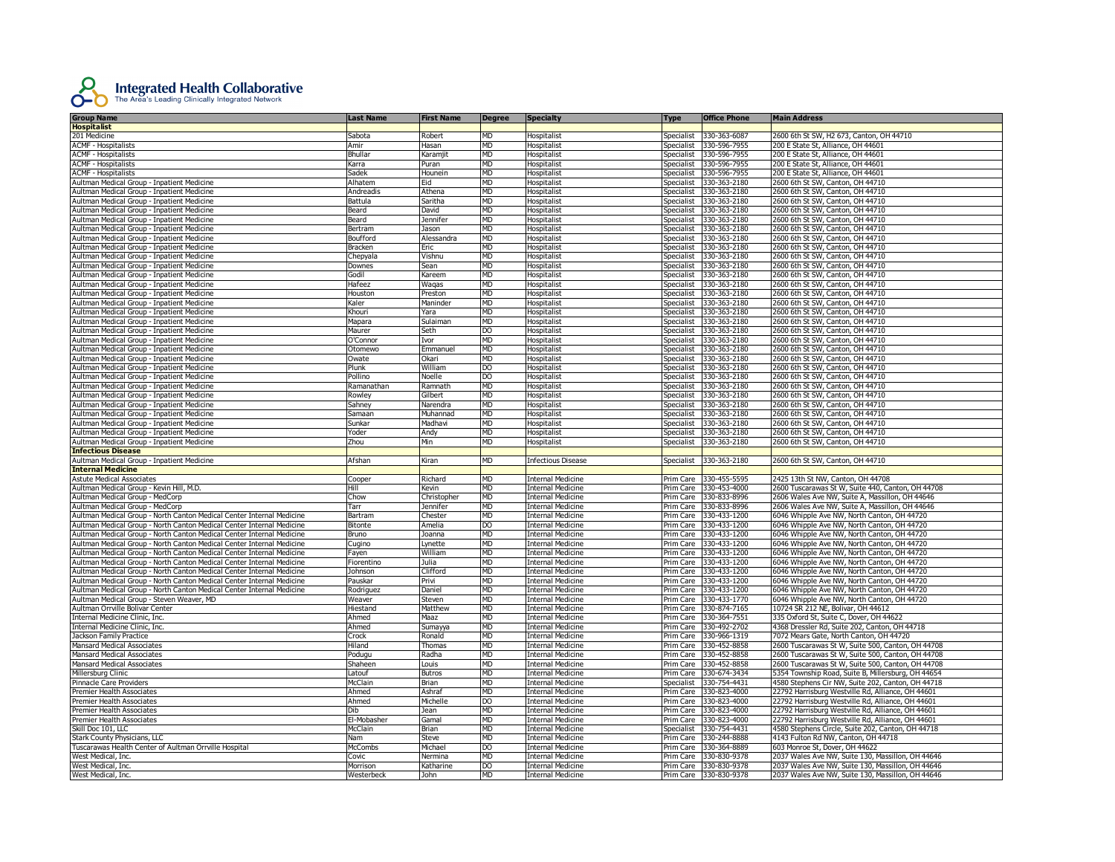

| <b>Group Name</b>                                                     | Last Name      | <b>First Name</b> | <b>Degree</b> | <b>Specialty</b>          | Type              | <b>Office Phone</b>    | <b>Main Address</b>                                |
|-----------------------------------------------------------------------|----------------|-------------------|---------------|---------------------------|-------------------|------------------------|----------------------------------------------------|
| <b>Hospitalist</b>                                                    |                |                   |               |                           |                   |                        |                                                    |
| 201 Medicine                                                          | Sabota         | Robert            | MD            | Hospitalist               | Specialist        | 330-363-6087           | 2600 6th St SW, H2 673, Canton, OH 44710           |
| <b>ACMF - Hospitalists</b>                                            | Amir           | Hasan             | <b>MD</b>     | Hospitalist               | Specialist        | 330-596-7955           | 200 E State St, Alliance, OH 44601                 |
| <b>ACMF - Hospitalists</b>                                            | Bhullar        | Karamji           | <b>MD</b>     | Hospitalist               | Specialist        | 330-596-7955           | 200 E State St, Alliance, OH 44601                 |
| <b>ACMF - Hospitalists</b>                                            | Karra          | Puran             | <b>MD</b>     | Hospitalist               | Specialist        | 330-596-7955           | 200 E State St, Alliance, OH 44601                 |
| <b>ACMF - Hospitalists</b>                                            | Sadek          | Hounein           | <b>MD</b>     | Hospitalist               | <b>Specialist</b> | 330-596-7955           | 200 E State St, Alliance, OH 44601                 |
| Aultman Medical Group - Inpatient Medicine                            | Alhatem        | Eid               | <b>MD</b>     | Hospitalist               | Specialist        | 330-363-2180           | 2600 6th St SW, Canton, OH 44710                   |
| Aultman Medical Group - Inpatient Medicine                            | Andreadis      | Athena            | <b>MD</b>     | Hospitalist               | Specialist        | 330-363-2180           | 2600 6th St SW, Canton, OH 44710                   |
|                                                                       |                |                   | MD            |                           |                   |                        |                                                    |
| Aultman Medical Group - Inpatient Medicine                            | Battula        | Saritha           |               | Hospitalist               | Specialist        | 330-363-2180           | 2600 6th St SW, Canton, OH 44710                   |
| Aultman Medical Group - Inpatient Medicine                            | Beard          | David             | <b>MD</b>     | Hospitalist               | Specialist        | 330-363-2180           | 2600 6th St SW, Canton, OH 44710                   |
| Aultman Medical Group - Inpatient Medicine                            | Beard          | Jennifer          | MD            | Hospitalist               | Specialist        | 330-363-2180           | 2600 6th St SW, Canton, OH 44710                   |
| Aultman Medical Group - Inpatient Medicine                            | Bertram        | Jason             | MD            | Hospitalist               | Specialist        | 330-363-2180           | 2600 6th St SW, Canton, OH 44710                   |
| Aultman Medical Group - Inpatient Medicine                            | Boufford       | Alessandra        | MD            | Hospitalist               | Specialist        | 330-363-2180           | 2600 6th St SW, Canton, OH 44710                   |
| Aultman Medical Group - Inpatient Medicine                            | <b>Bracken</b> | Eric              | MD            | Hospitalist               | Specialist        | 330-363-2180           | 2600 6th St SW, Canton, OH 44710                   |
| Aultman Medical Group - Inpatient Medicine                            | Chepyala       | Vishnu            | MD            | <b>Hospitalist</b>        | Specialist        | 330-363-2180           | 2600 6th St SW, Canton, OH 44710                   |
| Aultman Medical Group - Inpatient Medicine                            | Downes         | Sean              | MD            | Hospitalist               | Specialist        | 330-363-2180           | 2600 6th St SW, Canton, OH 44710                   |
| Aultman Medical Group - Inpatient Medicine                            | Godil          | Kareem            | MD            | Hospitalist               | Specialist        | 330-363-2180           | 2600 6th St SW, Canton, OH 44710                   |
| Aultman Medical Group - Inpatient Medicine                            | Hafeez         | Waqas             | MD            | Hospitalist               | Specialist        | 330-363-2180           | 2600 6th St SW, Canton, OH 44710                   |
| Aultman Medical Group - Inpatient Medicine                            | Houston        | Preston           | MD            | Hospitalist               | Specialist        | 330-363-2180           | 2600 6th St SW, Canton, OH 44710                   |
| Aultman Medical Group - Inpatient Medicine                            | Kaler          | Maninder          | MD            | Hospitalist               | Specialist        | 330-363-2180           | 2600 6th St SW, Canton, OH 44710                   |
| Aultman Medical Group - Inpatient Medicine                            | Khouri         | Yara              | MD            | Hospitalist               | Specialist        | 330-363-2180           | 2600 6th St SW, Canton, OH 44710                   |
| Aultman Medical Group - Inpatient Medicine                            | Mapara         | Sulaiman          | <b>MD</b>     | Hospitalist               | Specialist        | 330-363-2180           | 2600 6th St SW, Canton, OH 44710                   |
| Aultman Medical Group - Inpatient Medicine                            | Maurer         | Seth              | DO            | Hospitalist               | Specialist        | 330-363-2180           | 2600 6th St SW, Canton, OH 44710                   |
| Aultman Medical Group - Inpatient Medicine                            | O'Connor       | Ivor              | MD            | Hospitalist               | Specialist        | 330-363-2180           | 2600 6th St SW, Canton, OH 44710                   |
| Aultman Medical Group - Inpatient Medicine                            | Otomewo        | Emmanuel          | MD            | Hospitalist               | Specialist        | 330-363-2180           | 2600 6th St SW, Canton, OH 44710                   |
| Aultman Medical Group - Inpatient Medicine                            | Owate          | Okari             | MD            | Hospitalist               | Specialist        | 330-363-2180           | 2600 6th St SW, Canton, OH 44710                   |
| Aultman Medical Group - Inpatient Medicine                            | Plunk          | William           | DO            | Hospitalist               | Specialist        | 330-363-2180           | 2600 6th St SW, Canton, OH 44710                   |
| Aultman Medical Group - Inpatient Medicine                            | Pollino        | Noelle            | DO            | Hospitalist               | Specialist        | 330-363-2180           | 2600 6th St SW, Canton, OH 44710                   |
|                                                                       |                |                   |               |                           |                   |                        |                                                    |
| Aultman Medical Group - Inpatient Medicine                            | Ramanathan     | Ramnath           | MD            | <b>Hospitalist</b>        | Specialist        | 330-363-2180           | 2600 6th St SW, Canton, OH 44710                   |
| Aultman Medical Group - Inpatient Medicine                            | Rowley         | Gilbert           | MD            | Hospitalist               | Specialist        | 330-363-2180           | 2600 6th St SW, Canton, OH 44710                   |
| Aultman Medical Group - Inpatient Medicine                            | Sahney         | Narendra          | <b>MD</b>     | Hospitalist               | Specialist        | 330-363-2180           | 2600 6th St SW, Canton, OH 44710                   |
| Aultman Medical Group - Inpatient Medicine                            | Samaan         | Muhannad          | <b>MD</b>     | Hospitalist               | Specialist        | 330-363-2180           | 2600 6th St SW, Canton, OH 44710                   |
| Aultman Medical Group - Inpatient Medicine                            | Sunkar         | Madhavi           | <b>MD</b>     | Hospitalist               | Specialist        | 330-363-2180           | 2600 6th St SW, Canton, OH 44710                   |
| Aultman Medical Group - Inpatient Medicine                            | Yoder          | Andy              | <b>MD</b>     | Hospitalist               | Specialist        | 330-363-2180           | 2600 6th St SW, Canton, OH 44710                   |
| Aultman Medical Group - Inpatient Medicine                            | Zhou           | Min               | MD            | Hospitalist               | Specialist        | 330-363-2180           | 2600 6th St SW, Canton, OH 44710                   |
| <b>Infectious Disease</b>                                             |                |                   |               |                           |                   |                        |                                                    |
| Aultman Medical Group - Inpatient Medicine                            | Afshan         | Kiran             | MD            | <b>Infectious Disease</b> | Specialist        | 330-363-2180           | 2600 6th St SW, Canton, OH 44710                   |
| <b>Internal Medicine</b>                                              |                |                   |               |                           |                   |                        |                                                    |
| <b>Astute Medical Associates</b>                                      | Cooper         | Richard           | MD            | Internal Medicine         | Prim Care         | 330-455-5595           | 2425 13th St NW, Canton, OH 44708                  |
| Aultman Medical Group - Kevin Hill, M.D.                              | Hill           | Kevin             | MD            | <b>Internal Medicine</b>  | Prim Care         | 330-453-4000           | 2600 Tuscarawas St W, Suite 440, Canton, OH 44708  |
| Aultman Medical Group - MedCorp                                       | Chow           | Christopher       | <b>MD</b>     | <b>Internal Medicine</b>  | Prim Care         | 330-833-8996           | 2606 Wales Ave NW, Suite A, Massillon, OH 44646    |
| Aultman Medical Group - MedCorp                                       | Tarr           | Jennifer          | MD            | <b>Internal Medicine</b>  | Prim Care         | 330-833-8996           | 2606 Wales Ave NW, Suite A, Massillon, OH 44646    |
| Aultman Medical Group - North Canton Medical Center Internal Medicine | Bartram        | Chester           | MD            | <b>Internal Medicine</b>  | Prim Care         | 330-433-1200           | 6046 Whipple Ave NW, North Canton, OH 44720        |
| Aultman Medical Group - North Canton Medical Center Internal Medicine | Bitonte        | Amelia            | DO            | <b>Internal Medicine</b>  |                   | Prim Care 330-433-1200 | 6046 Whipple Ave NW, North Canton, OH 44720        |
| Aultman Medical Group - North Canton Medical Center Internal Medicine | Bruno          | Joanna            | MD            | <b>Internal Medicine</b>  |                   | Prim Care 330-433-1200 | 6046 Whipple Ave NW, North Canton, OH 44720        |
| Aultman Medical Group - North Canton Medical Center Internal Medicine | Cugino         | Lynette           | MD            | <b>Internal Medicine</b>  | Prim Care         | 330-433-1200           | 6046 Whipple Ave NW, North Canton, OH 44720        |
| Aultman Medical Group - North Canton Medical Center Internal Medicine | Fayen          | William           | MD            | <b>Internal Medicine</b>  | Prim Care         | 330-433-1200           | 6046 Whipple Ave NW, North Canton, OH 44720        |
| Aultman Medical Group - North Canton Medical Center Internal Medicine | Fiorentino     | Julia             | <b>MD</b>     | <b>Internal Medicine</b>  | Prim Care         | 330-433-1200           | 6046 Whipple Ave NW, North Canton, OH 44720        |
|                                                                       |                |                   | MD            |                           |                   |                        |                                                    |
| Aultman Medical Group - North Canton Medical Center Internal Medicine | Johnson        | Clifford          | <b>MD</b>     | <b>Internal Medicine</b>  | Prim Care         | 330-433-1200           | 6046 Whipple Ave NW, North Canton, OH 44720        |
| Aultman Medical Group - North Canton Medical Center Internal Medicine | Pauskar        | Privi             |               | <b>Internal Medicine</b>  | Prim Care         | 330-433-1200           | 6046 Whipple Ave NW, North Canton, OH 44720        |
| Aultman Medical Group - North Canton Medical Center Internal Medicine | Rodriguez      | Daniel            | <b>MD</b>     | <b>Internal Medicine</b>  |                   | Prim Care 330-433-1200 | 6046 Whipple Ave NW, North Canton, OH 44720        |
| Aultman Medical Group - Steven Weaver, MD                             | Weaver         | Steven            | <b>MD</b>     | Internal Medicine         | Prim Care         | 330-433-1770           | 6046 Whipple Ave NW, North Canton, OH 44720        |
| Aultman Orrville Bolivar Center                                       | Hiestand       | Matthew           | <b>MD</b>     | Internal Medicine         | Prim Care         | 330-874-7165           | 10724 SR 212 NE, Bolivar, OH 44612                 |
| Internal Medicine Clinic, Inc.                                        | Ahmed          | Maaz              | MD            | <b>Internal Medicine</b>  | Prim Care         | 330-364-7551           | 335 Oxford St, Suite C, Dover, OH 44622            |
| Internal Medicine Clinic, Inc.                                        | Ahmed          | Sumayya           | MD            | Internal Medicine         | Prim Care         | 330-492-2702           | 4368 Dressler Rd, Suite 202, Canton, OH 44718      |
| Jackson Family Practice                                               | Crock          | Ronald            | МD            | <b>Internal Medicine</b>  | Prim Care         | 330-966-1319           | 7072 Mears Gate, North Canton, OH 44720            |
| Mansard Medical Associates                                            | Hiland         | Thomas            | MD.           | Internal Medicine         | Prim Care         | 330-452-8858           | 2600 Tuscarawas St W, Suite 500, Canton, OH 44708  |
| Mansard Medical Associates                                            | Podugu         | Radha             | <b>MD</b>     | <b>Internal Medicine</b>  | Prim Care         | 330-452-8858           | 2600 Tuscarawas St W, Suite 500, Canton, OH 44708  |
| Mansard Medical Associates                                            | Shaheen        | Louis             | <b>MD</b>     | <b>Internal Medicine</b>  | Prim Care         | 330-452-8858           | 2600 Tuscarawas St W, Suite 500, Canton, OH 44708  |
| Millersburg Clinic                                                    | Latouf         | <b>Butros</b>     | <b>MD</b>     | <b>Internal Medicine</b>  | Prim Care         | 330-674-3434           | 5354 Township Road, Suite B, Millersburg, OH 44654 |
| Pinnacle Care Providers                                               | McClain        | Brian             | <b>MD</b>     | Internal Medicine         | Specialist        | 330-754-4431           | 4580 Stephens Cir NW, Suite 202, Canton, OH 44718  |
| <b>Premier Health Associates</b>                                      | Ahmed          | Ashraf            | <b>MD</b>     | Internal Medicine         | Prim Care         | 330-823-4000           | 22792 Harrisburg Westville Rd. Alliance. OH 44601  |
| <b>Premier Health Associates</b>                                      | Ahmed          | Michelle          | DO.           | <b>Internal Medicine</b>  | Prim Care         | 330-823-4000           | 22792 Harrisburg Westville Rd, Alliance, OH 44601  |
| Premier Health Associates                                             | Dih            | Jean              | MD            | Internal Medicine         | Prim Care         | 330-823-4000           | 22792 Harrisburg Westville Rd, Alliance, OH 44601  |
| Premier Health Associates                                             | El-Mobasher    | Gamal             | MD            | Internal Medicine         | Prim Care         | 330-823-4000           | 22792 Harrisburg Westville Rd, Alliance, OH 44601  |
| Skill Doc 101, LLC                                                    | McClain        | Brian             | MD            | Internal Medicine         | Specialist        | 330-754-4431           | 4580 Stephens Circle, Suite 202, Canton, OH 44718  |
| Stark County Physicians, LLC                                          | ۱am            | Steve             | MD            | internal Medicine         | Prim Care         | 330-244-8888           | 4143 Fulton Rd NW, Canton, OH 44718                |
| Tuscarawas Health Center of Aultman Orrville Hospital                 | <b>McCombs</b> | Michael           | DO            | Internal Medicine         | Prim Care         | 330-364-8889           | 603 Monroe St, Dover, OH 44622                     |
|                                                                       |                |                   |               |                           |                   |                        |                                                    |
| West Medical, Inc.                                                    | Covic          | Nermina           | MD            | Internal Medicine         | Prim Care         | 330-830-9378           | 2037 Wales Ave NW, Suite 130, Massillon, OH 44646  |
| West Medical, Inc.                                                    | Morrison       | Katharine         | DO            | <b>Internal Medicine</b>  | Prim Care         | 330-830-9378           | 2037 Wales Ave NW, Suite 130, Massillon, OH 44646  |
| West Medical, Inc.                                                    | Westerbeck     | John              | MD            | <b>Internal Medicine</b>  |                   | Prim Care 330-830-9378 | 2037 Wales Ave NW, Suite 130, Massillon, OH 44646  |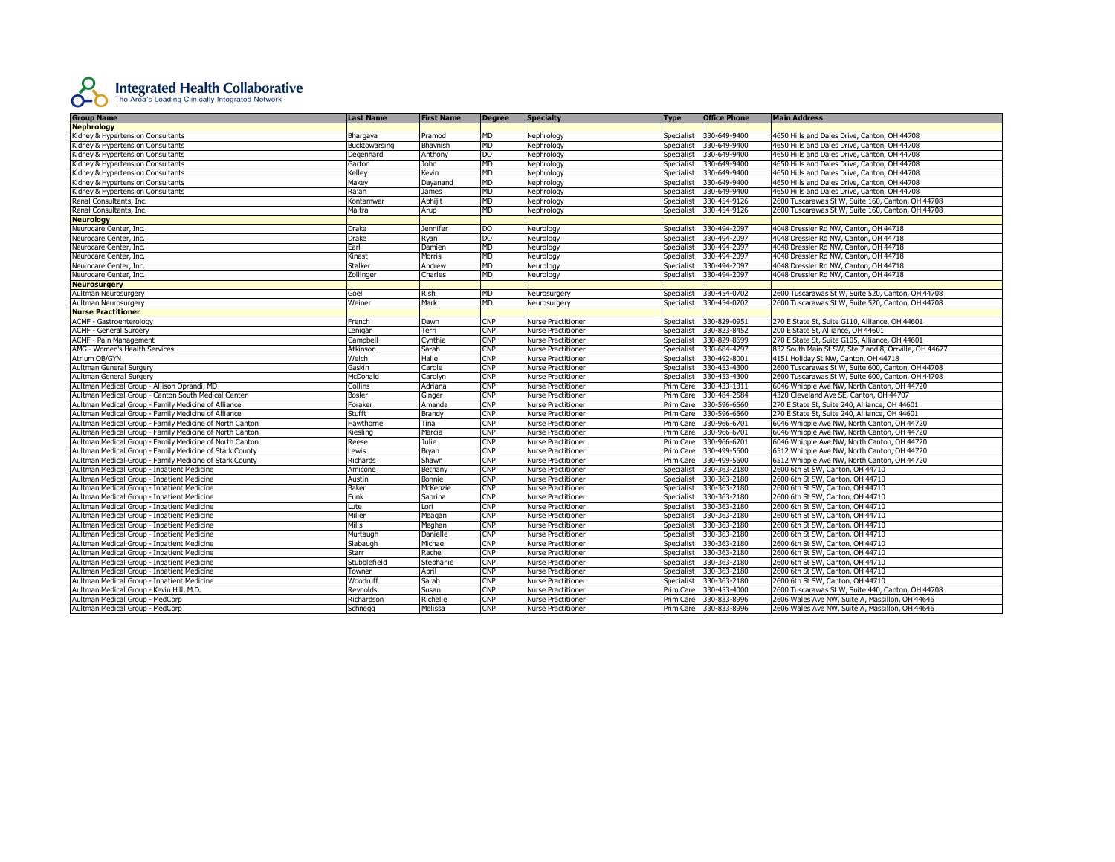

| <b>Group Name</b>                                       | Last Name     | <b>First Name</b> | Degree                  | <b>Specialty</b>          | <b>Type</b>       | <b>Office Phone</b>    | <b>Main Address</b>                                   |
|---------------------------------------------------------|---------------|-------------------|-------------------------|---------------------------|-------------------|------------------------|-------------------------------------------------------|
| <b>Nephrology</b>                                       |               |                   |                         |                           |                   |                        |                                                       |
| Kidney & Hypertension Consultants                       | Bhargava      | Pramod            | <b>MD</b>               | Nephrology                | Specialist        | 330-649-9400           | 4650 Hills and Dales Drive, Canton, OH 44708          |
| Kidney & Hypertension Consultants                       | Bucktowarsing | Bhavnish          | <b>MD</b>               | Nephrology                | Specialist        | 330-649-9400           | 4650 Hills and Dales Drive, Canton, OH 44708          |
| Kidney & Hypertension Consultants                       | Degenhard     | Anthony           | DO                      | Nephrology                | Specialist        | 330-649-9400           | 4650 Hills and Dales Drive, Canton, OH 44708          |
| Kidney & Hypertension Consultants                       | Garton        | <b>John</b>       | MD                      | Nephrology                | Specialist        | 330-649-9400           | 4650 Hills and Dales Drive, Canton, OH 44708          |
| Kidney & Hypertension Consultants                       | Kelley        | Kevin             | <b>MD</b>               | Nephrology                | Specialist        | 330-649-9400           | 4650 Hills and Dales Drive, Canton, OH 44708          |
| Kidney & Hypertension Consultants                       | Makey         | Dayanand          | <b>MD</b>               | Nephrology                | Specialist        | 330-649-9400           | 4650 Hills and Dales Drive, Canton, OH 44708          |
| Kidney & Hypertension Consultants                       | Rajan         | James             | MD                      | Nephrology                | Specialist        | 330-649-9400           | 4650 Hills and Dales Drive, Canton, OH 44708          |
| Renal Consultants, Inc.                                 | Kontamwar     | Abhijit           | <b>MD</b>               | Nephrology                | Specialist        | 330-454-9126           | 2600 Tuscarawas St W, Suite 160, Canton, OH 44708     |
| Renal Consultants, Inc.                                 | Maitra        | Arup              | <b>MD</b>               | Nephrology                | Specialist        | 330-454-9126           | 2600 Tuscarawas St W, Suite 160, Canton, OH 44708     |
| <b>Neurology</b>                                        |               |                   |                         |                           |                   |                        |                                                       |
| Neurocare Center, Inc.                                  | Drake         | Jennifer          | <b>DO</b>               | Neurology                 | Specialist        | 330-494-2097           | 4048 Dressler Rd NW, Canton, OH 44718                 |
| Neurocare Center, Inc.                                  | Drake         | Ryan              | DO                      | Neurology                 | Specialist        | 330-494-2097           | 4048 Dressler Rd NW, Canton, OH 44718                 |
| Neurocare Center, Inc.                                  | Earl          | Damien            | MD                      | Neurology                 | Specialist        | 330-494-2097           | 4048 Dressler Rd NW, Canton, OH 44718                 |
| Neurocare Center, Inc.                                  | Kinast        | Morris            | <b>MD</b>               | Neurology                 | Specialist        | 330-494-2097           | 4048 Dressler Rd NW, Canton, OH 44718                 |
| Neurocare Center, Inc.                                  | Stalker       | Andrew            | <b>MD</b>               | Neurology                 | Specialist        | 330-494-2097           | 4048 Dressler Rd NW, Canton, OH 44718                 |
| Neurocare Center, Inc.                                  | Zollinger     | Charles           | MD                      | Neurology                 | Specialist        | 330-494-2097           | 4048 Dressler Rd NW, Canton, OH 44718                 |
| <b>Neurosurgery</b>                                     |               |                   |                         |                           |                   |                        |                                                       |
| Aultman Neurosurgery                                    | Goel          | Rishi             | <b>MD</b>               | Neurosurgery              | Specialist        | 330-454-0702           | 2600 Tuscarawas St W, Suite 520, Canton, OH 44708     |
| Aultman Neurosurgery                                    | Weiner        | Mark              | <b>MD</b>               | Neurosurgery              | Specialist        | 330-454-0702           | 2600 Tuscarawas St W, Suite 520, Canton, OH 44708     |
| <b>Nurse Practitioner</b>                               |               |                   |                         |                           |                   |                        |                                                       |
| <b>ACMF - Gastroenterology</b>                          | French        | Dawn              | <b>CNP</b>              | <b>Nurse Practitioner</b> | <b>Specialist</b> | 330-829-0951           | 270 E State St, Suite G110, Alliance, OH 44601        |
| <b>ACMF - General Surgery</b>                           | Lenigar       | Terri             | <b>CNP</b>              | <b>Nurse Practitioner</b> | Specialist        | 330-823-8452           | 200 E State St. Alliance. OH 44601                    |
| <b>ACMF - Pain Management</b>                           | Campbell      | Cynthia           | $\overline{\text{CNP}}$ | <b>Nurse Practitioner</b> | Specialist        | 330-829-8699           | 270 E State St, Suite G105, Alliance, OH 44601        |
| AMG - Women's Health Services                           | Atkinson      | Sarah             | <b>CNP</b>              | <b>Nurse Practitioner</b> | Specialist        | 330-684-4797           | 832 South Main St SW, Ste 7 and 8, Orrville, OH 44677 |
| Atrium OB/GYN                                           | Welch         | Halle             | <b>CNP</b>              | <b>Nurse Practitioner</b> | Specialist        | 330-492-8001           | 4151 Holiday St NW, Canton, OH 44718                  |
| <b>Aultman General Surgery</b>                          | Gaskin        | Carole            | CNP                     | <b>Nurse Practitioner</b> | Specialist        | 330-453-4300           | 2600 Tuscarawas St W, Suite 600, Canton, OH 44708     |
| Aultman General Surgery                                 | McDonald      | Carolyn           | <b>CNP</b>              | <b>Nurse Practitioner</b> | Specialist        | 330-453-4300           | 2600 Tuscarawas St W, Suite 600, Canton, OH 44708     |
| Aultman Medical Group - Allison Oprandi, MD             | Collins       | Adriana           | CNP                     | <b>Nurse Practitioner</b> | Prim Care         | 330-433-1311           | 6046 Whipple Ave NW, North Canton, OH 44720           |
| Aultman Medical Group - Canton South Medical Center     | Bosler        | Ginger            | CNP                     | <b>Nurse Practitioner</b> | Prim Care         | 330-484-2584           | 4320 Cleveland Ave SE, Canton, OH 44707               |
| Aultman Medical Group - Family Medicine of Alliance     | Foraker       | Amanda            | <b>CNP</b>              | <b>Nurse Practitioner</b> | Prim Care         | 330-596-6560           | 270 E State St, Suite 240, Alliance, OH 44601         |
| Aultman Medical Group - Family Medicine of Alliance     | Stufft        | Brandy            | <b>CNP</b>              | <b>Nurse Practitioner</b> | Prim Care         | 330-596-6560           | 270 E State St, Suite 240, Alliance, OH 44601         |
| Aultman Medical Group - Family Medicine of North Canton | Hawthorne     | Tina              | <b>CNP</b>              | <b>Nurse Practitioner</b> | Prim Care         | 330-966-6701           | 6046 Whipple Ave NW, North Canton, OH 44720           |
| Aultman Medical Group - Family Medicine of North Canton | Kiesling      | Marcia            | <b>CNP</b>              | <b>Nurse Practitioner</b> | Prim Care         | 330-966-6701           | 6046 Whipple Ave NW, North Canton, OH 44720           |
| Aultman Medical Group - Family Medicine of North Canton | Reese         | Julie             | CNP                     | <b>Nurse Practitioner</b> | Prim Care         | 330-966-6701           | 6046 Whipple Ave NW, North Canton, OH 44720           |
| Aultman Medical Group - Family Medicine of Stark County | Lewis         | Bryan             | <b>CNP</b>              | <b>Nurse Practitioner</b> | Prim Care         | 330-499-5600           | 6512 Whipple Ave NW, North Canton, OH 44720           |
| Aultman Medical Group - Family Medicine of Stark County | Richards      | Shawn             | <b>CNP</b>              | <b>Nurse Practitioner</b> | Prim Care         | 330-499-5600           | 6512 Whipple Ave NW, North Canton, OH 44720           |
| Aultman Medical Group - Inpatient Medicine              | Amicone       | Bethany           | <b>CNP</b>              | <b>Nurse Practitioner</b> | Specialist        | 330-363-2180           | 2600 6th St SW, Canton, OH 44710                      |
| Aultman Medical Group - Inpatient Medicine              | Austin        | Bonnie            | <b>CNP</b>              | <b>Nurse Practitioner</b> | Specialist        | 330-363-2180           | 2600 6th St SW, Canton, OH 44710                      |
| Aultman Medical Group - Inpatient Medicine              | Baker         | <b>McKenzie</b>   | <b>CNP</b>              | <b>Nurse Practitioner</b> | Specialist        | 330-363-2180           | 2600 6th St SW, Canton, OH 44710                      |
| Aultman Medical Group - Inpatient Medicine              | Funk          | Sabrina           | <b>CNP</b>              | <b>Nurse Practitioner</b> | Specialist        | 330-363-2180           | 2600 6th St SW, Canton, OH 44710                      |
| Aultman Medical Group - Inpatient Medicine              | Lute          | Lori              | <b>CNP</b>              | <b>Nurse Practitioner</b> | Specialist        | 330-363-2180           | 2600 6th St SW, Canton, OH 44710                      |
| Aultman Medical Group - Inpatient Medicine              | Miller        | Meagan            | CNP                     | <b>Nurse Practitioner</b> | Specialist        | 330-363-2180           | 2600 6th St SW, Canton, OH 44710                      |
| Aultman Medical Group - Inpatient Medicine              | Mills         | Meghan            | <b>CNP</b>              | <b>Nurse Practitioner</b> | Specialist        | 330-363-2180           | 2600 6th St SW, Canton, OH 44710                      |
| Aultman Medical Group - Inpatient Medicine              | Murtaugh      | Danielle          | <b>CNP</b>              | <b>Nurse Practitioner</b> | Specialist        | 330-363-2180           | 2600 6th St SW, Canton, OH 44710                      |
| Aultman Medical Group - Inpatient Medicine              | Slabaugh      | Michael           | <b>CNP</b>              | <b>Nurse Practitioner</b> | Specialist        | 330-363-2180           | 2600 6th St SW, Canton, OH 44710                      |
| Aultman Medical Group - Inpatient Medicine              | Starr         | Rachel            | CNP                     | <b>Nurse Practitioner</b> | Specialist        | 330-363-2180           | 2600 6th St SW, Canton, OH 44710                      |
| Aultman Medical Group - Inpatient Medicine              | Stubblefield  | Stephanie         | $\mathsf{CNP}$          | <b>Nurse Practitioner</b> | Specialist        | 330-363-2180           | 2600 6th St SW, Canton, OH 44710                      |
| Aultman Medical Group - Inpatient Medicine              | Towner        | April             | <b>CNP</b>              | <b>Nurse Practitioner</b> | Specialist        | 330-363-2180           | 2600 6th St SW, Canton, OH 44710                      |
| Aultman Medical Group - Inpatient Medicine              | Woodruff      | Sarah             | <b>CNP</b>              | <b>Nurse Practitioner</b> | Specialist        | 330-363-2180           | 2600 6th St SW, Canton, OH 44710                      |
| Aultman Medical Group - Kevin Hill, M.D.                | Reynolds      | Susan             | $\mathsf{CNP}$          | <b>Nurse Practitioner</b> | Prim Care         | 330-453-4000           | 2600 Tuscarawas St W, Suite 440, Canton, OH 44708     |
| Aultman Medical Group - MedCorp                         | Richardson    | Richelle          | <b>CNP</b>              | <b>Nurse Practitioner</b> | Prim Care         | 330-833-8996           | 2606 Wales Ave NW, Suite A, Massillon, OH 44646       |
| Aultman Medical Group - MedCorp                         | Schnegg       | Melissa           | <b>CNP</b>              | <b>Nurse Practitioner</b> |                   | Prim Care 330-833-8996 | 2606 Wales Ave NW, Suite A, Massillon, OH 44646       |
|                                                         |               |                   |                         |                           |                   |                        |                                                       |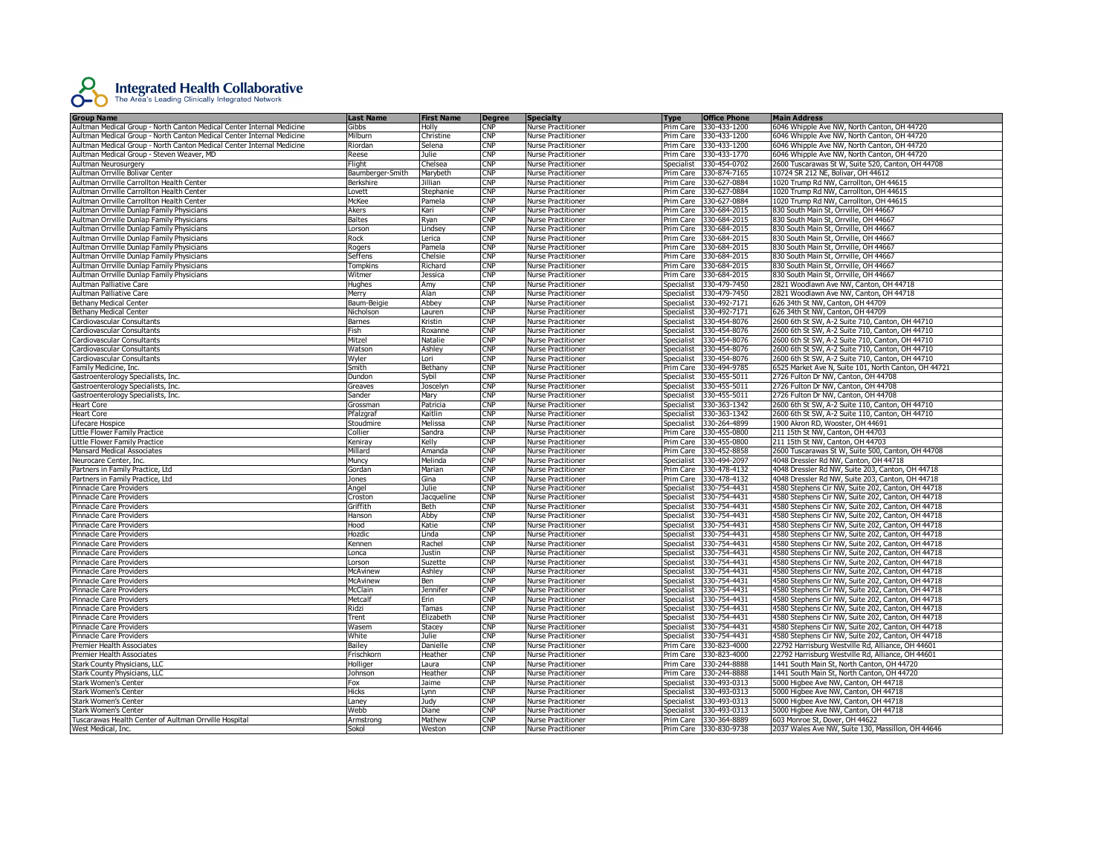

| <b>Group Name</b>                                                     | <b>Last Name</b> | <b>First Name</b> | <b>Degree</b>             | Specialty                 | <b>Type</b> | <b>Office Phone</b>    | <b>Main Address</b>                                  |
|-----------------------------------------------------------------------|------------------|-------------------|---------------------------|---------------------------|-------------|------------------------|------------------------------------------------------|
| Aultman Medical Group - North Canton Medical Center Internal Medicine | Gibbs            | Holly             | <b>CNP</b>                | <b>Nurse Practitioner</b> | Prim Care   | 330-433-1200           | 6046 Whipple Ave NW, North Canton, OH 44720          |
| Aultman Medical Group - North Canton Medical Center Internal Medicine | Milburn          | Christine         | <b>CNP</b>                | <b>Nurse Practitioner</b> | Prim Care   | 330-433-1200           | 6046 Whipple Ave NW, North Canton, OH 44720          |
| Aultman Medical Group - North Canton Medical Center Internal Medicine | Riordan          | Selena            | CNP                       | <b>Nurse Practitioner</b> |             | Prim Care 330-433-1200 | 6046 Whipple Ave NW, North Canton, OH 44720          |
| Aultman Medical Group - Steven Weaver, MD                             | Reese            | Julie             | $\mathsf{CNP}$            | <b>Nurse Practitioner</b> | Prim Care   | 330-433-1770           | 6046 Whipple Ave NW, North Canton, OH 44720          |
| Aultman Neurosurgery                                                  | Flight           | Chelsea           | CNP                       | <b>Nurse Practitioner</b> | Specialist  | 330-454-0702           | 2600 Tuscarawas St W, Suite 520, Canton, OH 44708    |
| Aultman Orrville Bolivar Center                                       | Baumberger-Smith | Marybeth          | <b>CNP</b>                | <b>Nurse Practitioner</b> | Prim Care   | 330-874-7165           | 10724 SR 212 NE, Bolivar, OH 44612                   |
| Aultman Orrville Carrollton Health Center                             |                  | Jillian           | <b>CNP</b>                | <b>Nurse Practitioner</b> |             | Prim Care 330-627-0884 | 1020 Trump Rd NW, Carrollton, OH 44615               |
|                                                                       | Berkshire        |                   | $\mathsf{CNP}$            |                           |             |                        |                                                      |
| Aultman Orrville Carrollton Health Center                             | Lovett           | Stephanie         |                           | <b>Nurse Practitioner</b> | Prim Care   | 330-627-0884           | 1020 Trump Rd NW, Carrollton, OH 44615               |
| Aultman Orrville Carrollton Health Center                             | McKee            | Pamela            | $\mathsf{CNP}$            | <b>Nurse Practitioner</b> |             | Prim Care 330-627-0884 | 1020 Trump Rd NW, Carrollton, OH 44615               |
| Aultman Orrville Dunlap Family Physicians                             | Akers            | Kari              | <b>CNP</b>                | <b>Nurse Practitioner</b> | Prim Care   | 330-684-2015           | 830 South Main St, Orrville, OH 44667                |
| Aultman Orrville Dunlap Family Physicians                             | Baltes           | Ryan              | <b>CNP</b>                | Nurse Practitioner        | Prim Care   | 330-684-2015           | 830 South Main St, Orrville, OH 44667                |
| Aultman Orrville Dunlap Family Physicians                             | Lorson           | Lindsey           | $\mathsf{CNP}$            | <b>Nurse Practitioner</b> | Prim Care   | 330-684-2015           | 830 South Main St. Orrville. OH 44667                |
| Aultman Orrville Dunlap Family Physicians                             | Rock             | Lerica            | $\mathsf{CNP}$            | <b>Nurse Practitioner</b> |             | Prim Care 330-684-2015 | 830 South Main St, Orrville, OH 44667                |
| Aultman Orrville Dunlap Family Physicians                             | Rogers           | Pamela            | CNP                       | <b>Nurse Practitioner</b> |             | Prim Care 330-684-2015 | 830 South Main St, Orrville, OH 44667                |
| Aultman Orrville Dunlap Family Physicians                             | Seffens          | Chelsie           | CNP                       | <b>Nurse Practitioner</b> | Prim Care   | 330-684-2015           | 830 South Main St, Orrville, OH 44667                |
| Aultman Orrville Dunlap Family Physicians                             | Tompkins         | Richard           | <b>CNP</b>                | <b>Nurse Practitioner</b> |             | Prim Care 330-684-2015 | 830 South Main St, Orrville, OH 44667                |
| Aultman Orrville Dunlap Family Physicians                             | Witmer           | Jessica           | $\mathsf{CNP}$            | <b>Nurse Practitioner</b> | Prim Care   | 330-684-2015           | 830 South Main St, Orrville, OH 44667                |
| Aultman Palliative Care                                               | Hughes           | Amy               | CNP                       | <b>Nurse Practitioner</b> | Specialist  | 330-479-7450           | 2821 Woodlawn Ave NW, Canton, OH 44718               |
| Aultman Palliative Care                                               | Merry            | Alan              | <b>CNP</b>                | <b>Nurse Practitioner</b> | Specialist  | 330-479-7450           | 2821 Woodlawn Ave NW, Canton, OH 44718               |
| <b>Bethany Medical Center</b>                                         | Baum-Beigie      | Abbey             | <b>CNP</b>                | <b>Nurse Practitioner</b> | Specialist  | 330-492-7171           | 626 34th St NW, Canton, OH 44709                     |
| <b>Bethany Medical Center</b>                                         | Nicholson        | Lauren            | CNP                       | <b>Nurse Practitioner</b> | Specialist  | 330-492-7171           | 626 34th St NW, Canton, OH 44709                     |
| Cardiovascular Consultants                                            | Barnes           | Kristin           | <b>CNP</b>                | <b>Nurse Practitioner</b> | Specialist  | 330-454-8076           | 2600 6th St SW, A-2 Suite 710, Canton, OH 44710      |
| Cardiovascular Consultants                                            | Fish             | Roxanne           | <b>CNP</b>                | <b>Nurse Practitioner</b> | Specialist  | 330-454-8076           | 2600 6th St SW, A-2 Suite 710, Canton, OH 44710      |
|                                                                       |                  |                   | <b>CNP</b>                |                           |             | 330-454-8076           | 2600 6th St SW, A-2 Suite 710, Canton, OH 44710      |
| Cardiovascular Consultants                                            | Mitzel           | Natalie           |                           | <b>Nurse Practitioner</b> | Specialist  |                        |                                                      |
| Cardiovascular Consultants                                            | Watson           | Ashley            | $\mathsf{CNP}$            | <b>Nurse Practitioner</b> | Specialist  | 330-454-8076           | 2600 6th St SW, A-2 Suite 710, Canton, OH 44710      |
| Cardiovascular Consultants                                            | Wyler            | Lori              | $\mathsf{CNP}$            | <b>Nurse Practitioner</b> | Specialist  | 330-454-8076           | 2600 6th St SW, A-2 Suite 710, Canton, OH 44710      |
| Family Medicine, Inc.                                                 | Smith            | <b>Bethany</b>    | CNP                       | <b>Nurse Practitioner</b> | Prim Care   | 330-494-9785           | 6525 Market Ave N. Suite 101. North Canton. OH 44721 |
| Gastroenterology Specialists, Inc.                                    | Dundon           | Sybil             | <b>CNP</b>                | <b>Nurse Practitioner</b> | Specialist  | 330-455-5011           | 2726 Fulton Dr NW, Canton, OH 44708                  |
| Gastroenterology Specialists, Inc.                                    | Greaves          | Joscelyn          | CNP                       | <b>Nurse Practitioner</b> | Specialist  | 330-455-5011           | 2726 Fulton Dr NW, Canton, OH 44708                  |
| Gastroenterology Specialists, Inc.                                    | Sander           | Mary              | CNP                       | <b>Nurse Practitioner</b> | Specialist  | 330-455-5011           | 2726 Fulton Dr NW, Canton, OH 44708                  |
| <b>Heart Core</b>                                                     | Grossman         | Patricia          | <b>CNP</b>                | <b>Nurse Practitioner</b> | Specialist  | 330-363-1342           | 2600 6th St SW, A-2 Suite 110, Canton, OH 44710      |
| <b>Heart Core</b>                                                     | Pfalzgraf        | Kaitlin           | <b>CNP</b>                | <b>Nurse Practitioner</b> | Specialist  | 330-363-1342           | 2600 6th St SW, A-2 Suite 110, Canton, OH 44710      |
| Lifecare Hospice                                                      | Stoudmire        | Melissa           | <b>CNP</b>                | <b>Nurse Practitioner</b> | Specialist  | 330-264-4899           | 1900 Akron RD, Wooster, OH 44691                     |
| Little Flower Family Practice                                         | Collier          | Sandra            | $\mathsf{CNP}$            | <b>Nurse Practitioner</b> |             | Prim Care 330-455-0800 | 211 15th St NW, Canton, OH 44703                     |
| Little Flower Family Practice                                         | Keniray          | Kelly             | CNP                       | <b>Nurse Practitioner</b> | Prim Care   | 330-455-0800           | 211 15th St NW, Canton, OH 44703                     |
| Mansard Medical Associates                                            | Millard          | Amanda            | <b>CNP</b>                | <b>Nurse Practitioner</b> | Prim Care   | 330-452-8858           | 2600 Tuscarawas St W, Suite 500, Canton, OH 44708    |
| Neurocare Center, Inc.                                                | Muncy            | Melinda           | CNP                       | <b>Nurse Practitioner</b> | Specialist  | 330-494-2097           | 4048 Dressler Rd NW, Canton, OH 44718                |
| Partners in Family Practice, Ltd                                      | Gordan           | Marian            | $\mathsf{CNP}$            | <b>Nurse Practitioner</b> | Prim Care   | 330-478-4132           | 4048 Dressler Rd NW, Suite 203, Canton, OH 44718     |
| Partners in Family Practice, Ltd                                      | Jones            | Gina              | $\mathsf{CNP}$            | <b>Nurse Practitioner</b> | Prim Care   | 330-478-4132           | 4048 Dressler Rd NW, Suite 203, Canton, OH 44718     |
| <b>Pinnacle Care Providers</b>                                        | Angel            | Julie             | <b>CNP</b>                | <b>Nurse Practitioner</b> | Specialist  | 330-754-4431           | 4580 Stephens Cir NW, Suite 202, Canton, OH 44718    |
| Pinnacle Care Providers                                               | Croston          | Jacqueline        | $\overline{\mathsf{CNP}}$ | <b>Nurse Practitioner</b> | Specialist  | 330-754-4431           | 4580 Stephens Cir NW, Suite 202, Canton, OH 44718    |
| Pinnacle Care Providers                                               | Griffith         | Beth              | $\mathsf{CNP}$            | <b>Nurse Practitioner</b> | Specialist  | 330-754-4431           | 4580 Stephens Cir NW, Suite 202, Canton, OH 44718    |
|                                                                       |                  |                   | N <sub>P</sub>            |                           |             |                        |                                                      |
| Pinnacle Care Providers                                               | Hanson           | Abby              |                           | <b>Nurse Practitioner</b> | Specialist  | 330-754-4431           | 4580 Stephens Cir NW, Suite 202, Canton, OH 44718    |
| Pinnacle Care Providers                                               | Hood             | Katie             | CNP                       | <b>Nurse Practitioner</b> | Specialist  | 330-754-4431           | 4580 Stephens Cir NW, Suite 202, Canton, OH 44718    |
| Pinnacle Care Providers                                               | Hozdic           | Linda             | <b>CNP</b>                | <b>Nurse Practitioner</b> | Specialist  | 330-754-4431           | 4580 Stephens Cir NW, Suite 202, Canton, OH 44718    |
| Pinnacle Care Providers                                               | Kennen           | Rachel            | CNP                       | <b>Nurse Practitioner</b> | Specialist  | 330-754-4431           | 4580 Stephens Cir NW, Suite 202, Canton, OH 44718    |
| Pinnacle Care Providers                                               | Lonca            | Justin            | $\mathsf{CNP}$            | <b>Nurse Practitioner</b> | Specialist  | 330-754-4431           | 4580 Stephens Cir NW, Suite 202, Canton, OH 44718    |
| Pinnacle Care Providers                                               | Lorson           | Suzette           | CNP                       | <b>Nurse Practitioner</b> | Specialist  | 330-754-4431           | 4580 Stephens Cir NW, Suite 202, Canton, OH 44718    |
| Pinnacle Care Providers                                               | <b>McAvinew</b>  | Ashley            | <b>CNP</b>                | <b>Nurse Practitioner</b> | Specialist  | 330-754-4431           | 4580 Stephens Cir NW, Suite 202, Canton, OH 44718    |
| Pinnacle Care Providers                                               | McAvinew         | Ben               | <b>CNP</b>                | <b>Nurse Practitioner</b> | Specialist  | 330-754-4431           | 4580 Stephens Cir NW, Suite 202, Canton, OH 44718    |
| Pinnacle Care Providers                                               | McClain          | Jennifer          | $\mathsf{CNP}$            | <b>Nurse Practitioner</b> | Specialist  | 330-754-4431           | 4580 Stephens Cir NW, Suite 202, Canton, OH 44718    |
| Pinnacle Care Providers                                               | Metcalf          | Erin              | <b>CNP</b>                | <b>Nurse Practitioner</b> | Specialist  | 330-754-4431           | 4580 Stephens Cir NW, Suite 202, Canton, OH 44718    |
| Pinnacle Care Providers                                               | Ridzi            | Tamas             | <b>CNP</b>                | <b>Nurse Practitioner</b> | Specialist  | 330-754-4431           | 4580 Stephens Cir NW, Suite 202, Canton, OH 44718    |
| Pinnacle Care Providers                                               | Trent            | Elizabeth         | <b>CNP</b>                | <b>Nurse Practitioner</b> | Specialist  | 330-754-4431           | 4580 Stephens Cir NW, Suite 202, Canton, OH 44718    |
| <b>Pinnacle Care Providers</b>                                        | Wasem            | Stacey            | $\mathsf{CNP}$            | <b>Nurse Practitioner</b> | Specialist  | 330-754-4431           | 4580 Stephens Cir NW, Suite 202, Canton, OH 44718    |
| Pinnacle Care Providers                                               | White            | Julie             | $\mathsf{CNP}$            | <b>Nurse Practitioner</b> | Specialist  | 330-754-4431           | 4580 Stephens Cir NW, Suite 202, Canton, OH 44718    |
| Premier Health Associates                                             | Bailey           | Danielle          | CNP                       | <b>Nurse Practitioner</b> | Prim Care   | 330-823-4000           | 22792 Harrisburg Westville Rd, Alliance, OH 44601    |
| Premier Health Associates                                             | Frischkorn       | Heather           | CNP                       | <b>Nurse Practitioner</b> |             | Prim Care 330-823-4000 | 22792 Harrisburg Westville Rd, Alliance, OH 44601    |
| Stark County Physicians, LLC                                          | Holliger         | Laura             | <b>CNP</b>                | <b>Nurse Practitioner</b> | Prim Care   | 330-244-8888           | 1441 South Main St, North Canton, OH 44720           |
|                                                                       | Johnson          |                   | $\mathsf{CNP}$            |                           |             | Prim Care 330-244-8888 |                                                      |
| Stark County Physicians, LLC                                          |                  | Heather           | <b>CNP</b>                | <b>Nurse Practitioner</b> |             |                        | 1441 South Main St, North Canton, OH 44720           |
| <b>Stark Women's Center</b>                                           | Fox              | Jaime             |                           | <b>Nurse Practitioner</b> | Specialist  | 330-493-0313           | 5000 Higbee Ave NW, Canton, OH 44718                 |
| <b>Stark Women's Center</b>                                           | Hicks            | Lynn              | <b>CNP</b>                | Nurse Practitioner        | Specialist  | 330-493-0313           | 5000 Higbee Ave NW, Canton, OH 44718                 |
| <b>Stark Women's Center</b>                                           | Laney            | Judy              | CNP                       | <b>Nurse Practitioner</b> | Specialist  | 330-493-0313           | 5000 Higbee Ave NW, Canton, OH 44718                 |
| <b>Stark Women's Center</b>                                           | Webb             | Diane             | $\mathsf{CNP}$            | <b>Nurse Practitioner</b> | Specialist  | 330-493-0313           | 5000 Higbee Ave NW, Canton, OH 44718                 |
| Tuscarawas Health Center of Aultman Orrville Hospital                 | Armstrong        | Mathew            | <b>CNP</b>                | <b>Nurse Practitioner</b> | Prim Care   | 330-364-8889           | 603 Monroe St, Dover, OH 44622                       |
| West Medical, Inc.                                                    | Sokol            | Weston            | <b>CNP</b>                | <b>Nurse Practitioner</b> |             | Prim Care 330-830-9738 | 2037 Wales Ave NW, Suite 130, Massillon, OH 44646    |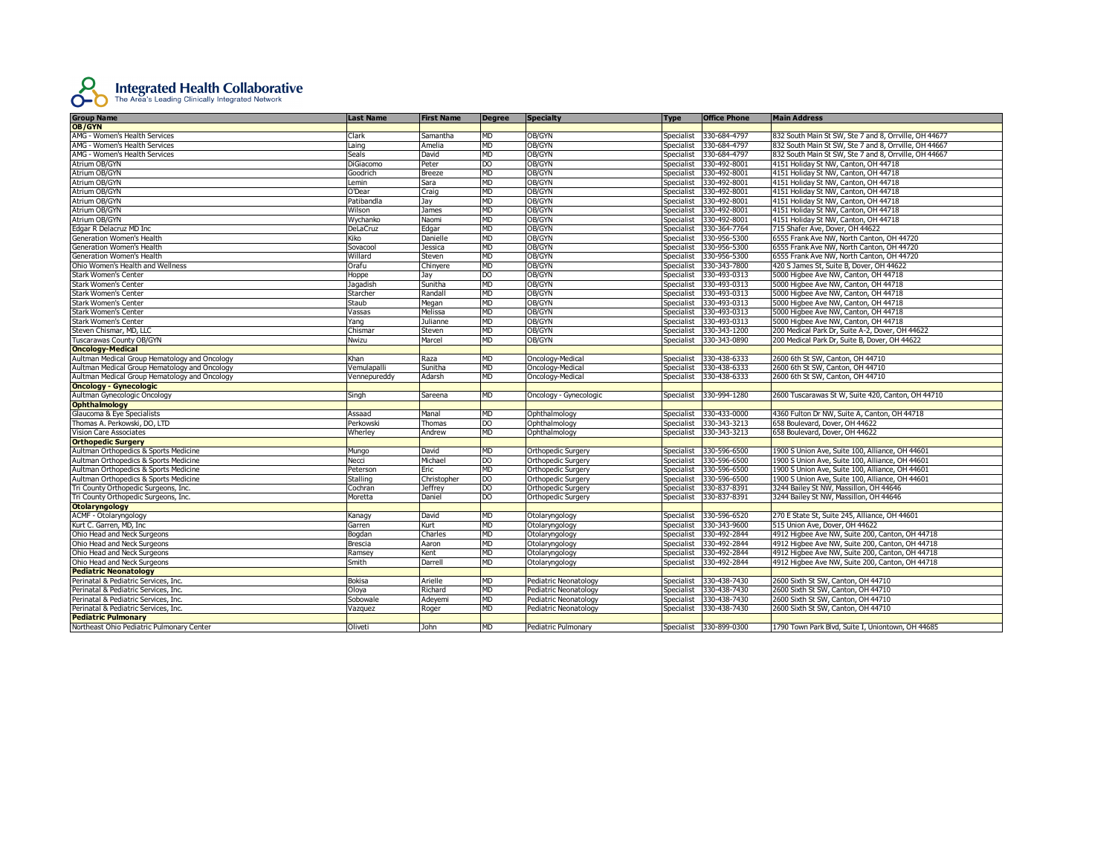

|                                               | <b>Last Name</b> | <b>First Name</b> | <b>Degree</b>  | <b>Specialty</b>          | <b>Type</b>       | <b>Office Phone</b>     | <b>Main Address</b>                                   |
|-----------------------------------------------|------------------|-------------------|----------------|---------------------------|-------------------|-------------------------|-------------------------------------------------------|
| Group Name                                    |                  |                   |                |                           |                   |                         |                                                       |
| AMG - Women's Health Services                 | Clark            | Samantha          | <b>MD</b>      | OB/GYN                    | Specialist        | 330-684-4797            | 832 South Main St SW, Ste 7 and 8, Orrville, OH 44677 |
| AMG - Women's Health Services                 | Laing            | Amelia            | MD             | OB/GYN                    | Specialist        | 330-684-4797            | 832 South Main St SW, Ste 7 and 8, Orrville, OH 44667 |
| AMG - Women's Health Services                 | Seals            | David             | MD             | OB/GYN                    | Specialist        | 330-684-4797            | 832 South Main St SW, Ste 7 and 8, Orrville, OH 44667 |
| Atrium OB/GYN                                 | DiGiacomo        | Peter             | D <sub>O</sub> | OB/GYN                    | Specialist        | 330-492-8001            | 4151 Holiday St NW, Canton, OH 44718                  |
| Atrium OB/GYN                                 | Goodrich         | <b>Breeze</b>     | MD             | OB/GYN                    | Specialist        | 330-492-8001            | 4151 Holiday St NW, Canton, OH 44718                  |
| Atrium OB/GYN                                 | Lemin            | Sara              | МD             | OB/GYN                    | Specialist        | 330-492-8001            | 4151 Holiday St NW, Canton, OH 44718                  |
| Atrium OB/GYN                                 | O'Dear           | Craig             | MD             | OB/GYN                    | Specialist        | 330-492-8001            | 4151 Holiday St NW, Canton, OH 44718                  |
| Atrium OB/GYN                                 | Patibandla       | Jay               | MD             | OB/GYN                    | Specialist        | 330-492-8001            | 4151 Holiday St NW, Canton, OH 44718                  |
| Atrium OB/GYN                                 | Wilson           | James             | <b>MD</b>      | OB/GYN                    | Specialist        | 330-492-8001            | 4151 Holiday St NW, Canton, OH 44718                  |
| Atrium OB/GYN                                 | Wychanko         | Naomi             | <b>MD</b>      | OB/GYN                    | Specialist        | 330-492-8001            | 4151 Holiday St NW, Canton, OH 44718                  |
| Edgar R Delacruz MD Inc                       | DeLaCruz         | Edgar             | MD             | OB/GYN                    | Specialist        | 330-364-7764            | 715 Shafer Ave, Dover, OH 44622                       |
| Generation Women's Health                     | Kiko             | Danielle          | MD             | OB/GYN                    | Specialist        | 330-956-5300            | 6555 Frank Ave NW, North Canton, OH 44720             |
| Generation Women's Health                     | Sovacool         | Jessica           | MD             | OB/GYN                    | Specialist        | 330-956-5300            | 6555 Frank Ave NW, North Canton, OH 44720             |
| Generation Women's Health                     | Willard          | Steven            | <b>MD</b>      | OB/GYN                    | Specialist        | 330-956-5300            | 6555 Frank Ave NW, North Canton, OH 44720             |
| Ohio Women's Health and Wellness              | Orafu            | Chinyere          | MD             | OB/GYN                    | Specialist        | 330-343-7800            | 420 S James St, Suite B, Dover, OH 44622              |
| Stark Women's Center                          | Hoppe            | Jay               | DO             | OB/GYN                    | <b>Specialist</b> | 330-493-0313            | 5000 Higbee Ave NW, Canton, OH 44718                  |
| <b>Stark Women's Center</b>                   | Jagadish         | Sunitha           | MD             | OB/GYN                    | Specialist        | 330-493-0313            | 5000 Higbee Ave NW, Canton, OH 44718                  |
| <b>Stark Women's Center</b>                   | Starcher         | Randall           | MD             | OB/GYN                    | Specialist        | 330-493-0313            | 5000 Higbee Ave NW, Canton, OH 44718                  |
|                                               |                  |                   | MD             |                           |                   |                         |                                                       |
| <b>Stark Women's Center</b>                   | Staub            | Megan             |                | OB/GYN                    | Specialist        | 330-493-0313            | 5000 Higbee Ave NW, Canton, OH 44718                  |
| <b>Stark Women's Center</b>                   | Vassas           | Melissa           | <b>MD</b>      | OB/GYN                    | Specialist        | 330-493-0313            | 5000 Higbee Ave NW, Canton, OH 44718                  |
| <b>Stark Women's Center</b>                   | Yang             | Julianne          | MD             | OB/GYN                    | Specialist        | 330-493-0313            | 5000 Higbee Ave NW, Canton, OH 44718                  |
| Steven Chismar, MD, LLC                       | Chismar          | Steven            | <b>MD</b>      | OB/GYN                    | Specialist        | 330-343-1200            | 200 Medical Park Dr, Suite A-2, Dover, OH 44622       |
| Tuscarawas County OB/GYN                      | Nwizu            | Marcel            | MD             | OB/GYN                    | Specialist        | 330-343-0890            | 200 Medical Park Dr, Suite B, Dover, OH 44622         |
| <b>Oncology-Medical</b>                       |                  |                   |                |                           |                   |                         |                                                       |
| Aultman Medical Group Hematology and Oncology | Khan             | Raza              | MD             | Oncology-Medical          | Specialist        | 330-438-6333            | 2600 6th St SW, Canton, OH 44710                      |
| Aultman Medical Group Hematology and Oncology | Vemulapalli      | Sunitha           | MD             | Oncology-Medical          | Specialist        | 330-438-6333            | 2600 6th St SW, Canton, OH 44710                      |
| Aultman Medical Group Hematology and Oncology | /ennepureddy     | Adarsh            | MD             | Oncology-Medical          | <b>Specialist</b> | 330-438-6333            | 2600 6th St SW, Canton, OH 44710                      |
| <b>Oncology - Gynecologic</b>                 |                  |                   |                |                           |                   |                         |                                                       |
| Aultman Gynecologic Oncology                  | Singh            | Sareena           | <b>MD</b>      | Oncology - Gynecologic    | Specialist        | 330-994-1280            | 2600 Tuscarawas St W, Suite 420, Canton, OH 44710     |
| <b>Ophthalmology</b>                          |                  |                   |                |                           |                   |                         |                                                       |
| Glaucoma & Eye Specialists                    | Assaad           | Manal             | <b>MD</b>      | Ophthalmology             | Specialist        | 330-433-0000            | 4360 Fulton Dr NW, Suite A, Canton, OH 44718          |
| Thomas A. Perkowski, DO, LTD                  | Perkowski        | Thomas            | DO             | Ophthalmology             | Specialist        | 330-343-3213            | 658 Boulevard, Dover, OH 44622                        |
| <b>Vision Care Associates</b>                 | Wherley          | Andrew            | <b>MD</b>      | Ophthalmology             | Specialist        | 330-343-3213            | 658 Boulevard, Dover, OH 44622                        |
| <b>Orthopedic Surgery</b>                     |                  |                   |                |                           |                   |                         |                                                       |
| Aultman Orthopedics & Sports Medicine         | Mungo            | David             | <b>MD</b>      | Orthopedic Surgery        | Specialist        | 330-596-6500            | 1900 S Union Ave, Suite 100, Alliance, OH 44601       |
| Aultman Orthopedics & Sports Medicine         | Vecci            | Michael           | DO             | Orthopedic Surgery        | Specialist        | 330-596-6500            | 1900 S Union Ave, Suite 100, Alliance, OH 44601       |
| Aultman Orthopedics & Sports Medicine         | Peterson         | Eric              | <b>MD</b>      | <b>Orthopedic Surgery</b> | Specialist        | 330-596-6500            | 1900 S Union Ave, Suite 100, Alliance, OH 44601       |
| Aultman Orthopedics & Sports Medicine         | Stalling         | Christopher       | DO             | Orthopedic Surgery        | Specialist        | 330-596-6500            | 1900 S Union Ave, Suite 100, Alliance, OH 44601       |
| Tri County Orthopedic Surgeons, Inc.          | Cochran          | <b>Jeffrey</b>    | DO             | <b>Orthopedic Surgery</b> | Specialist        | 330-837-8391            | 3244 Bailey St NW, Massillon, OH 44646                |
| Tri County Orthopedic Surgeons, Inc.          | Moretta          | Daniel            | D <sub>O</sub> | <b>Orthopedic Surgery</b> | Specialist        | 330-837-8391            | 3244 Bailey St NW, Massillon, OH 44646                |
| <b>Otolaryngology</b>                         |                  |                   |                |                           |                   |                         |                                                       |
| ACMF - Otolaryngology                         | Kanagy           | David             | <b>MD</b>      | Otolaryngology            | Specialist        | 330-596-6520            | 270 E State St, Suite 245, Alliance, OH 44601         |
| Kurt C. Garren, MD, Inc.                      | Garren           | Kurt              | <b>MD</b>      | Otolaryngology            | Specialist        | 330-343-9600            | 515 Union Ave, Dover, OH 44622                        |
| Ohio Head and Neck Surgeons                   | Bogdan           | Charles           | <b>MD</b>      | Otolaryngology            | Specialist        | 330-492-2844            | 4912 Higbee Ave NW, Suite 200, Canton, OH 44718       |
| Ohio Head and Neck Surgeons                   | Brescia          | Aaron             | MD             | Otolaryngology            | Specialist        | 330-492-2844            | 4912 Higbee Ave NW, Suite 200, Canton, OH 44718       |
| Ohio Head and Neck Surgeons                   | Ramsey           | Kent              | МD             | Otolaryngology            | Specialist        | 330-492-2844            | 4912 Higbee Ave NW, Suite 200, Canton, OH 44718       |
| Ohio Head and Neck Surgeons                   | Smith            | Darrell           | <b>MD</b>      | Otolaryngology            | Specialist        | 330-492-2844            | 4912 Higbee Ave NW, Suite 200, Canton, OH 44718       |
| <b>Pediatric Neonatology</b>                  |                  |                   |                |                           |                   |                         |                                                       |
| Perinatal & Pediatric Services, Inc.          | Bokisa           | Arielle           | <b>MD</b>      | Pediatric Neonatology     | Specialist        | 330-438-7430            | 2600 Sixth St SW, Canton, OH 44710                    |
| Perinatal & Pediatric Services, Inc.          | Oloya            | Richard           | <b>MD</b>      | Pediatric Neonatology     | Specialist        | 330-438-7430            | 2600 Sixth St SW, Canton, OH 44710                    |
| Perinatal & Pediatric Services, Inc.          | Sobowale         | Adeyemi           | <b>MD</b>      | Pediatric Neonatology     | Specialist        | 330-438-7430            | 2600 Sixth St SW, Canton, OH 44710                    |
| Perinatal & Pediatric Services, Inc.          | Vazquez          | Roger             | MD             | Pediatric Neonatology     | Specialist        | 330-438-7430            | 2600 Sixth St SW, Canton, OH 44710                    |
| <b>Pediatric Pulmonary</b>                    |                  |                   |                |                           |                   |                         |                                                       |
| Northeast Ohio Pediatric Pulmonary Center     | Oliveti          | John              | MD             | Pediatric Pulmonary       |                   | Specialist 330-899-0300 | 1790 Town Park Blvd, Suite I, Uniontown, OH 44685     |
|                                               |                  |                   |                |                           |                   |                         |                                                       |